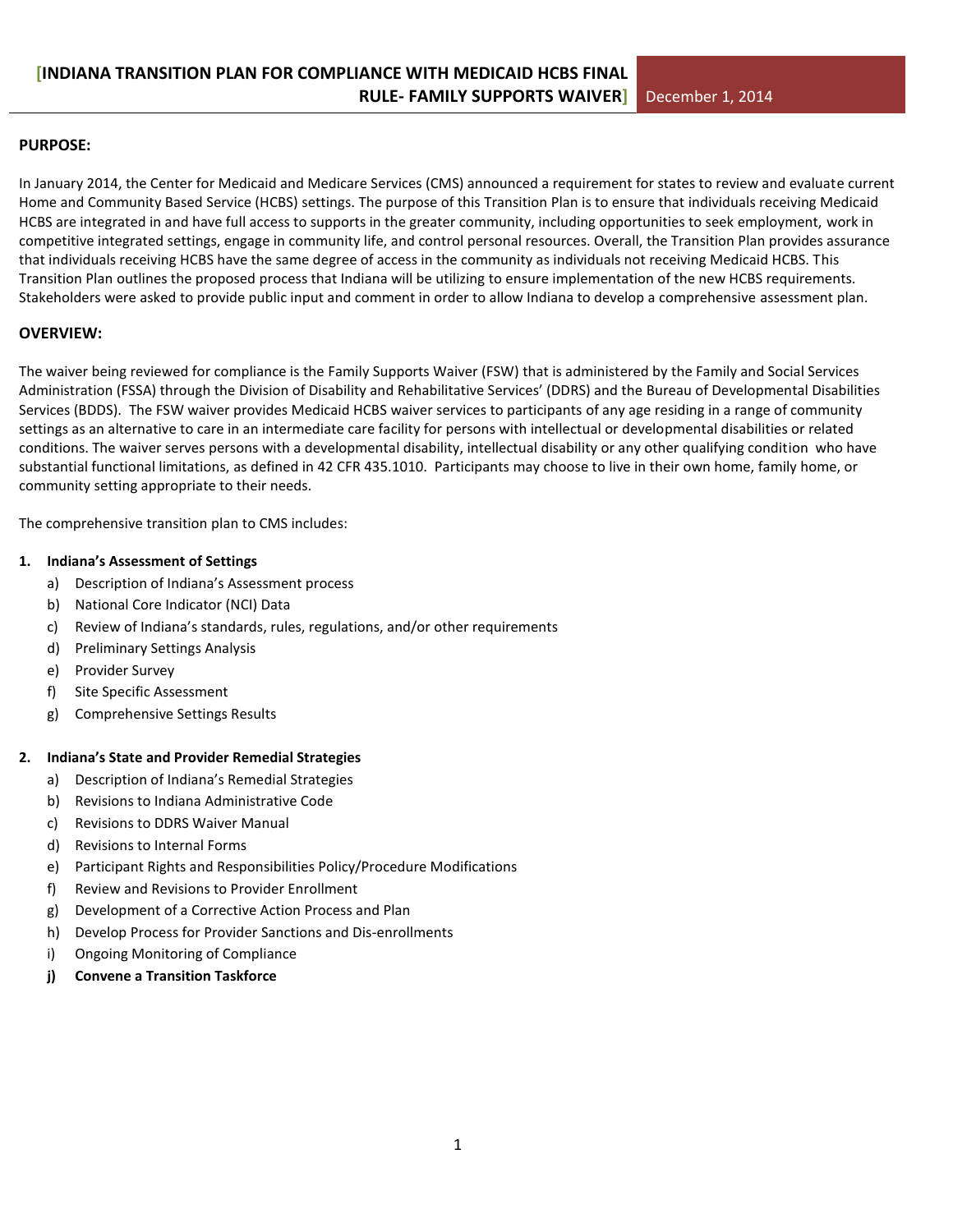#### **PURPOSE:**

In January 2014, the Center for Medicaid and Medicare Services (CMS) announced a requirement for states to review and evaluate current Home and Community Based Service (HCBS) settings. The purpose of this Transition Plan is to ensure that individuals receiving Medicaid HCBS are integrated in and have full access to supports in the greater community, including opportunities to seek employment, work in competitive integrated settings, engage in community life, and control personal resources. Overall, the Transition Plan provides assurance that individuals receiving HCBS have the same degree of access in the community as individuals not receiving Medicaid HCBS. This Transition Plan outlines the proposed process that Indiana will be utilizing to ensure implementation of the new HCBS requirements. Stakeholders were asked to provide public input and comment in order to allow Indiana to develop a comprehensive assessment plan.

### **OVERVIEW:**

The waiver being reviewed for compliance is the Family Supports Waiver (FSW) that is administered by the Family and Social Services Administration (FSSA) through the Division of Disability and Rehabilitative Services' (DDRS) and the Bureau of Developmental Disabilities Services (BDDS). The FSW waiver provides Medicaid HCBS waiver services to participants of any age residing in a range of community settings as an alternative to care in an intermediate care facility for persons with intellectual or developmental disabilities or related conditions. The waiver serves persons with a developmental disability, intellectual disability or any other qualifying condition who have substantial functional limitations, as defined in 42 CFR 435.1010. Participants may choose to live in their own home, family home, or community setting appropriate to their needs.

The comprehensive transition plan to CMS includes:

#### **1. Indiana's Assessment of Settings**

- a) Description of Indiana's Assessment process
- b) National Core Indicator (NCI) Data
- c) Review of Indiana's standards, rules, regulations, and/or other requirements
- d) Preliminary Settings Analysis
- e) Provider Survey
- f) Site Specific Assessment
- g) Comprehensive Settings Results

#### **2. Indiana's State and Provider Remedial Strategies**

- a) Description of Indiana's Remedial Strategies
- b) Revisions to Indiana Administrative Code
- c) Revisions to DDRS Waiver Manual
- d) Revisions to Internal Forms
- e) Participant Rights and Responsibilities Policy/Procedure Modifications
- f) Review and Revisions to Provider Enrollment
- g) Development of a Corrective Action Process and Plan
- h) Develop Process for Provider Sanctions and Dis-enrollments
- i) Ongoing Monitoring of Compliance
- **j) Convene a Transition Taskforce**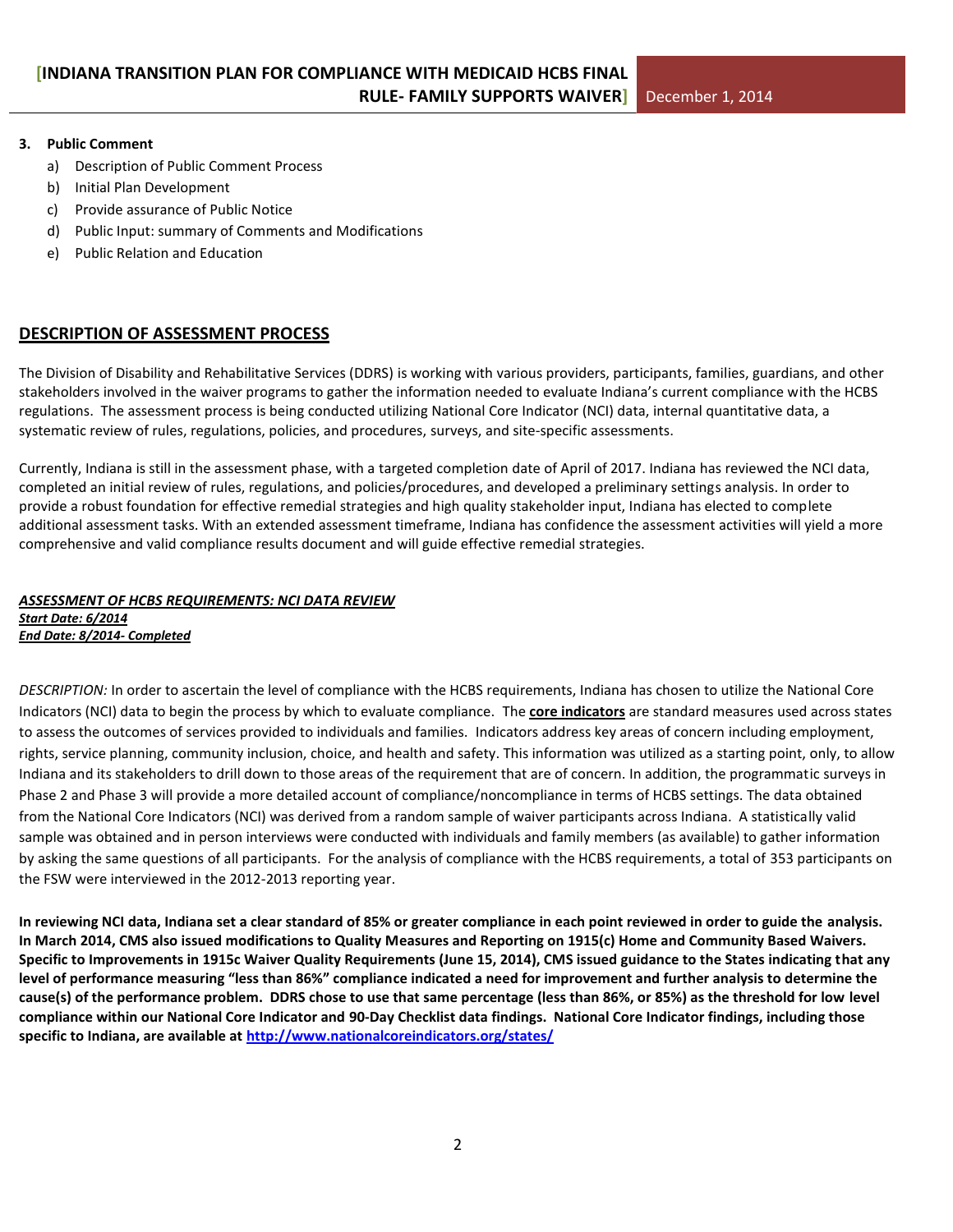#### **3. Public Comment**

- a) Description of Public Comment Process
- b) Initial Plan Development
- c) Provide assurance of Public Notice
- d) Public Input: summary of Comments and Modifications
- e) Public Relation and Education

### **DESCRIPTION OF ASSESSMENT PROCESS**

The Division of Disability and Rehabilitative Services (DDRS) is working with various providers, participants, families, guardians, and other stakeholders involved in the waiver programs to gather the information needed to evaluate Indiana's current compliance with the HCBS regulations. The assessment process is being conducted utilizing National Core Indicator (NCI) data, internal quantitative data, a systematic review of rules, regulations, policies, and procedures, surveys, and site-specific assessments.

Currently, Indiana is still in the assessment phase, with a targeted completion date of April of 2017. Indiana has reviewed the NCI data, completed an initial review of rules, regulations, and policies/procedures, and developed a preliminary settings analysis. In order to provide a robust foundation for effective remedial strategies and high quality stakeholder input, Indiana has elected to complete additional assessment tasks. With an extended assessment timeframe, Indiana has confidence the assessment activities will yield a more comprehensive and valid compliance results document and will guide effective remedial strategies.

#### *ASSESSMENT OF HCBS REQUIREMENTS: NCI DATA REVIEW Start Date: 6/2014 End Date: 8/2014- Completed*

*DESCRIPTION:* In order to ascertain the level of compliance with the HCBS requirements, Indiana has chosen to utilize the National Core Indicators (NCI) data to begin the process by which to evaluate compliance. The **[core indicators](http://www.nationalcoreindicators.org/indicators/)** are standard measures used across states to assess the outcomes of services provided to individuals and families. Indicators address key areas of concern including employment, rights, service planning, community inclusion, choice, and health and safety. This information was utilized as a starting point, only, to allow Indiana and its stakeholders to drill down to those areas of the requirement that are of concern. In addition, the programmatic surveys in Phase 2 and Phase 3 will provide a more detailed account of compliance/noncompliance in terms of HCBS settings. The data obtained from the National Core Indicators (NCI) was derived from a random sample of waiver participants across Indiana. A statistically valid sample was obtained and in person interviews were conducted with individuals and family members (as available) to gather information by asking the same questions of all participants. For the analysis of compliance with the HCBS requirements, a total of 353 participants on the FSW were interviewed in the 2012-2013 reporting year.

**In reviewing NCI data, Indiana set a clear standard of 85% or greater compliance in each point reviewed in order to guide the analysis. In March 2014, CMS also issued modifications to Quality Measures and Reporting on 1915(c) Home and Community Based Waivers. Specific to Improvements in 1915c Waiver Quality Requirements (June 15, 2014), CMS issued guidance to the States indicating that any level of performance measuring "less than 86%" compliance indicated a need for improvement and further analysis to determine the cause(s) of the performance problem. DDRS chose to use that same percentage (less than 86%, or 85%) as the threshold for low level compliance within our National Core Indicator and 90-Day Checklist data findings. National Core Indicator findings, including those specific to Indiana, are available at<http://www.nationalcoreindicators.org/states/>**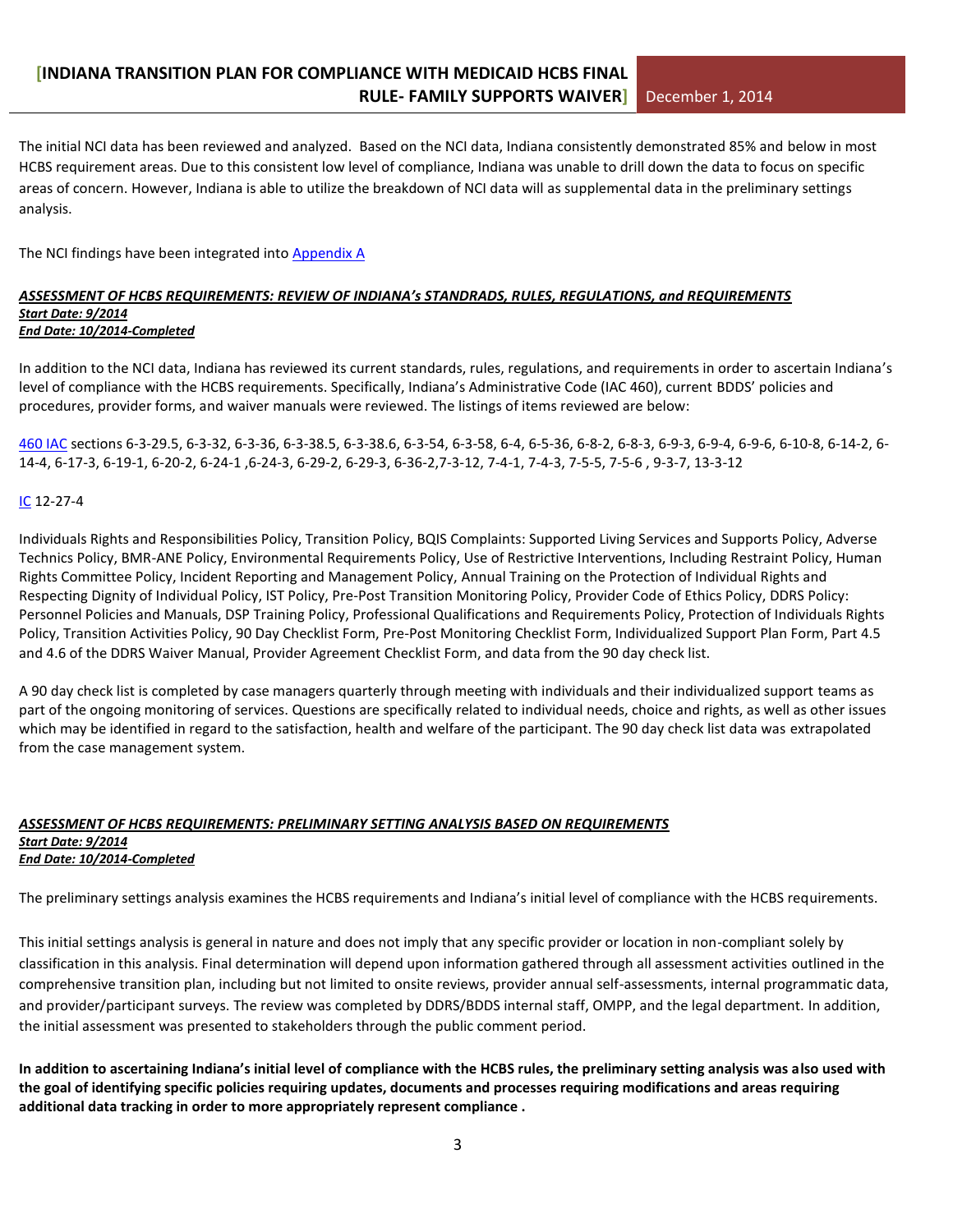The initial NCI data has been reviewed and analyzed. Based on the NCI data, Indiana consistently demonstrated 85% and below in most HCBS requirement areas. Due to this consistent low level of compliance, Indiana was unable to drill down the data to focus on specific areas of concern. However, Indiana is able to utilize the breakdown of NCI data will as supplemental data in the preliminary settings analysis.

The NCI findings have been integrated into [Appendix A](#page-12-0)

#### *ASSESSMENT OF HCBS REQUIREMENTS: REVIEW OF INDIANA's STANDRADS, RULES, REGULATIONS, and REQUIREMENTS Start Date: 9/2014 End Date: 10/2014-Completed*

In addition to the NCI data, Indiana has reviewed its current standards, rules, regulations, and requirements in order to ascertain Indiana's level of compliance with the HCBS requirements. Specifically, Indiana's Administrative Code (IAC 460), current BDDS' policies and procedures, provider forms, and waiver manuals were reviewed. The listings of items reviewed are below:

[460 IAC](http://www.in.gov/legislative/iac/title460.html) sections 6-3-29.5, 6-3-32, 6-3-36, 6-3-38.5, 6-3-38.6, 6-3-54, 6-3-58, 6-4, 6-5-36, 6-8-2, 6-8-3, 6-9-3, 6-9-4, 6-9-6, 6-10-8, 6-14-2, 6- 14-4, 6-17-3, 6-19-1, 6-20-2, 6-24-1 ,6-24-3, 6-29-2, 6-29-3, 6-36-2,7-3-12, 7-4-1, 7-4-3, 7-5-5, 7-5-6 , 9-3-7, 13-3-12

#### [IC](https://iga.in.gov/legislative/laws/2014/ic/) 12-27-4

Individuals Rights and Responsibilities Policy, Transition Policy, BQIS Complaints: Supported Living Services and Supports Policy, Adverse Technics Policy, BMR-ANE Policy, Environmental Requirements Policy, Use of Restrictive Interventions, Including Restraint Policy, Human Rights Committee Policy, Incident Reporting and Management Policy, Annual Training on the Protection of Individual Rights and Respecting Dignity of Individual Policy, IST Policy, Pre-Post Transition Monitoring Policy, Provider Code of Ethics Policy, DDRS Policy: Personnel Policies and Manuals, DSP Training Policy, Professional Qualifications and Requirements Policy, Protection of Individuals Rights Policy, Transition Activities Policy, 90 Day Checklist Form, Pre-Post Monitoring Checklist Form, Individualized Support Plan Form, Part 4.5 and 4.6 of the DDRS Waiver Manual, Provider Agreement Checklist Form, and data from the 90 day check list.

A 90 day check list is completed by case managers quarterly through meeting with individuals and their individualized support teams as part of the ongoing monitoring of services. Questions are specifically related to individual needs, choice and rights, as well as other issues which may be identified in regard to the satisfaction, health and welfare of the participant. The 90 day check list data was extrapolated from the case management system.

#### *ASSESSMENT OF HCBS REQUIREMENTS: PRELIMINARY SETTING ANALYSIS BASED ON REQUIREMENTS Start Date: 9/2014 End Date: 10/2014-Completed*

The preliminary settings analysis examines the HCBS requirements and Indiana's initial level of compliance with the HCBS requirements.

This initial settings analysis is general in nature and does not imply that any specific provider or location in non-compliant solely by classification in this analysis. Final determination will depend upon information gathered through all assessment activities outlined in the comprehensive transition plan, including but not limited to onsite reviews, provider annual self-assessments, internal programmatic data, and provider/participant surveys. The review was completed by DDRS/BDDS internal staff, OMPP, and the legal department. In addition, the initial assessment was presented to stakeholders through the public comment period.

**In addition to ascertaining Indiana's initial level of compliance with the HCBS rules, the preliminary setting analysis was also used with the goal of identifying specific policies requiring updates, documents and processes requiring modifications and areas requiring additional data tracking in order to more appropriately represent compliance .**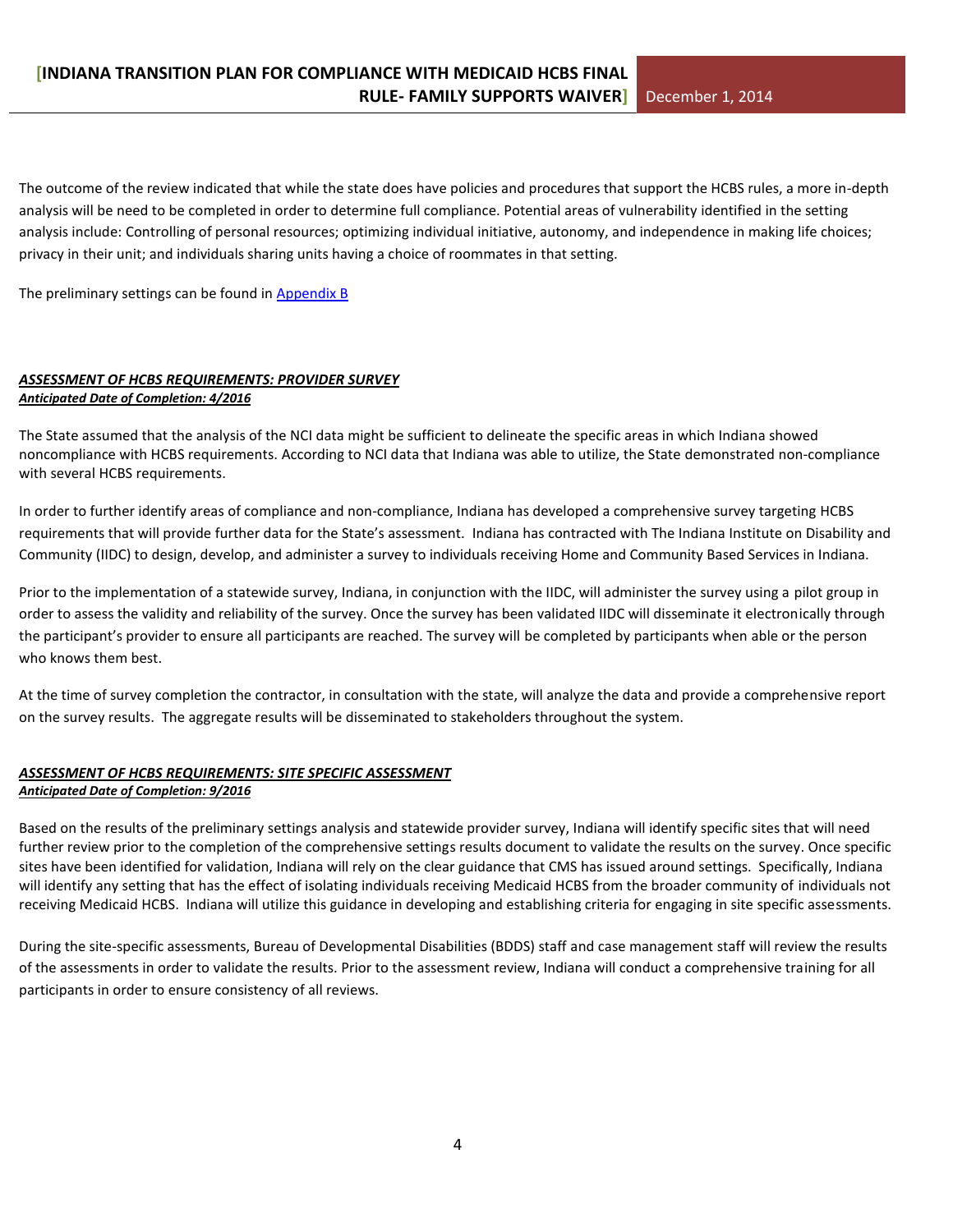The outcome of the review indicated that while the state does have policies and procedures that support the HCBS rules, a more in-depth analysis will be need to be completed in order to determine full compliance. Potential areas of vulnerability identified in the setting analysis include: Controlling of personal resources; optimizing individual initiative, autonomy, and independence in making life choices; privacy in their unit; and individuals sharing units having a choice of roommates in that setting.

The preliminary settings can be found in [Appendix B](#page-27-0)

#### *ASSESSMENT OF HCBS REQUIREMENTS: PROVIDER SURVEY Anticipated Date of Completion: 4/2016*

The State assumed that the analysis of the NCI data might be sufficient to delineate the specific areas in which Indiana showed noncompliance with HCBS requirements. According to NCI data that Indiana was able to utilize, the State demonstrated non-compliance with several HCBS requirements.

In order to further identify areas of compliance and non-compliance, Indiana has developed a comprehensive survey targeting HCBS requirements that will provide further data for the State's assessment. Indiana has contracted with The Indiana Institute on Disability and Community (IIDC) to design, develop, and administer a survey to individuals receiving Home and Community Based Services in Indiana.

Prior to the implementation of a statewide survey, Indiana, in conjunction with the IIDC, will administer the survey using a pilot group in order to assess the validity and reliability of the survey. Once the survey has been validated IIDC will disseminate it electronically through the participant's provider to ensure all participants are reached. The survey will be completed by participants when able or the person who knows them best.

At the time of survey completion the contractor, in consultation with the state, will analyze the data and provide a comprehensive report on the survey results. The aggregate results will be disseminated to stakeholders throughout the system.

#### *ASSESSMENT OF HCBS REQUIREMENTS: SITE SPECIFIC ASSESSMENT Anticipated Date of Completion: 9/2016*

Based on the results of the preliminary settings analysis and statewide provider survey, Indiana will identify specific sites that will need further review prior to the completion of the comprehensive settings results document to validate the results on the survey. Once specific sites have been identified for validation, Indiana will rely on the clear guidance that CMS has issued around settings. Specifically, Indiana will identify any setting that has the effect of isolating individuals receiving Medicaid HCBS from the broader community of individuals not receiving Medicaid HCBS. Indiana will utilize this guidance in developing and establishing criteria for engaging in site specific assessments.

During the site-specific assessments, Bureau of Developmental Disabilities (BDDS) staff and case management staff will review the results of the assessments in order to validate the results. Prior to the assessment review, Indiana will conduct a comprehensive training for all participants in order to ensure consistency of all reviews.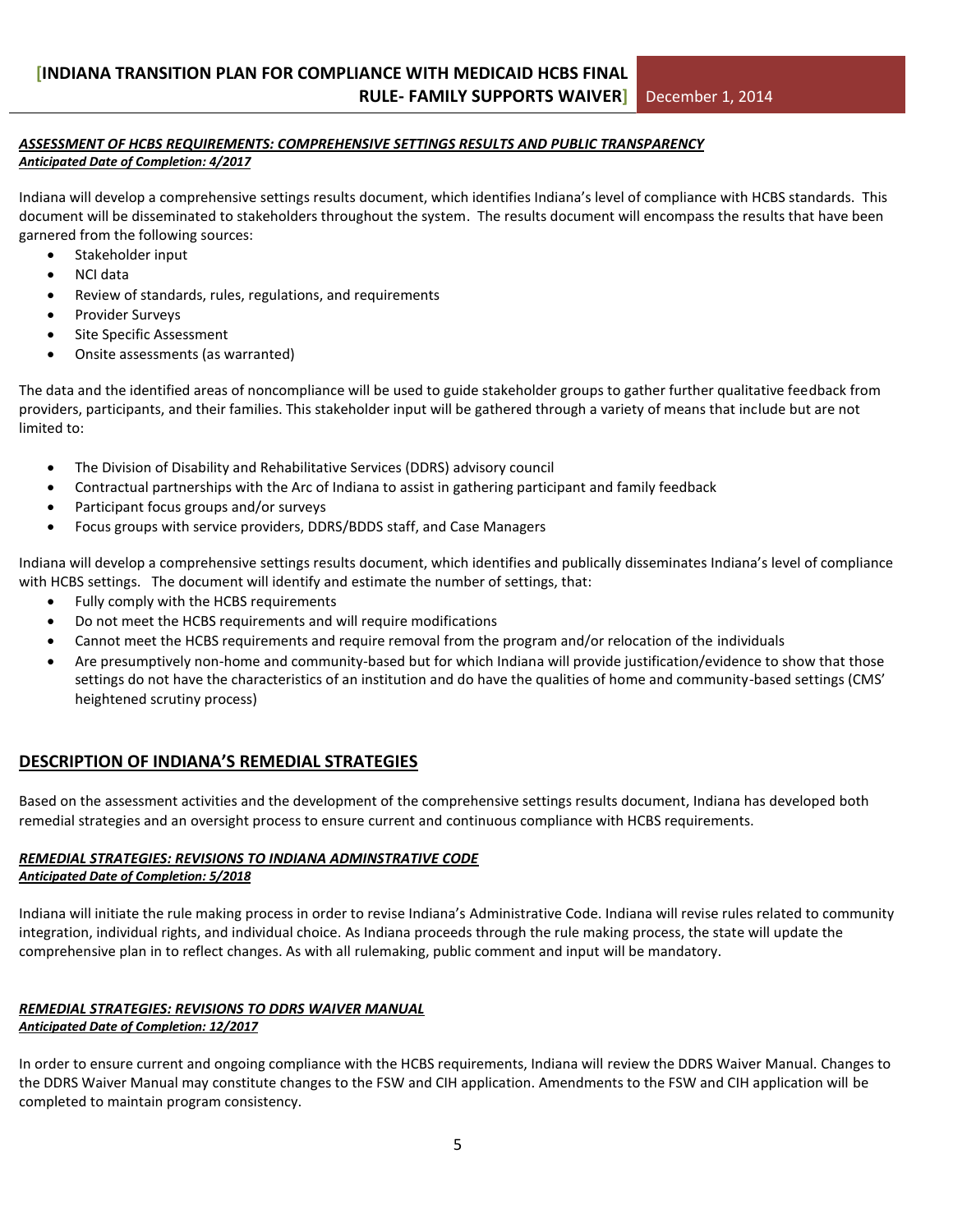#### *ASSESSMENT OF HCBS REQUIREMENTS: COMPREHENSIVE SETTINGS RESULTS AND PUBLIC TRANSPARENCY Anticipated Date of Completion: 4/2017*

Indiana will develop a comprehensive settings results document, which identifies Indiana's level of compliance with HCBS standards. This document will be disseminated to stakeholders throughout the system. The results document will encompass the results that have been garnered from the following sources:

- Stakeholder input
- NCI data
- Review of standards, rules, regulations, and requirements
- Provider Surveys
- Site Specific Assessment
- Onsite assessments (as warranted)

The data and the identified areas of noncompliance will be used to guide stakeholder groups to gather further qualitative feedback from providers, participants, and their families. This stakeholder input will be gathered through a variety of means that include but are not limited to:

- The Division of Disability and Rehabilitative Services (DDRS) advisory council
- Contractual partnerships with the Arc of Indiana to assist in gathering participant and family feedback
- Participant focus groups and/or surveys
- Focus groups with service providers, DDRS/BDDS staff, and Case Managers

Indiana will develop a comprehensive settings results document, which identifies and publically disseminates Indiana's level of compliance with HCBS settings. The document will identify and estimate the number of settings, that:

- Fully comply with the HCBS requirements
- Do not meet the HCBS requirements and will require modifications
- Cannot meet the HCBS requirements and require removal from the program and/or relocation of the individuals
- Are presumptively non-home and community-based but for which Indiana will provide justification/evidence to show that those settings do not have the characteristics of an institution and do have the qualities of home and community-based settings (CMS' heightened scrutiny process)

### **DESCRIPTION OF INDIANA'S REMEDIAL STRATEGIES**

Based on the assessment activities and the development of the comprehensive settings results document, Indiana has developed both remedial strategies and an oversight process to ensure current and continuous compliance with HCBS requirements.

#### *REMEDIAL STRATEGIES: REVISIONS TO INDIANA ADMINSTRATIVE CODE Anticipated Date of Completion: 5/2018*

Indiana will initiate the rule making process in order to revise Indiana's Administrative Code. Indiana will revise rules related to community integration, individual rights, and individual choice. As Indiana proceeds through the rule making process, the state will update the comprehensive plan in to reflect changes. As with all rulemaking, public comment and input will be mandatory.

# *REMEDIAL STRATEGIES: REVISIONS TO DDRS WAIVER MANUAL*

*Anticipated Date of Completion: 12/2017*

In order to ensure current and ongoing compliance with the HCBS requirements, Indiana will review the DDRS Waiver Manual. Changes to the DDRS Waiver Manual may constitute changes to the FSW and CIH application. Amendments to the FSW and CIH application will be completed to maintain program consistency.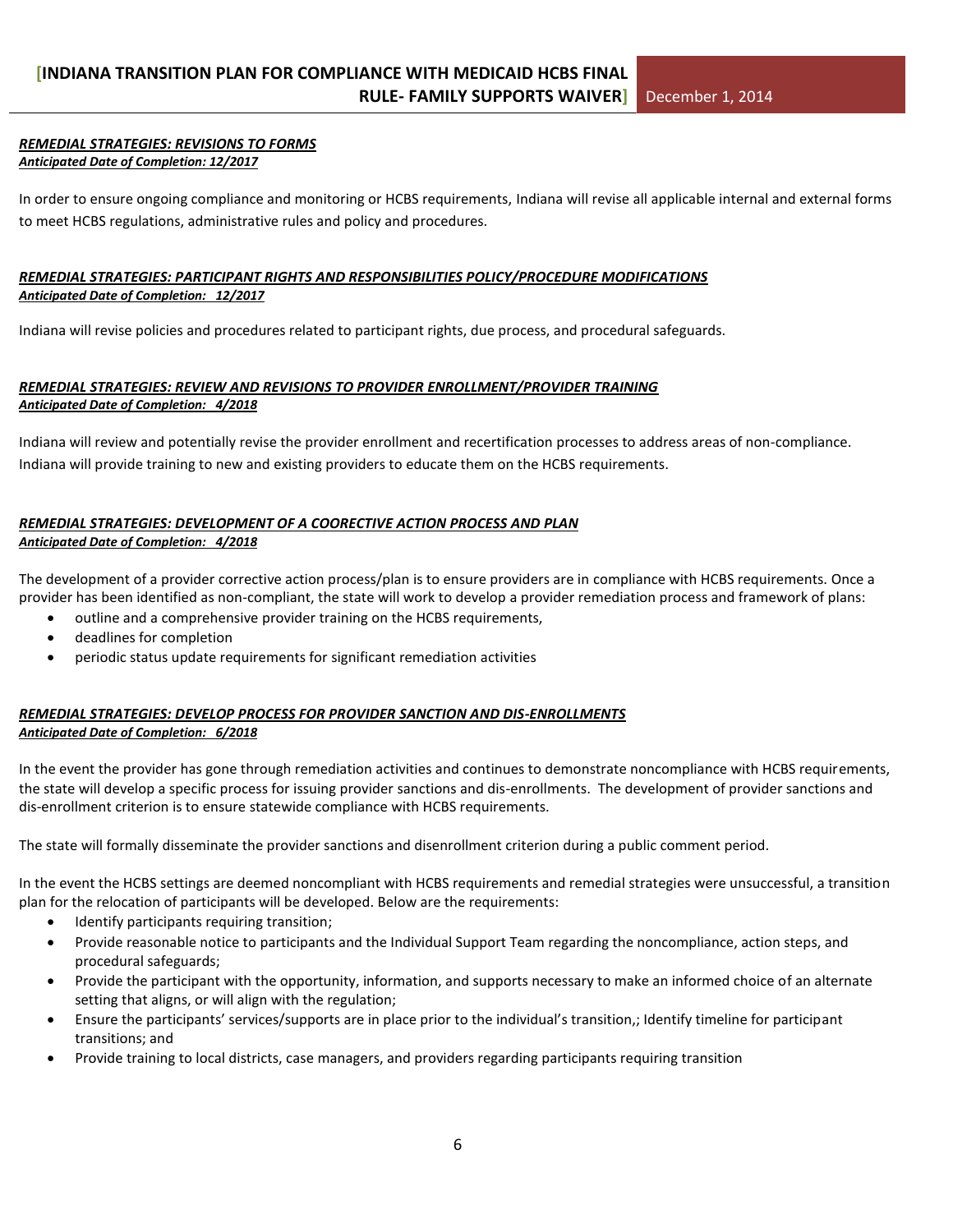#### *REMEDIAL STRATEGIES: REVISIONS TO FORMS Anticipated Date of Completion: 12/2017*

In order to ensure ongoing compliance and monitoring or HCBS requirements, Indiana will revise all applicable internal and external forms to meet HCBS regulations, administrative rules and policy and procedures.

#### *REMEDIAL STRATEGIES: PARTICIPANT RIGHTS AND RESPONSIBILITIES POLICY/PROCEDURE MODIFICATIONS Anticipated Date of Completion: 12/2017*

Indiana will revise policies and procedures related to participant rights, due process, and procedural safeguards.

#### *REMEDIAL STRATEGIES: REVIEW AND REVISIONS TO PROVIDER ENROLLMENT/PROVIDER TRAINING Anticipated Date of Completion: 4/2018*

Indiana will review and potentially revise the provider enrollment and recertification processes to address areas of non-compliance. Indiana will provide training to new and existing providers to educate them on the HCBS requirements.

#### *REMEDIAL STRATEGIES: DEVELOPMENT OF A COORECTIVE ACTION PROCESS AND PLAN Anticipated Date of Completion: 4/2018*

The development of a provider corrective action process/plan is to ensure providers are in compliance with HCBS requirements. Once a provider has been identified as non-compliant, the state will work to develop a provider remediation process and framework of plans:

- outline and a comprehensive provider training on the HCBS requirements,
- deadlines for completion
- periodic status update requirements for significant remediation activities

#### *REMEDIAL STRATEGIES: DEVELOP PROCESS FOR PROVIDER SANCTION AND DIS-ENROLLMENTS Anticipated Date of Completion: 6/2018*

In the event the provider has gone through remediation activities and continues to demonstrate noncompliance with HCBS requirements, the state will develop a specific process for issuing provider sanctions and dis-enrollments. The development of provider sanctions and dis-enrollment criterion is to ensure statewide compliance with HCBS requirements.

The state will formally disseminate the provider sanctions and disenrollment criterion during a public comment period.

In the event the HCBS settings are deemed noncompliant with HCBS requirements and remedial strategies were unsuccessful, a transition plan for the relocation of participants will be developed. Below are the requirements:

- Identify participants requiring transition;
- Provide reasonable notice to participants and the Individual Support Team regarding the noncompliance, action steps, and procedural safeguards;
- Provide the participant with the opportunity, information, and supports necessary to make an informed choice of an alternate setting that aligns, or will align with the regulation;
- Ensure the participants' services/supports are in place prior to the individual's transition,; Identify timeline for participant transitions; and
- Provide training to local districts, case managers, and providers regarding participants requiring transition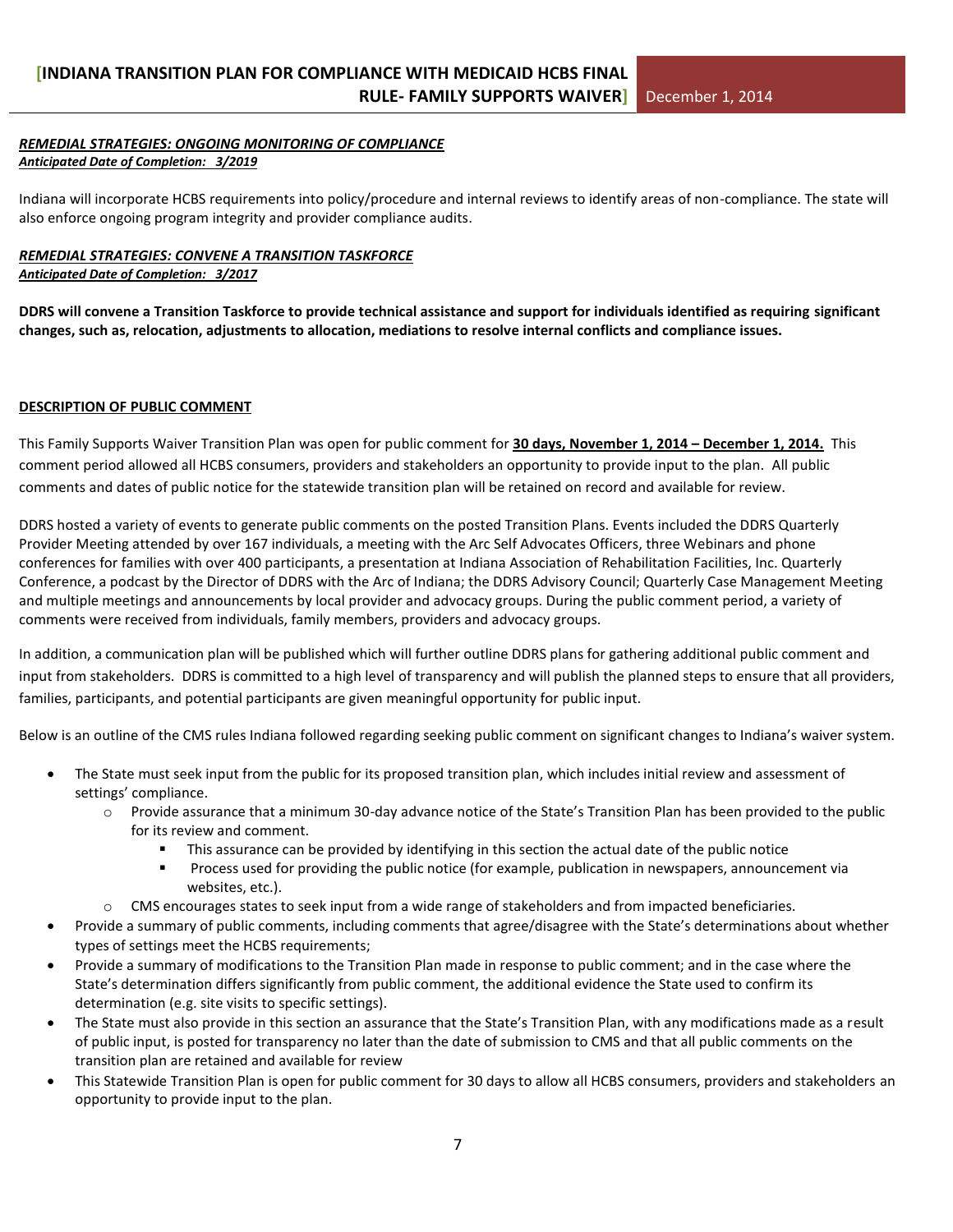#### *REMEDIAL STRATEGIES: ONGOING MONITORING OF COMPLIANCE Anticipated Date of Completion: 3/2019*

Indiana will incorporate HCBS requirements into policy/procedure and internal reviews to identify areas of non-compliance. The state will also enforce ongoing program integrity and provider compliance audits.

### *REMEDIAL STRATEGIES: CONVENE A TRANSITION TASKFORCE*

#### *Anticipated Date of Completion: 3/2017*

**DDRS will convene a Transition Taskforce to provide technical assistance and support for individuals identified as requiring significant changes, such as, relocation, adjustments to allocation, mediations to resolve internal conflicts and compliance issues.**

#### **DESCRIPTION OF PUBLIC COMMENT**

This Family Supports Waiver Transition Plan was open for public comment for **30 days, November 1, 2014 – December 1, 2014.** This comment period allowed all HCBS consumers, providers and stakeholders an opportunity to provide input to the plan. All public comments and dates of public notice for the statewide transition plan will be retained on record and available for review.

DDRS hosted a variety of events to generate public comments on the posted Transition Plans. Events included the DDRS Quarterly Provider Meeting attended by over 167 individuals, a meeting with the Arc Self Advocates Officers, three Webinars and phone conferences for families with over 400 participants, a presentation at Indiana Association of Rehabilitation Facilities, Inc. Quarterly Conference, a podcast by the Director of DDRS with the Arc of Indiana; the DDRS Advisory Council; Quarterly Case Management Meeting and multiple meetings and announcements by local provider and advocacy groups. During the public comment period, a variety of comments were received from individuals, family members, providers and advocacy groups.

In addition, a communication plan will be published which will further outline DDRS plans for gathering additional public comment and input from stakeholders. DDRS is committed to a high level of transparency and will publish the planned steps to ensure that all providers, families, participants, and potential participants are given meaningful opportunity for public input.

Below is an outline of the CMS rules Indiana followed regarding seeking public comment on significant changes to Indiana's waiver system.

- The State must seek input from the public for its proposed transition plan, which includes initial review and assessment of settings' compliance.
	- o Provide assurance that a minimum 30-day advance notice of the State's Transition Plan has been provided to the public for its review and comment.
		- This assurance can be provided by identifying in this section the actual date of the public notice
		- **Process used for providing the public notice (for example, publication in newspapers, announcement via** websites, etc.).
	- o CMS encourages states to seek input from a wide range of stakeholders and from impacted beneficiaries.
- Provide a summary of public comments, including comments that agree/disagree with the State's determinations about whether types of settings meet the HCBS requirements;
- Provide a summary of modifications to the Transition Plan made in response to public comment; and in the case where the State's determination differs significantly from public comment, the additional evidence the State used to confirm its determination (e.g. site visits to specific settings).
- The State must also provide in this section an assurance that the State's Transition Plan, with any modifications made as a result of public input, is posted for transparency no later than the date of submission to CMS and that all public comments on the transition plan are retained and available for review
- This Statewide Transition Plan is open for public comment for 30 days to allow all HCBS consumers, providers and stakeholders an opportunity to provide input to the plan.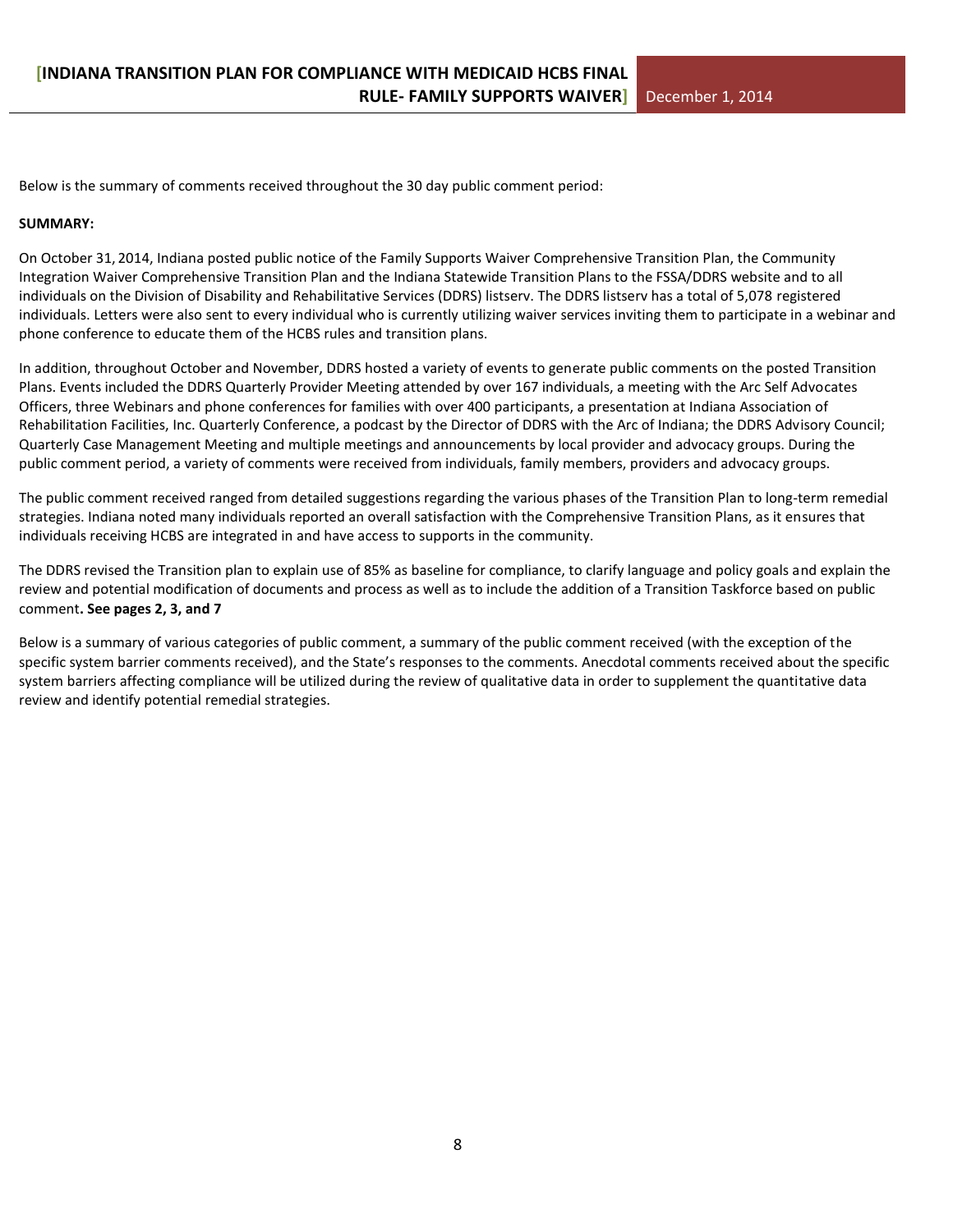Below is the summary of comments received throughout the 30 day public comment period:

#### **SUMMARY:**

On October 31, 2014, Indiana posted public notice of the Family Supports Waiver Comprehensive Transition Plan, the Community Integration Waiver Comprehensive Transition Plan and the Indiana Statewide Transition Plans to the FSSA/DDRS website and to all individuals on the Division of Disability and Rehabilitative Services (DDRS) listserv. The DDRS listserv has a total of 5,078 registered individuals. Letters were also sent to every individual who is currently utilizing waiver services inviting them to participate in a webinar and phone conference to educate them of the HCBS rules and transition plans.

In addition, throughout October and November, DDRS hosted a variety of events to generate public comments on the posted Transition Plans. Events included the DDRS Quarterly Provider Meeting attended by over 167 individuals, a meeting with the Arc Self Advocates Officers, three Webinars and phone conferences for families with over 400 participants, a presentation at Indiana Association of Rehabilitation Facilities, Inc. Quarterly Conference, a podcast by the Director of DDRS with the Arc of Indiana; the DDRS Advisory Council; Quarterly Case Management Meeting and multiple meetings and announcements by local provider and advocacy groups. During the public comment period, a variety of comments were received from individuals, family members, providers and advocacy groups.

The public comment received ranged from detailed suggestions regarding the various phases of the Transition Plan to long-term remedial strategies. Indiana noted many individuals reported an overall satisfaction with the Comprehensive Transition Plans, as it ensures that individuals receiving HCBS are integrated in and have access to supports in the community.

The DDRS revised the Transition plan to explain use of 85% as baseline for compliance, to clarify language and policy goals and explain the review and potential modification of documents and process as well as to include the addition of a Transition Taskforce based on public comment**. See pages 2, 3, and 7**

Below is a summary of various categories of public comment, a summary of the public comment received (with the exception of the specific system barrier comments received), and the State's responses to the comments. Anecdotal comments received about the specific system barriers affecting compliance will be utilized during the review of qualitative data in order to supplement the quantitative data review and identify potential remedial strategies.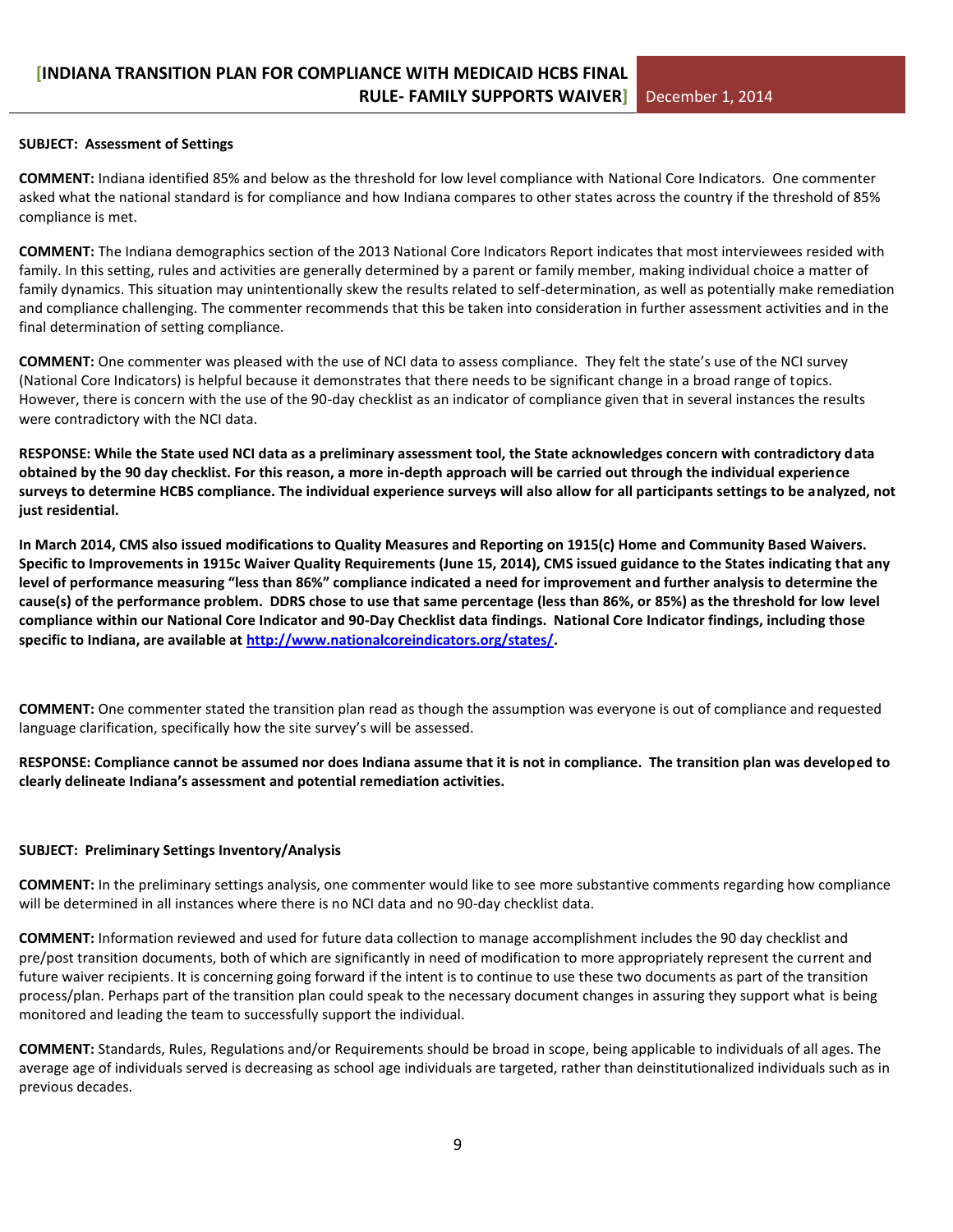#### **SUBJECT: Assessment of Settings**

**COMMENT:** Indiana identified 85% and below as the threshold for low level compliance with National Core Indicators. One commenter asked what the national standard is for compliance and how Indiana compares to other states across the country if the threshold of 85% compliance is met.

**COMMENT:** The Indiana demographics section of the 2013 National Core Indicators Report indicates that most interviewees resided with family. In this setting, rules and activities are generally determined by a parent or family member, making individual choice a matter of family dynamics. This situation may unintentionally skew the results related to self-determination, as well as potentially make remediation and compliance challenging. The commenter recommends that this be taken into consideration in further assessment activities and in the final determination of setting compliance.

**COMMENT:** One commenter was pleased with the use of NCI data to assess compliance. They felt the state's use of the NCI survey (National Core Indicators) is helpful because it demonstrates that there needs to be significant change in a broad range of topics. However, there is concern with the use of the 90-day checklist as an indicator of compliance given that in several instances the results were contradictory with the NCI data.

**RESPONSE: While the State used NCI data as a preliminary assessment tool, the State acknowledges concern with contradictory data obtained by the 90 day checklist. For this reason, a more in-depth approach will be carried out through the individual experience surveys to determine HCBS compliance. The individual experience surveys will also allow for all participants settings to be analyzed, not just residential.** 

**In March 2014, CMS also issued modifications to Quality Measures and Reporting on 1915(c) Home and Community Based Waivers. Specific to Improvements in 1915c Waiver Quality Requirements (June 15, 2014), CMS issued guidance to the States indicating that any level of performance measuring "less than 86%" compliance indicated a need for improvement and further analysis to determine the cause(s) of the performance problem. DDRS chose to use that same percentage (less than 86%, or 85%) as the threshold for low level compliance within our National Core Indicator and 90-Day Checklist data findings. National Core Indicator findings, including those specific to Indiana, are available at [http://www.nationalcoreindicators.org/states/.](http://www.nationalcoreindicators.org/states/)** 

**COMMENT:** One commenter stated the transition plan read as though the assumption was everyone is out of compliance and requested language clarification, specifically how the site survey's will be assessed.

#### **RESPONSE: Compliance cannot be assumed nor does Indiana assume that it is not in compliance. The transition plan was developed to clearly delineate Indiana's assessment and potential remediation activities.**

#### **SUBJECT: Preliminary Settings Inventory/Analysis**

**COMMENT:** In the preliminary settings analysis, one commenter would like to see more substantive comments regarding how compliance will be determined in all instances where there is no NCI data and no 90-day checklist data.

**COMMENT:** Information reviewed and used for future data collection to manage accomplishment includes the 90 day checklist and pre/post transition documents, both of which are significantly in need of modification to more appropriately represent the current and future waiver recipients. It is concerning going forward if the intent is to continue to use these two documents as part of the transition process/plan. Perhaps part of the transition plan could speak to the necessary document changes in assuring they support what is being monitored and leading the team to successfully support the individual.

**COMMENT:** Standards, Rules, Regulations and/or Requirements should be broad in scope, being applicable to individuals of all ages. The average age of individuals served is decreasing as school age individuals are targeted, rather than deinstitutionalized individuals such as in previous decades.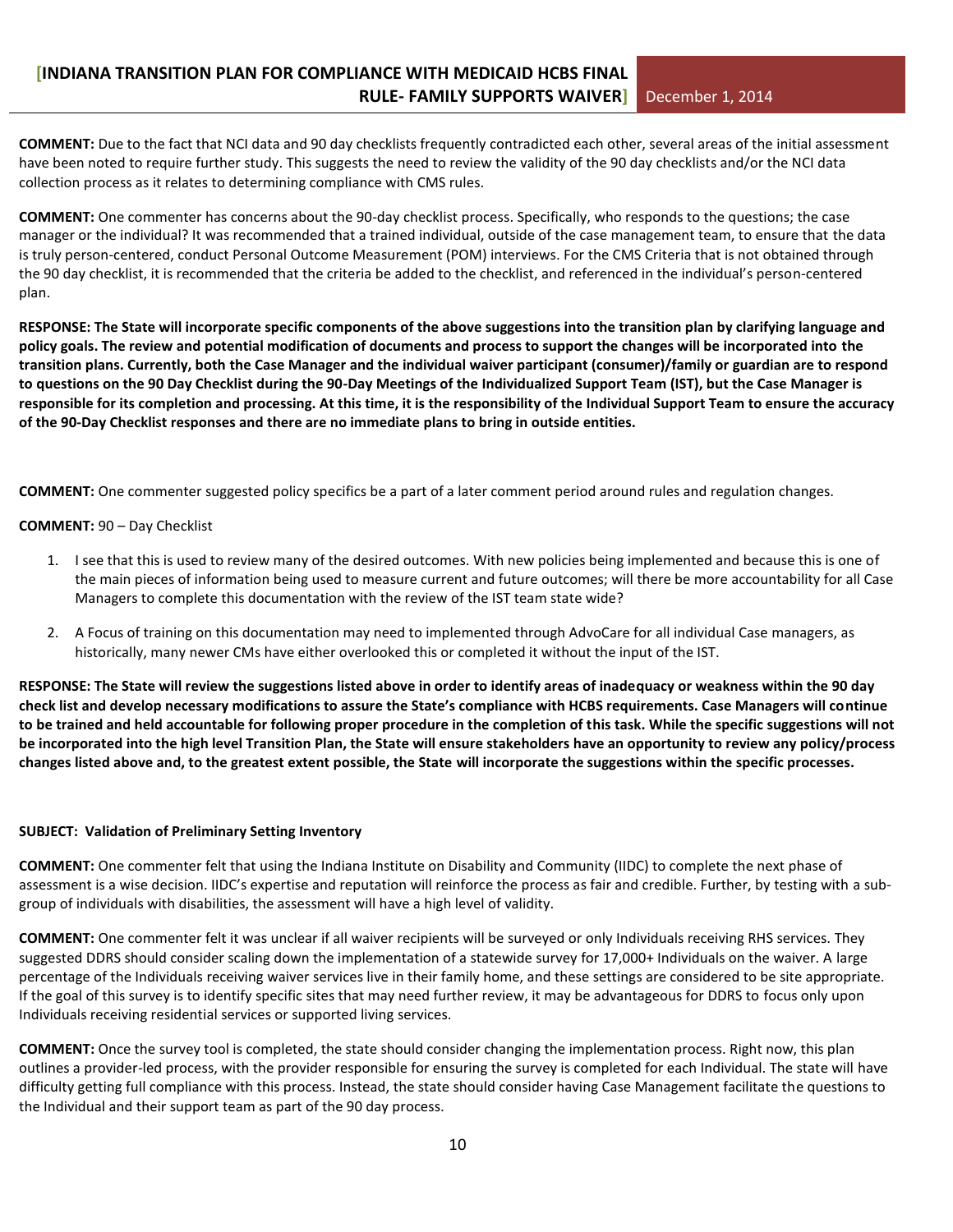**COMMENT:** Due to the fact that NCI data and 90 day checklists frequently contradicted each other, several areas of the initial assessment have been noted to require further study. This suggests the need to review the validity of the 90 day checklists and/or the NCI data collection process as it relates to determining compliance with CMS rules.

**COMMENT:** One commenter has concerns about the 90-day checklist process. Specifically, who responds to the questions; the case manager or the individual? It was recommended that a trained individual, outside of the case management team, to ensure that the data is truly person-centered, conduct Personal Outcome Measurement (POM) interviews. For the CMS Criteria that is not obtained through the 90 day checklist, it is recommended that the criteria be added to the checklist, and referenced in the individual's person-centered plan.

**RESPONSE: The State will incorporate specific components of the above suggestions into the transition plan by clarifying language and policy goals. The review and potential modification of documents and process to support the changes will be incorporated into the transition plans. Currently, both the Case Manager and the individual waiver participant (consumer)/family or guardian are to respond to questions on the 90 Day Checklist during the 90-Day Meetings of the Individualized Support Team (IST), but the Case Manager is responsible for its completion and processing. At this time, it is the responsibility of the Individual Support Team to ensure the accuracy of the 90-Day Checklist responses and there are no immediate plans to bring in outside entities.**

**COMMENT:** One commenter suggested policy specifics be a part of a later comment period around rules and regulation changes.

#### **COMMENT:** 90 – Day Checklist

- 1. I see that this is used to review many of the desired outcomes. With new policies being implemented and because this is one of the main pieces of information being used to measure current and future outcomes; will there be more accountability for all Case Managers to complete this documentation with the review of the IST team state wide?
- 2. A Focus of training on this documentation may need to implemented through AdvoCare for all individual Case managers, as historically, many newer CMs have either overlooked this or completed it without the input of the IST.

**RESPONSE: The State will review the suggestions listed above in order to identify areas of inadequacy or weakness within the 90 day check list and develop necessary modifications to assure the State's compliance with HCBS requirements. Case Managers will continue to be trained and held accountable for following proper procedure in the completion of this task. While the specific suggestions will not be incorporated into the high level Transition Plan, the State will ensure stakeholders have an opportunity to review any policy/process changes listed above and, to the greatest extent possible, the State will incorporate the suggestions within the specific processes.** 

#### **SUBJECT: Validation of Preliminary Setting Inventory**

**COMMENT:** One commenter felt that using the Indiana Institute on Disability and Community (IIDC) to complete the next phase of assessment is a wise decision. IIDC's expertise and reputation will reinforce the process as fair and credible. Further, by testing with a subgroup of individuals with disabilities, the assessment will have a high level of validity.

**COMMENT:** One commenter felt it was unclear if all waiver recipients will be surveyed or only Individuals receiving RHS services. They suggested DDRS should consider scaling down the implementation of a statewide survey for 17,000+ Individuals on the waiver. A large percentage of the Individuals receiving waiver services live in their family home, and these settings are considered to be site appropriate. If the goal of this survey is to identify specific sites that may need further review, it may be advantageous for DDRS to focus only upon Individuals receiving residential services or supported living services.

**COMMENT:** Once the survey tool is completed, the state should consider changing the implementation process. Right now, this plan outlines a provider-led process, with the provider responsible for ensuring the survey is completed for each Individual. The state will have difficulty getting full compliance with this process. Instead, the state should consider having Case Management facilitate the questions to the Individual and their support team as part of the 90 day process.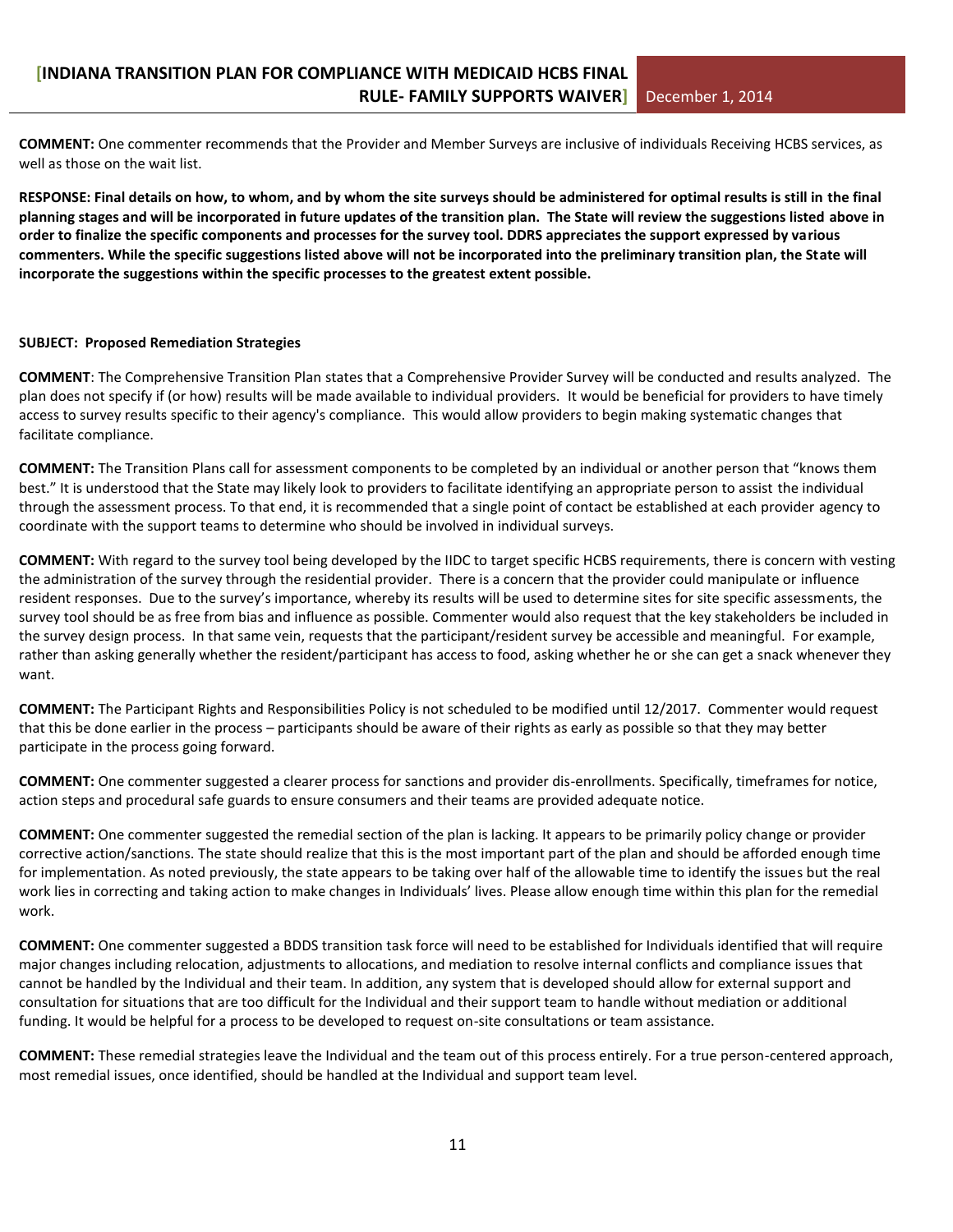**COMMENT:** One commenter recommends that the Provider and Member Surveys are inclusive of individuals Receiving HCBS services, as well as those on the wait list.

**RESPONSE: Final details on how, to whom, and by whom the site surveys should be administered for optimal results is still in the final planning stages and will be incorporated in future updates of the transition plan. The State will review the suggestions listed above in order to finalize the specific components and processes for the survey tool. DDRS appreciates the support expressed by various commenters. While the specific suggestions listed above will not be incorporated into the preliminary transition plan, the State will incorporate the suggestions within the specific processes to the greatest extent possible.** 

#### **SUBJECT: Proposed Remediation Strategies**

**COMMENT**: The Comprehensive Transition Plan states that a Comprehensive Provider Survey will be conducted and results analyzed. The plan does not specify if (or how) results will be made available to individual providers. It would be beneficial for providers to have timely access to survey results specific to their agency's compliance. This would allow providers to begin making systematic changes that facilitate compliance.

**COMMENT:** The Transition Plans call for assessment components to be completed by an individual or another person that "knows them best." It is understood that the State may likely look to providers to facilitate identifying an appropriate person to assist the individual through the assessment process. To that end, it is recommended that a single point of contact be established at each provider agency to coordinate with the support teams to determine who should be involved in individual surveys.

**COMMENT:** With regard to the survey tool being developed by the IIDC to target specific HCBS requirements, there is concern with vesting the administration of the survey through the residential provider. There is a concern that the provider could manipulate or influence resident responses. Due to the survey's importance, whereby its results will be used to determine sites for site specific assessments, the survey tool should be as free from bias and influence as possible. Commenter would also request that the key stakeholders be included in the survey design process. In that same vein, requests that the participant/resident survey be accessible and meaningful. For example, rather than asking generally whether the resident/participant has access to food, asking whether he or she can get a snack whenever they want.

**COMMENT:** The Participant Rights and Responsibilities Policy is not scheduled to be modified until 12/2017. Commenter would request that this be done earlier in the process – participants should be aware of their rights as early as possible so that they may better participate in the process going forward.

**COMMENT:** One commenter suggested a clearer process for sanctions and provider dis-enrollments. Specifically, timeframes for notice, action steps and procedural safe guards to ensure consumers and their teams are provided adequate notice.

**COMMENT:** One commenter suggested the remedial section of the plan is lacking. It appears to be primarily policy change or provider corrective action/sanctions. The state should realize that this is the most important part of the plan and should be afforded enough time for implementation. As noted previously, the state appears to be taking over half of the allowable time to identify the issues but the real work lies in correcting and taking action to make changes in Individuals' lives. Please allow enough time within this plan for the remedial work.

**COMMENT:** One commenter suggested a BDDS transition task force will need to be established for Individuals identified that will require major changes including relocation, adjustments to allocations, and mediation to resolve internal conflicts and compliance issues that cannot be handled by the Individual and their team. In addition, any system that is developed should allow for external support and consultation for situations that are too difficult for the Individual and their support team to handle without mediation or additional funding. It would be helpful for a process to be developed to request on-site consultations or team assistance.

**COMMENT:** These remedial strategies leave the Individual and the team out of this process entirely. For a true person-centered approach, most remedial issues, once identified, should be handled at the Individual and support team level.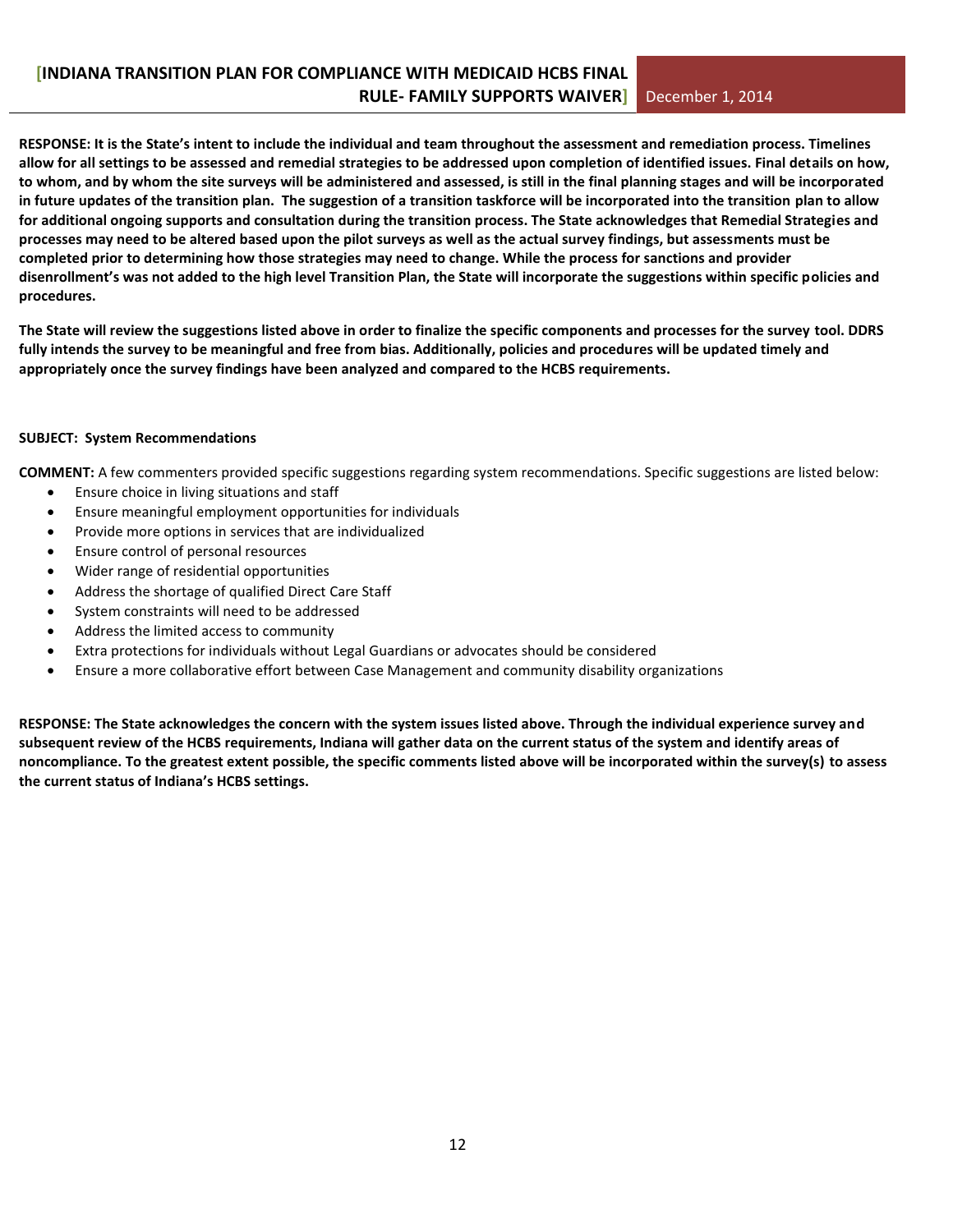**RESPONSE: It is the State's intent to include the individual and team throughout the assessment and remediation process. Timelines allow for all settings to be assessed and remedial strategies to be addressed upon completion of identified issues. Final details on how, to whom, and by whom the site surveys will be administered and assessed, is still in the final planning stages and will be incorporated in future updates of the transition plan. The suggestion of a transition taskforce will be incorporated into the transition plan to allow for additional ongoing supports and consultation during the transition process. The State acknowledges that Remedial Strategies and processes may need to be altered based upon the pilot surveys as well as the actual survey findings, but assessments must be completed prior to determining how those strategies may need to change. While the process for sanctions and provider disenrollment's was not added to the high level Transition Plan, the State will incorporate the suggestions within specific policies and procedures.**

**The State will review the suggestions listed above in order to finalize the specific components and processes for the survey tool. DDRS fully intends the survey to be meaningful and free from bias. Additionally, policies and procedures will be updated timely and appropriately once the survey findings have been analyzed and compared to the HCBS requirements.** 

#### **SUBJECT: System Recommendations**

**COMMENT:** A few commenters provided specific suggestions regarding system recommendations. Specific suggestions are listed below:

- Ensure choice in living situations and staff
- Ensure meaningful employment opportunities for individuals
- Provide more options in services that are individualized
- Ensure control of personal resources
- Wider range of residential opportunities
- Address the shortage of qualified Direct Care Staff
- System constraints will need to be addressed
- Address the limited access to community
- Extra protections for individuals without Legal Guardians or advocates should be considered
- Ensure a more collaborative effort between Case Management and community disability organizations

**RESPONSE: The State acknowledges the concern with the system issues listed above. Through the individual experience survey and subsequent review of the HCBS requirements, Indiana will gather data on the current status of the system and identify areas of noncompliance. To the greatest extent possible, the specific comments listed above will be incorporated within the survey(s) to assess the current status of Indiana's HCBS settings.**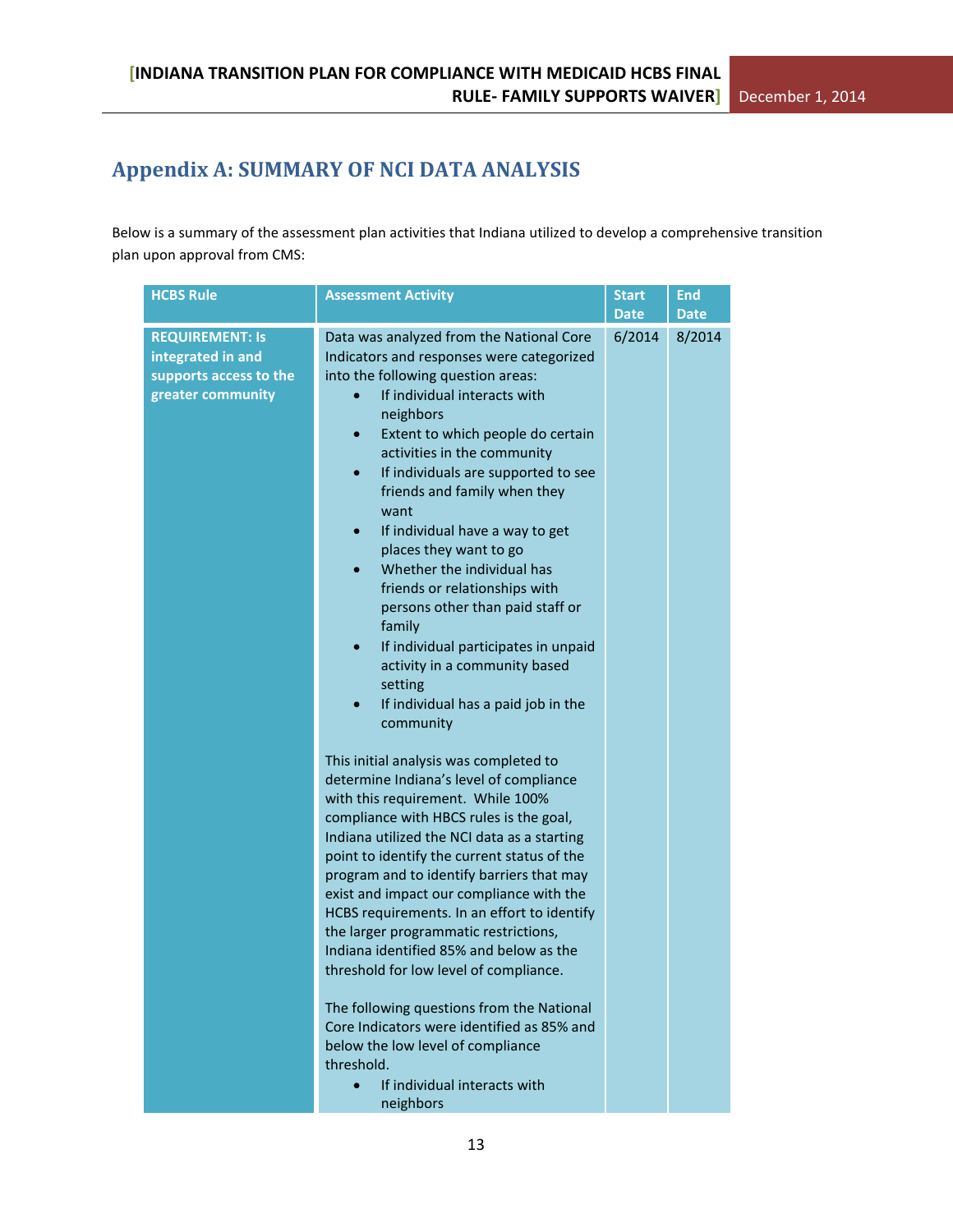# <span id="page-12-0"></span>**Appendix A: SUMMARY OF NCI DATA ANALYSIS**

Below is a summary of the assessment plan activities that Indiana utilized to develop a comprehensive transition plan upon approval from CMS:

| <b>HCBS Rule</b>                                                                           | <b>Assessment Activity</b>                                                                                                                                                                                                                                                                                                                                                                                                                                                                                                                                                                                                                                                                                                                                                                                                                                                                                                                                                                                                                                                                                                                                                                                                                                                                                                                                                                                                                         | <b>Start</b><br><b>Date</b> | <b>End</b><br><b>Date</b> |
|--------------------------------------------------------------------------------------------|----------------------------------------------------------------------------------------------------------------------------------------------------------------------------------------------------------------------------------------------------------------------------------------------------------------------------------------------------------------------------------------------------------------------------------------------------------------------------------------------------------------------------------------------------------------------------------------------------------------------------------------------------------------------------------------------------------------------------------------------------------------------------------------------------------------------------------------------------------------------------------------------------------------------------------------------------------------------------------------------------------------------------------------------------------------------------------------------------------------------------------------------------------------------------------------------------------------------------------------------------------------------------------------------------------------------------------------------------------------------------------------------------------------------------------------------------|-----------------------------|---------------------------|
| <b>REQUIREMENT: Is</b><br>integrated in and<br>supports access to the<br>greater community | Data was analyzed from the National Core<br>Indicators and responses were categorized<br>into the following question areas:<br>If individual interacts with<br>neighbors<br>Extent to which people do certain<br>$\bullet$<br>activities in the community<br>If individuals are supported to see<br>$\bullet$<br>friends and family when they<br>want<br>If individual have a way to get<br>$\bullet$<br>places they want to go<br>Whether the individual has<br>$\bullet$<br>friends or relationships with<br>persons other than paid staff or<br>family<br>If individual participates in unpaid<br>$\bullet$<br>activity in a community based<br>setting<br>If individual has a paid job in the<br>community<br>This initial analysis was completed to<br>determine Indiana's level of compliance<br>with this requirement. While 100%<br>compliance with HBCS rules is the goal,<br>Indiana utilized the NCI data as a starting<br>point to identify the current status of the<br>program and to identify barriers that may<br>exist and impact our compliance with the<br>HCBS requirements. In an effort to identify<br>the larger programmatic restrictions,<br>Indiana identified 85% and below as the<br>threshold for low level of compliance.<br>The following questions from the National<br>Core Indicators were identified as 85% and<br>below the low level of compliance<br>threshold.<br>If individual interacts with<br>neighbors | 6/2014                      | 8/2014                    |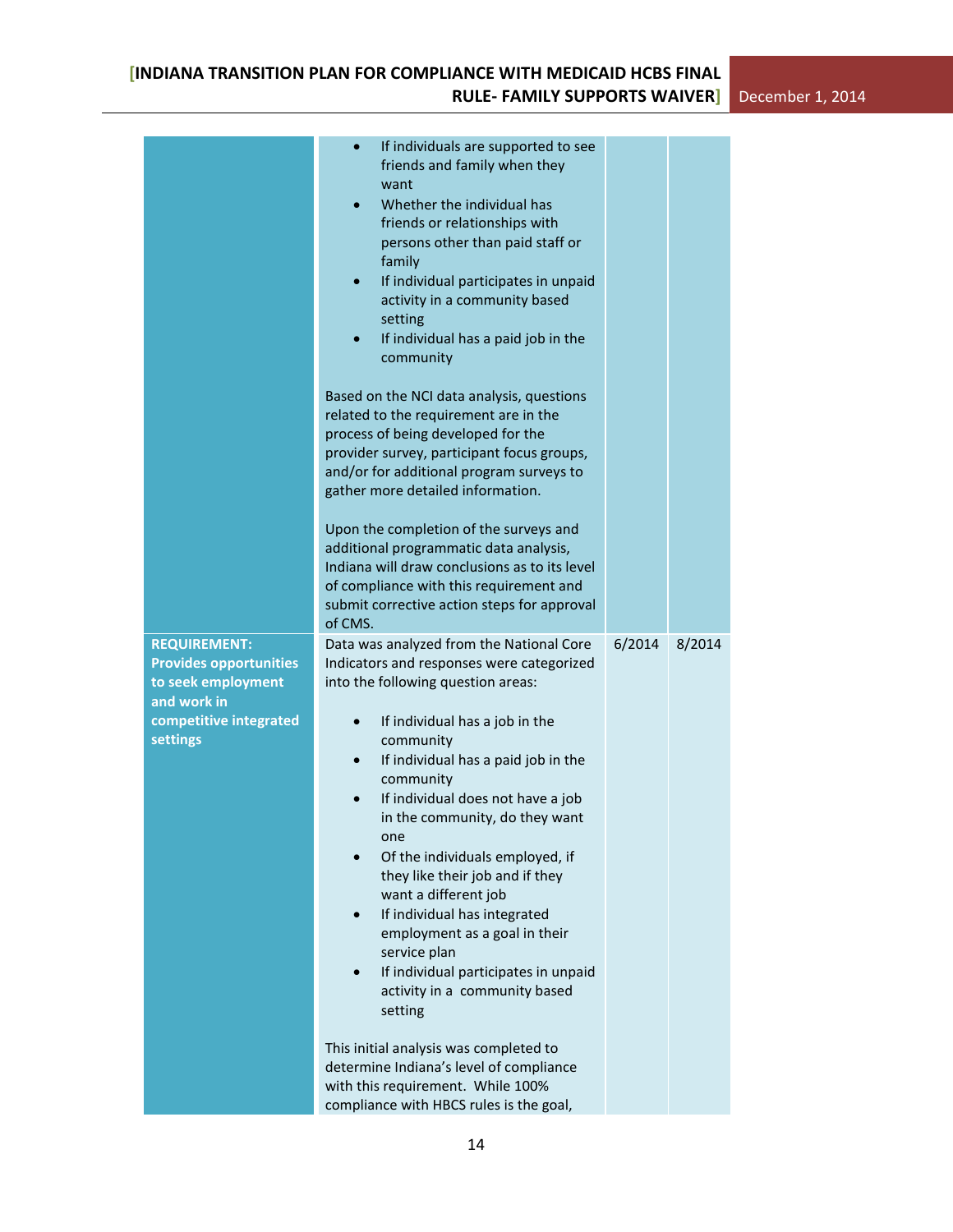|                                                                                                                                 | If individuals are supported to see<br>$\bullet$<br>friends and family when they<br>want<br>Whether the individual has<br>$\bullet$<br>friends or relationships with<br>persons other than paid staff or<br>family<br>If individual participates in unpaid<br>activity in a community based<br>setting<br>If individual has a paid job in the<br>community<br>Based on the NCI data analysis, questions<br>related to the requirement are in the<br>process of being developed for the<br>provider survey, participant focus groups,<br>and/or for additional program surveys to<br>gather more detailed information.<br>Upon the completion of the surveys and<br>additional programmatic data analysis,<br>Indiana will draw conclusions as to its level<br>of compliance with this requirement and<br>submit corrective action steps for approval<br>of CMS. |        |        |
|---------------------------------------------------------------------------------------------------------------------------------|-----------------------------------------------------------------------------------------------------------------------------------------------------------------------------------------------------------------------------------------------------------------------------------------------------------------------------------------------------------------------------------------------------------------------------------------------------------------------------------------------------------------------------------------------------------------------------------------------------------------------------------------------------------------------------------------------------------------------------------------------------------------------------------------------------------------------------------------------------------------|--------|--------|
| <b>REQUIREMENT:</b><br><b>Provides opportunities</b><br>to seek employment<br>and work in<br>competitive integrated<br>settings | Data was analyzed from the National Core<br>Indicators and responses were categorized<br>into the following question areas:<br>If individual has a job in the<br>community<br>If individual has a paid job in the<br>$\bullet$<br>community<br>If individual does not have a job<br>$\bullet$<br>in the community, do they want<br>one<br>Of the individuals employed, if<br>they like their job and if they<br>want a different job<br>If individual has integrated<br>$\bullet$<br>employment as a goal in their<br>service plan<br>If individual participates in unpaid<br>activity in a community based<br>setting<br>This initial analysis was completed to<br>determine Indiana's level of compliance<br>with this requirement. While 100%<br>compliance with HBCS rules is the goal,                                                                     | 6/2014 | 8/2014 |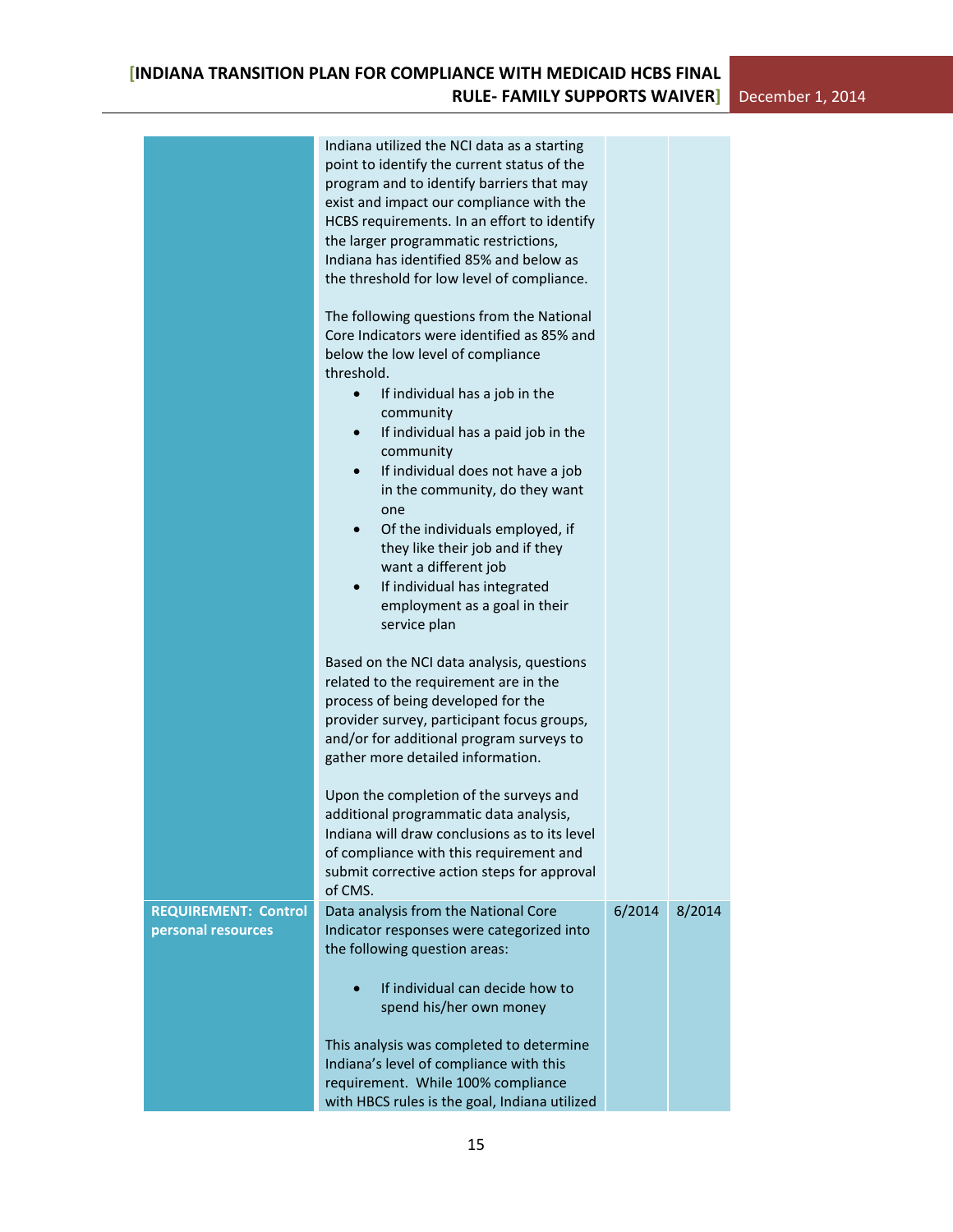|                                                   | Indiana utilized the NCI data as a starting<br>point to identify the current status of the<br>program and to identify barriers that may<br>exist and impact our compliance with the<br>HCBS requirements. In an effort to identify<br>the larger programmatic restrictions,<br>Indiana has identified 85% and below as<br>the threshold for low level of compliance.<br>The following questions from the National<br>Core Indicators were identified as 85% and<br>below the low level of compliance<br>threshold.<br>If individual has a job in the<br>$\bullet$<br>community<br>If individual has a paid job in the<br>community<br>If individual does not have a job<br>$\bullet$<br>in the community, do they want<br>one<br>Of the individuals employed, if<br>$\bullet$<br>they like their job and if they<br>want a different job<br>If individual has integrated<br>$\bullet$<br>employment as a goal in their<br>service plan |        |        |  |
|---------------------------------------------------|----------------------------------------------------------------------------------------------------------------------------------------------------------------------------------------------------------------------------------------------------------------------------------------------------------------------------------------------------------------------------------------------------------------------------------------------------------------------------------------------------------------------------------------------------------------------------------------------------------------------------------------------------------------------------------------------------------------------------------------------------------------------------------------------------------------------------------------------------------------------------------------------------------------------------------------|--------|--------|--|
|                                                   | Based on the NCI data analysis, questions<br>related to the requirement are in the<br>process of being developed for the<br>provider survey, participant focus groups,<br>and/or for additional program surveys to<br>gather more detailed information.                                                                                                                                                                                                                                                                                                                                                                                                                                                                                                                                                                                                                                                                                |        |        |  |
|                                                   | Upon the completion of the surveys and<br>additional programmatic data analysis,<br>Indiana will draw conclusions as to its level<br>of compliance with this requirement and<br>submit corrective action steps for approval<br>of CMS.                                                                                                                                                                                                                                                                                                                                                                                                                                                                                                                                                                                                                                                                                                 |        |        |  |
| <b>REQUIREMENT: Control</b><br>personal resources | Data analysis from the National Core<br>Indicator responses were categorized into                                                                                                                                                                                                                                                                                                                                                                                                                                                                                                                                                                                                                                                                                                                                                                                                                                                      | 6/2014 | 8/2014 |  |
|                                                   | the following question areas:                                                                                                                                                                                                                                                                                                                                                                                                                                                                                                                                                                                                                                                                                                                                                                                                                                                                                                          |        |        |  |
|                                                   | If individual can decide how to<br>spend his/her own money                                                                                                                                                                                                                                                                                                                                                                                                                                                                                                                                                                                                                                                                                                                                                                                                                                                                             |        |        |  |
|                                                   | This analysis was completed to determine<br>Indiana's level of compliance with this<br>requirement. While 100% compliance<br>with HBCS rules is the goal, Indiana utilized                                                                                                                                                                                                                                                                                                                                                                                                                                                                                                                                                                                                                                                                                                                                                             |        |        |  |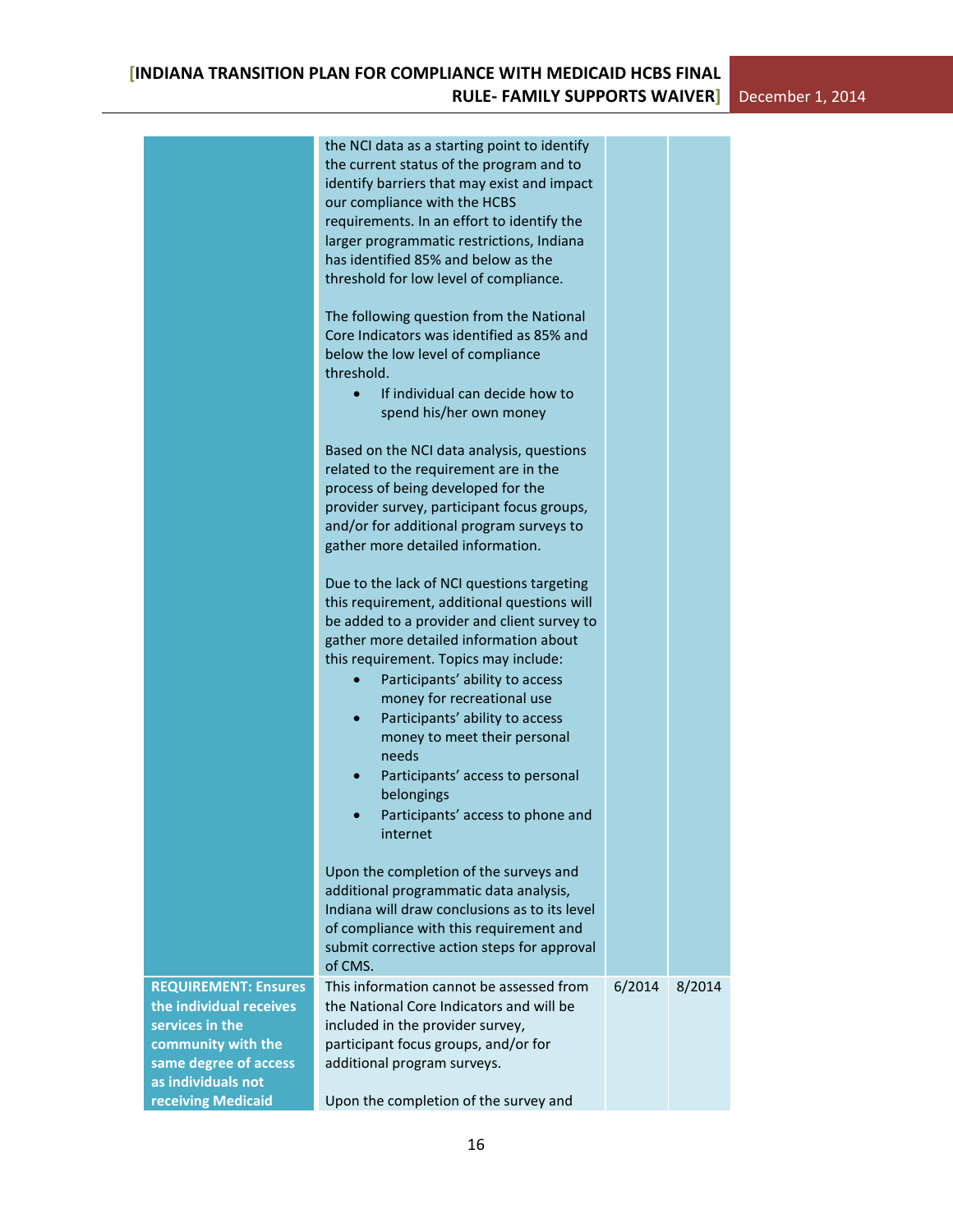|                                                                                                                                                | the NCI data as a starting point to identify<br>the current status of the program and to<br>identify barriers that may exist and impact<br>our compliance with the HCBS<br>requirements. In an effort to identify the<br>larger programmatic restrictions, Indiana<br>has identified 85% and below as the<br>threshold for low level of compliance.                                                                                                                                                                |        |        |
|------------------------------------------------------------------------------------------------------------------------------------------------|--------------------------------------------------------------------------------------------------------------------------------------------------------------------------------------------------------------------------------------------------------------------------------------------------------------------------------------------------------------------------------------------------------------------------------------------------------------------------------------------------------------------|--------|--------|
|                                                                                                                                                | The following question from the National<br>Core Indicators was identified as 85% and<br>below the low level of compliance<br>threshold.<br>If individual can decide how to<br>$\bullet$<br>spend his/her own money                                                                                                                                                                                                                                                                                                |        |        |
|                                                                                                                                                | Based on the NCI data analysis, questions<br>related to the requirement are in the<br>process of being developed for the<br>provider survey, participant focus groups,<br>and/or for additional program surveys to<br>gather more detailed information.                                                                                                                                                                                                                                                            |        |        |
|                                                                                                                                                | Due to the lack of NCI questions targeting<br>this requirement, additional questions will<br>be added to a provider and client survey to<br>gather more detailed information about<br>this requirement. Topics may include:<br>Participants' ability to access<br>money for recreational use<br>Participants' ability to access<br>$\bullet$<br>money to meet their personal<br>needs<br>Participants' access to personal<br>$\bullet$<br>belongings<br>Participants' access to phone and<br>$\bullet$<br>internet |        |        |
|                                                                                                                                                | Upon the completion of the surveys and<br>additional programmatic data analysis,<br>Indiana will draw conclusions as to its level<br>of compliance with this requirement and<br>submit corrective action steps for approval<br>of CMS.                                                                                                                                                                                                                                                                             |        |        |
| <b>REQUIREMENT: Ensures</b><br>the individual receives<br>services in the<br>community with the<br>same degree of access<br>as individuals not | This information cannot be assessed from<br>the National Core Indicators and will be<br>included in the provider survey,<br>participant focus groups, and/or for<br>additional program surveys.                                                                                                                                                                                                                                                                                                                    | 6/2014 | 8/2014 |
| receiving Medicaid                                                                                                                             | Upon the completion of the survey and                                                                                                                                                                                                                                                                                                                                                                                                                                                                              |        |        |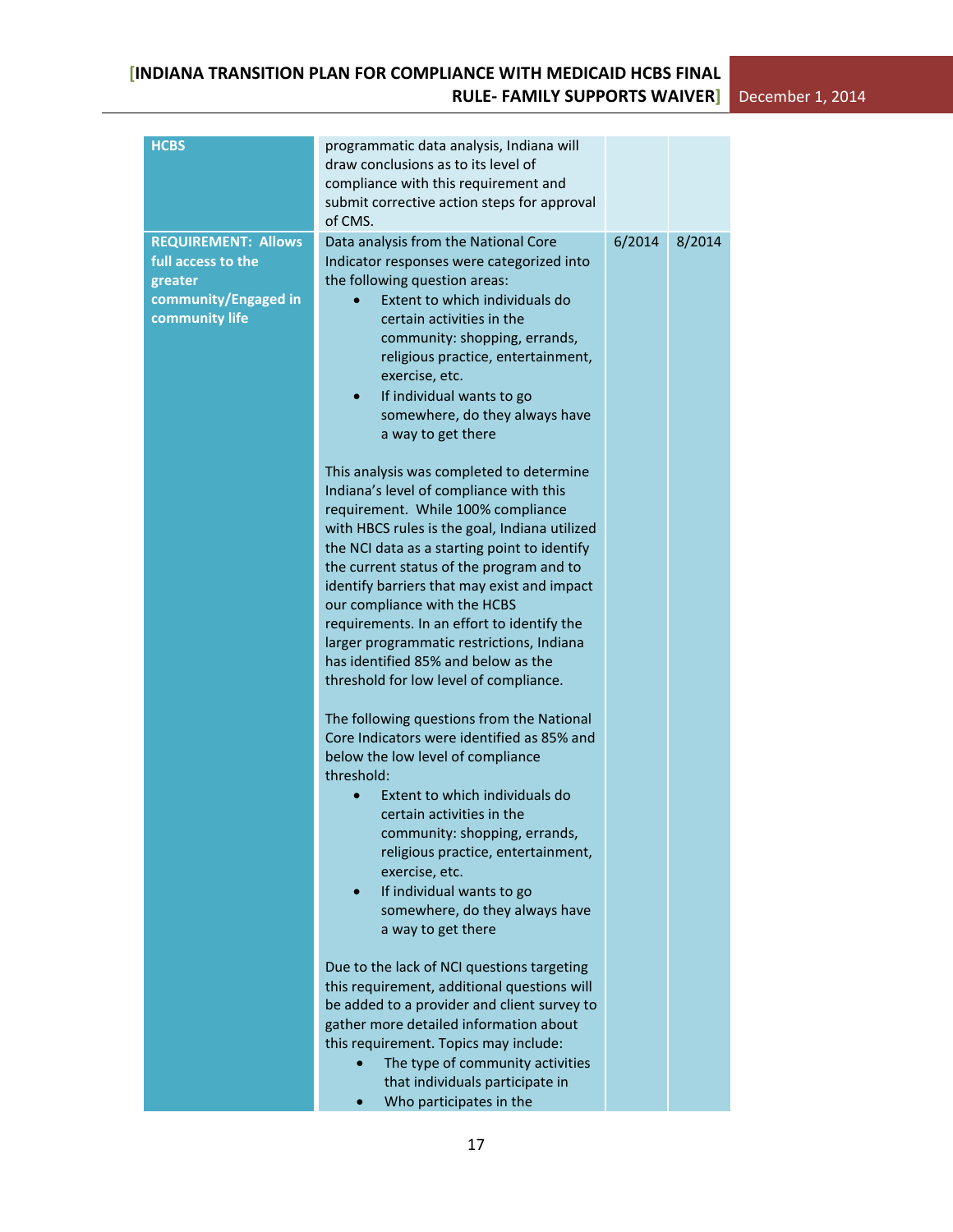| <b>HCBS</b>                                                                                           | programmatic data analysis, Indiana will<br>draw conclusions as to its level of<br>compliance with this requirement and<br>submit corrective action steps for approval<br>of CMS.                                                                                                                                                                                                                                                                                                                                                                                                                                                                                                                                                                                                                                                                                                                                                                                                                                                                                                                                                                                                                                                                                                                                                                                                                                                                                                                                                                                                                     |        |        |
|-------------------------------------------------------------------------------------------------------|-------------------------------------------------------------------------------------------------------------------------------------------------------------------------------------------------------------------------------------------------------------------------------------------------------------------------------------------------------------------------------------------------------------------------------------------------------------------------------------------------------------------------------------------------------------------------------------------------------------------------------------------------------------------------------------------------------------------------------------------------------------------------------------------------------------------------------------------------------------------------------------------------------------------------------------------------------------------------------------------------------------------------------------------------------------------------------------------------------------------------------------------------------------------------------------------------------------------------------------------------------------------------------------------------------------------------------------------------------------------------------------------------------------------------------------------------------------------------------------------------------------------------------------------------------------------------------------------------------|--------|--------|
| <b>REQUIREMENT: Allows</b><br>full access to the<br>greater<br>community/Engaged in<br>community life | Data analysis from the National Core<br>Indicator responses were categorized into<br>the following question areas:<br>Extent to which individuals do<br>certain activities in the<br>community: shopping, errands,<br>religious practice, entertainment,<br>exercise, etc.<br>If individual wants to go<br>somewhere, do they always have<br>a way to get there<br>This analysis was completed to determine<br>Indiana's level of compliance with this<br>requirement. While 100% compliance<br>with HBCS rules is the goal, Indiana utilized<br>the NCI data as a starting point to identify<br>the current status of the program and to<br>identify barriers that may exist and impact<br>our compliance with the HCBS<br>requirements. In an effort to identify the<br>larger programmatic restrictions, Indiana<br>has identified 85% and below as the<br>threshold for low level of compliance.<br>The following questions from the National<br>Core Indicators were identified as 85% and<br>below the low level of compliance<br>threshold:<br>Extent to which individuals do<br>certain activities in the<br>community: shopping, errands,<br>religious practice, entertainment,<br>exercise, etc.<br>If individual wants to go<br>somewhere, do they always have<br>a way to get there<br>Due to the lack of NCI questions targeting<br>this requirement, additional questions will<br>be added to a provider and client survey to<br>gather more detailed information about<br>this requirement. Topics may include:<br>The type of community activities<br>that individuals participate in | 6/2014 | 8/2014 |
|                                                                                                       | Who participates in the                                                                                                                                                                                                                                                                                                                                                                                                                                                                                                                                                                                                                                                                                                                                                                                                                                                                                                                                                                                                                                                                                                                                                                                                                                                                                                                                                                                                                                                                                                                                                                               |        |        |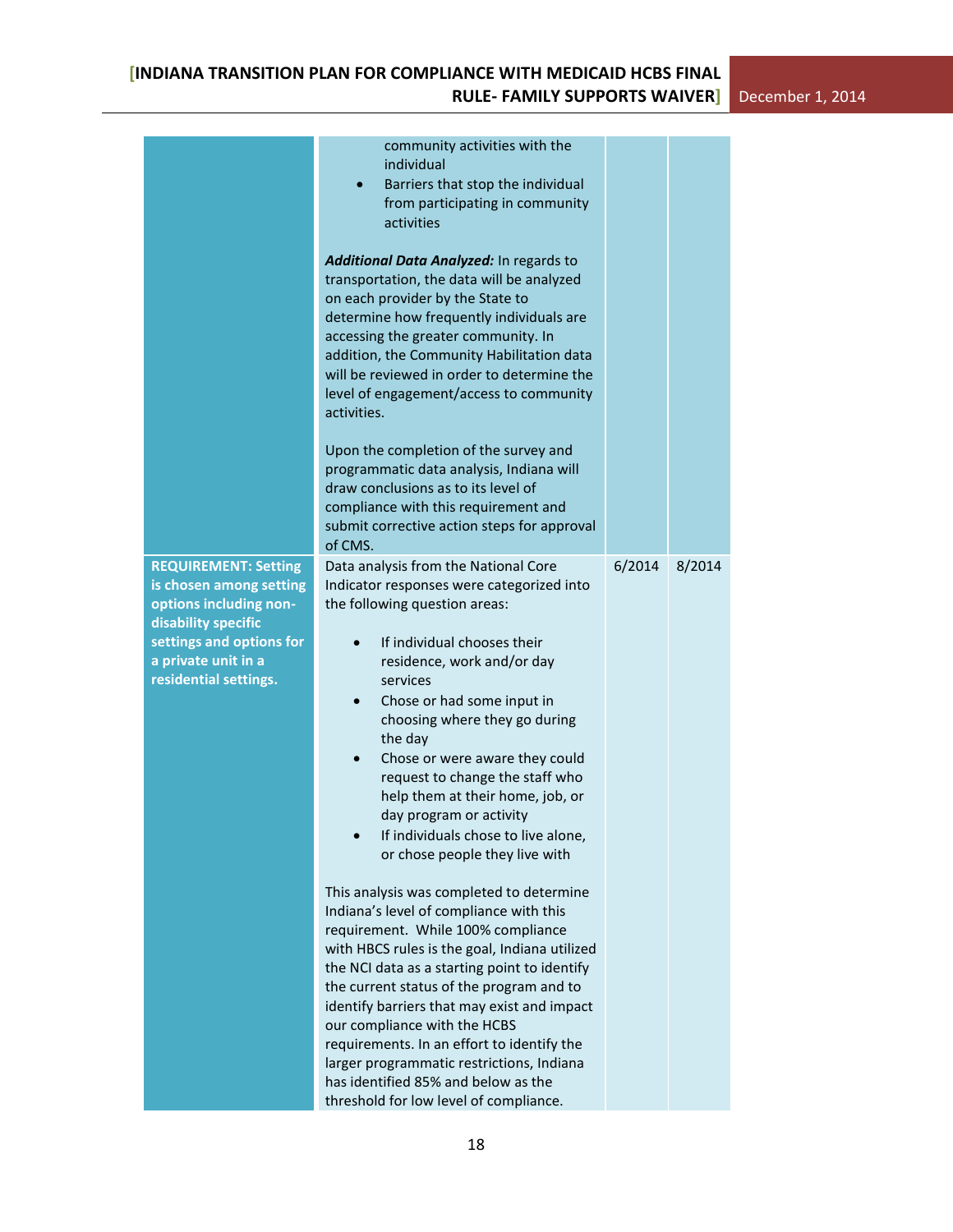|                                                                                                                                                                                     | community activities with the<br>individual<br>Barriers that stop the individual<br>$\bullet$<br>from participating in community<br>activities<br>Additional Data Analyzed: In regards to<br>transportation, the data will be analyzed<br>on each provider by the State to<br>determine how frequently individuals are<br>accessing the greater community. In<br>addition, the Community Habilitation data<br>will be reviewed in order to determine the<br>level of engagement/access to community<br>activities.<br>Upon the completion of the survey and<br>programmatic data analysis, Indiana will<br>draw conclusions as to its level of<br>compliance with this requirement and<br>submit corrective action steps for approval<br>of CMS.                                                                                                                                                                                                                                                                                                  |        |        |
|-------------------------------------------------------------------------------------------------------------------------------------------------------------------------------------|---------------------------------------------------------------------------------------------------------------------------------------------------------------------------------------------------------------------------------------------------------------------------------------------------------------------------------------------------------------------------------------------------------------------------------------------------------------------------------------------------------------------------------------------------------------------------------------------------------------------------------------------------------------------------------------------------------------------------------------------------------------------------------------------------------------------------------------------------------------------------------------------------------------------------------------------------------------------------------------------------------------------------------------------------|--------|--------|
| <b>REQUIREMENT: Setting</b><br>is chosen among setting<br>options including non-<br>disability specific<br>settings and options for<br>a private unit in a<br>residential settings. | Data analysis from the National Core<br>Indicator responses were categorized into<br>the following question areas:<br>If individual chooses their<br>residence, work and/or day<br>services<br>Chose or had some input in<br>$\bullet$<br>choosing where they go during<br>the day<br>Chose or were aware they could<br>$\bullet$<br>request to change the staff who<br>help them at their home, job, or<br>day program or activity<br>If individuals chose to live alone,<br>or chose people they live with<br>This analysis was completed to determine<br>Indiana's level of compliance with this<br>requirement. While 100% compliance<br>with HBCS rules is the goal, Indiana utilized<br>the NCI data as a starting point to identify<br>the current status of the program and to<br>identify barriers that may exist and impact<br>our compliance with the HCBS<br>requirements. In an effort to identify the<br>larger programmatic restrictions, Indiana<br>has identified 85% and below as the<br>threshold for low level of compliance. | 6/2014 | 8/2014 |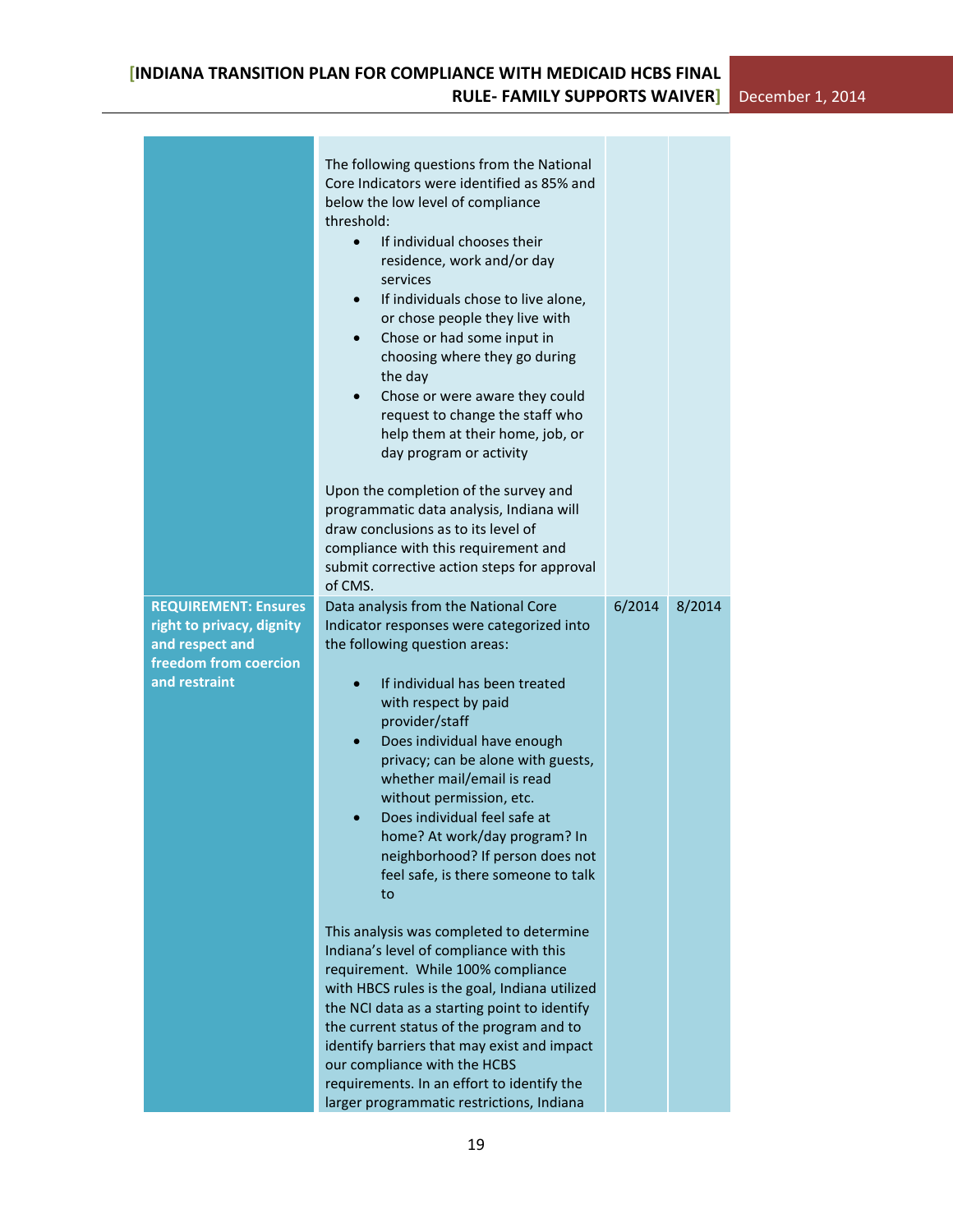|                                                          | The following questions from the National<br>Core Indicators were identified as 85% and<br>below the low level of compliance<br>threshold:<br>If individual chooses their<br>$\bullet$<br>residence, work and/or day<br>services<br>If individuals chose to live alone,<br>$\bullet$<br>or chose people they live with<br>Chose or had some input in<br>choosing where they go during<br>the day<br>Chose or were aware they could<br>request to change the staff who<br>help them at their home, job, or<br>day program or activity<br>Upon the completion of the survey and<br>programmatic data analysis, Indiana will<br>draw conclusions as to its level of<br>compliance with this requirement and<br>submit corrective action steps for approval<br>of CMS. |        |        |
|----------------------------------------------------------|--------------------------------------------------------------------------------------------------------------------------------------------------------------------------------------------------------------------------------------------------------------------------------------------------------------------------------------------------------------------------------------------------------------------------------------------------------------------------------------------------------------------------------------------------------------------------------------------------------------------------------------------------------------------------------------------------------------------------------------------------------------------|--------|--------|
| <b>REQUIREMENT: Ensures</b><br>right to privacy, dignity | Data analysis from the National Core<br>Indicator responses were categorized into                                                                                                                                                                                                                                                                                                                                                                                                                                                                                                                                                                                                                                                                                  | 6/2014 | 8/2014 |
| and respect and<br>freedom from coercion                 | the following question areas:                                                                                                                                                                                                                                                                                                                                                                                                                                                                                                                                                                                                                                                                                                                                      |        |        |
| and restraint                                            | If individual has been treated<br>with respect by paid<br>provider/staff<br>Does individual have enough<br>privacy; can be alone with guests,<br>whether mail/email is read<br>without permission, etc.<br>Does individual feel safe at<br>home? At work/day program? In<br>neighborhood? If person does not<br>feel safe, is there someone to talk<br>to                                                                                                                                                                                                                                                                                                                                                                                                          |        |        |
|                                                          | This analysis was completed to determine<br>Indiana's level of compliance with this<br>requirement. While 100% compliance<br>with HBCS rules is the goal, Indiana utilized<br>the NCI data as a starting point to identify<br>the current status of the program and to<br>identify barriers that may exist and impact<br>our compliance with the HCBS<br>requirements. In an effort to identify the<br>larger programmatic restrictions, Indiana                                                                                                                                                                                                                                                                                                                   |        |        |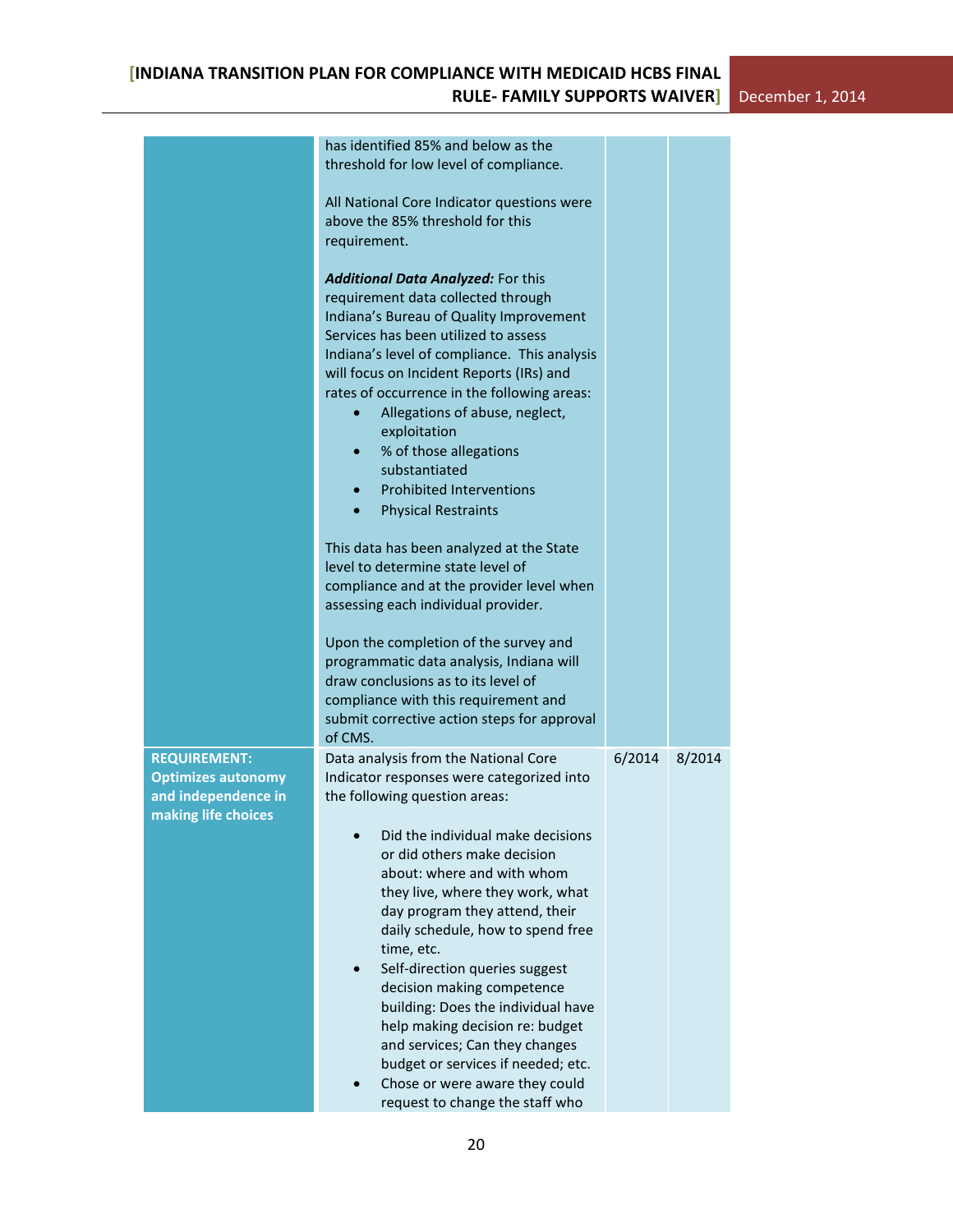|                                                                                                | has identified 85% and below as the<br>threshold for low level of compliance.                                                                                                                                                                                                                                                                                                                                                                                                                                                                                                                                                       |        |        |  |
|------------------------------------------------------------------------------------------------|-------------------------------------------------------------------------------------------------------------------------------------------------------------------------------------------------------------------------------------------------------------------------------------------------------------------------------------------------------------------------------------------------------------------------------------------------------------------------------------------------------------------------------------------------------------------------------------------------------------------------------------|--------|--------|--|
|                                                                                                | All National Core Indicator questions were<br>above the 85% threshold for this<br>requirement.                                                                                                                                                                                                                                                                                                                                                                                                                                                                                                                                      |        |        |  |
|                                                                                                | <b>Additional Data Analyzed: For this</b><br>requirement data collected through<br>Indiana's Bureau of Quality Improvement<br>Services has been utilized to assess<br>Indiana's level of compliance. This analysis<br>will focus on Incident Reports (IRs) and<br>rates of occurrence in the following areas:<br>Allegations of abuse, neglect,<br>exploitation<br>% of those allegations<br>substantiated<br><b>Prohibited Interventions</b><br><b>Physical Restraints</b><br>$\bullet$                                                                                                                                            |        |        |  |
|                                                                                                | This data has been analyzed at the State<br>level to determine state level of<br>compliance and at the provider level when<br>assessing each individual provider.                                                                                                                                                                                                                                                                                                                                                                                                                                                                   |        |        |  |
|                                                                                                | Upon the completion of the survey and<br>programmatic data analysis, Indiana will<br>draw conclusions as to its level of<br>compliance with this requirement and<br>submit corrective action steps for approval<br>of CMS.                                                                                                                                                                                                                                                                                                                                                                                                          |        |        |  |
| <b>REQUIREMENT:</b><br><b>Optimizes autonomy</b><br>and independence in<br>making life choices | Data analysis from the National Core<br>Indicator responses were categorized into<br>the following question areas:<br>Did the individual make decisions<br>or did others make decision<br>about: where and with whom<br>they live, where they work, what<br>day program they attend, their<br>daily schedule, how to spend free<br>time, etc.<br>Self-direction queries suggest<br>decision making competence<br>building: Does the individual have<br>help making decision re: budget<br>and services; Can they changes<br>budget or services if needed; etc.<br>Chose or were aware they could<br>request to change the staff who | 6/2014 | 8/2014 |  |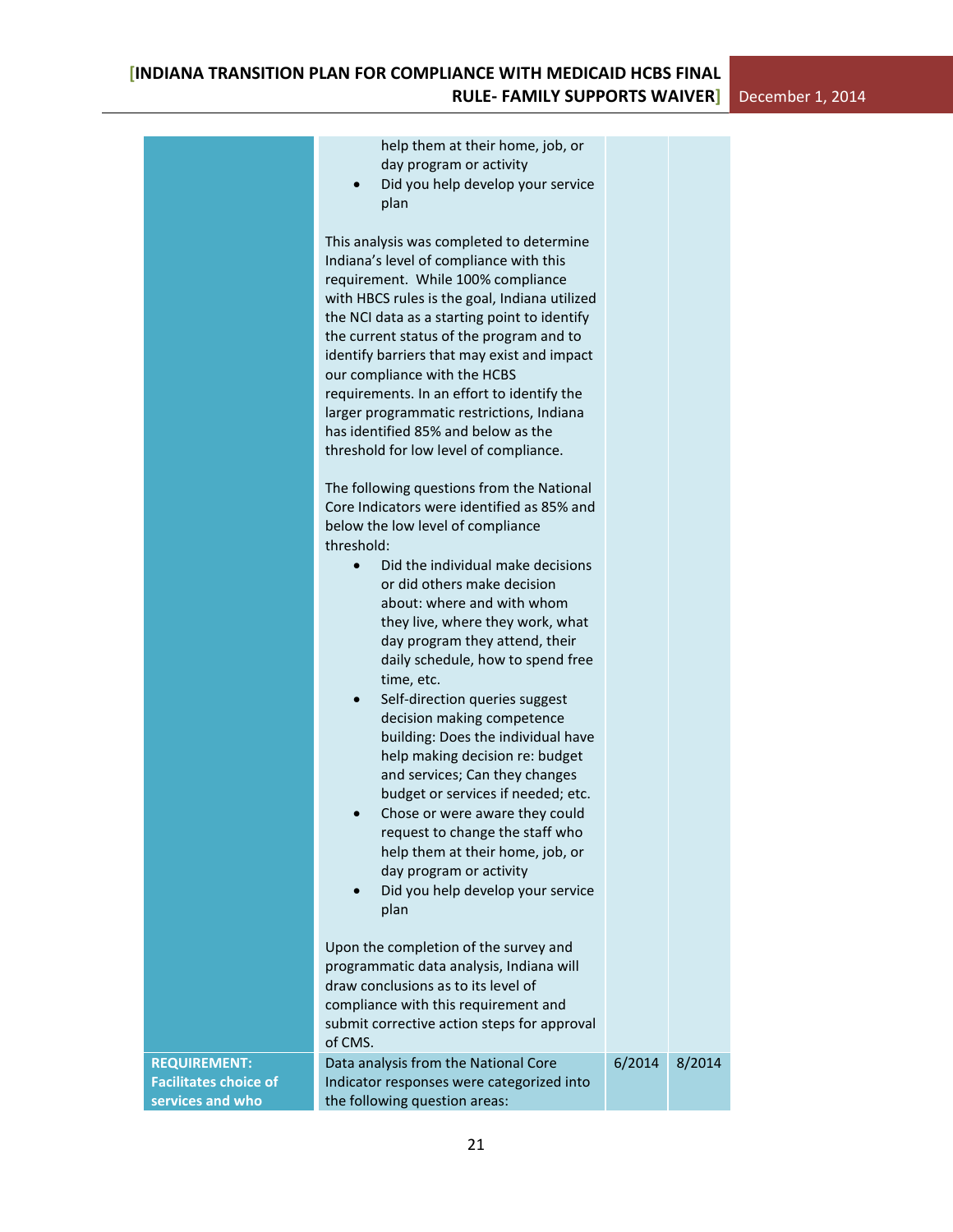|                                                     | help them at their home, job, or<br>day program or activity<br>Did you help develop your service<br>plan                                                                                                                                                                                                                                                                                                                                                                                                                          |        |        |
|-----------------------------------------------------|-----------------------------------------------------------------------------------------------------------------------------------------------------------------------------------------------------------------------------------------------------------------------------------------------------------------------------------------------------------------------------------------------------------------------------------------------------------------------------------------------------------------------------------|--------|--------|
|                                                     | This analysis was completed to determine<br>Indiana's level of compliance with this<br>requirement. While 100% compliance<br>with HBCS rules is the goal, Indiana utilized<br>the NCI data as a starting point to identify<br>the current status of the program and to<br>identify barriers that may exist and impact<br>our compliance with the HCBS<br>requirements. In an effort to identify the<br>larger programmatic restrictions, Indiana<br>has identified 85% and below as the<br>threshold for low level of compliance. |        |        |
|                                                     | The following questions from the National<br>Core Indicators were identified as 85% and<br>below the low level of compliance<br>threshold:                                                                                                                                                                                                                                                                                                                                                                                        |        |        |
|                                                     | Did the individual make decisions<br>$\bullet$<br>or did others make decision<br>about: where and with whom<br>they live, where they work, what<br>day program they attend, their<br>daily schedule, how to spend free<br>time, etc.<br>Self-direction queries suggest<br>$\bullet$                                                                                                                                                                                                                                               |        |        |
|                                                     | decision making competence<br>building: Does the individual have<br>help making decision re: budget<br>and services; Can they changes<br>budget or services if needed; etc.<br>Chose or were aware they could<br>request to change the staff who<br>help them at their home, job, or<br>day program or activity<br>Did you help develop your service                                                                                                                                                                              |        |        |
|                                                     | plan<br>Upon the completion of the survey and<br>programmatic data analysis, Indiana will                                                                                                                                                                                                                                                                                                                                                                                                                                         |        |        |
|                                                     | draw conclusions as to its level of<br>compliance with this requirement and<br>submit corrective action steps for approval<br>of CMS.                                                                                                                                                                                                                                                                                                                                                                                             |        |        |
| <b>REQUIREMENT:</b><br><b>Facilitates choice of</b> | Data analysis from the National Core<br>Indicator responses were categorized into                                                                                                                                                                                                                                                                                                                                                                                                                                                 | 6/2014 | 8/2014 |
| services and who                                    | the following question areas:                                                                                                                                                                                                                                                                                                                                                                                                                                                                                                     |        |        |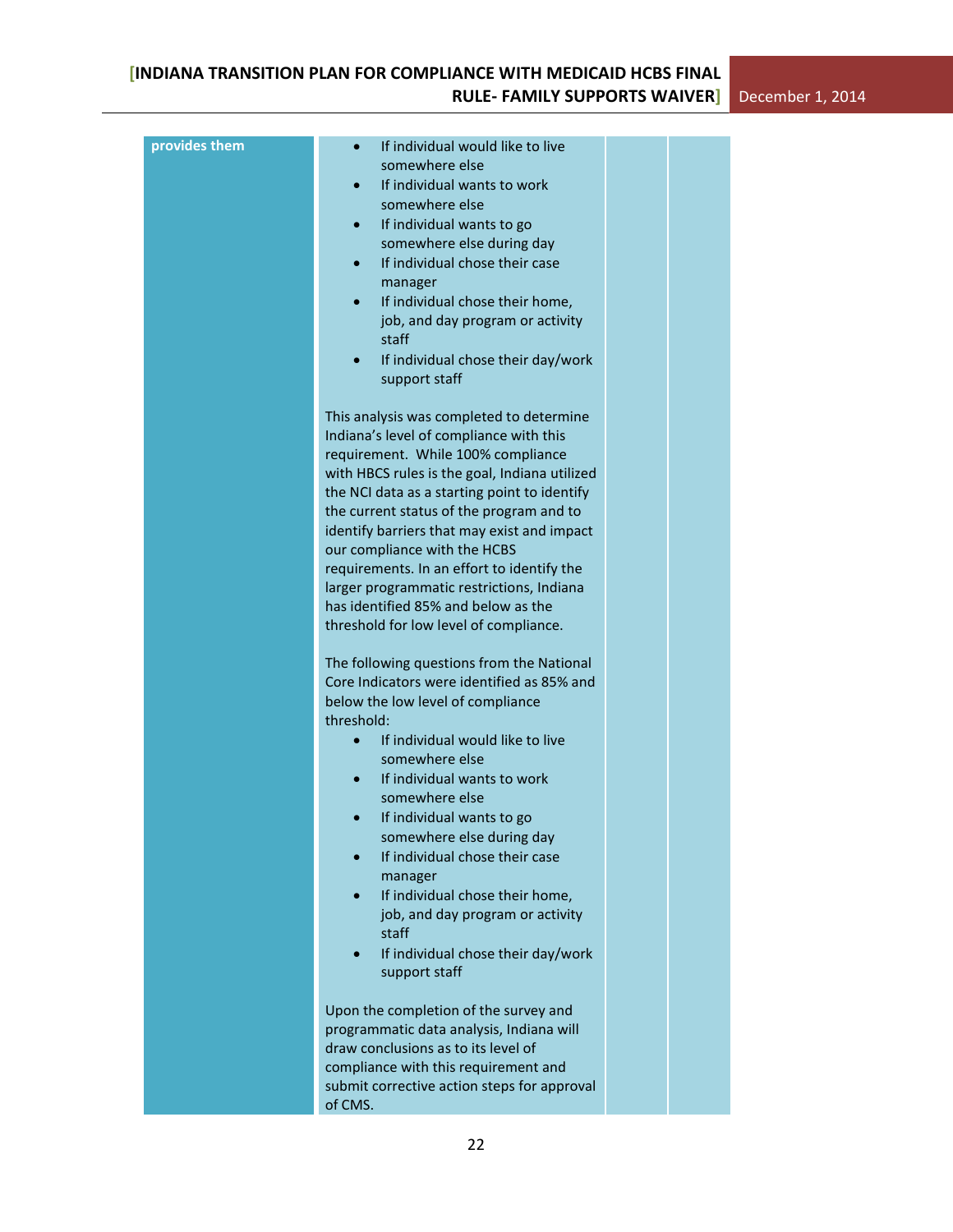| provides them | If individual would like to live<br>$\bullet$<br>somewhere else<br>If individual wants to work<br>somewhere else<br>If individual wants to go<br>somewhere else during day<br>If individual chose their case<br>$\bullet$<br>manager<br>If individual chose their home,<br>$\bullet$<br>job, and day program or activity<br>staff<br>If individual chose their day/work<br>support staff                                                                                                                                               |  |  |
|---------------|----------------------------------------------------------------------------------------------------------------------------------------------------------------------------------------------------------------------------------------------------------------------------------------------------------------------------------------------------------------------------------------------------------------------------------------------------------------------------------------------------------------------------------------|--|--|
|               | This analysis was completed to determine<br>Indiana's level of compliance with this<br>requirement. While 100% compliance<br>with HBCS rules is the goal, Indiana utilized<br>the NCI data as a starting point to identify<br>the current status of the program and to<br>identify barriers that may exist and impact<br>our compliance with the HCBS<br>requirements. In an effort to identify the<br>larger programmatic restrictions, Indiana<br>has identified 85% and below as the<br>threshold for low level of compliance.      |  |  |
|               | The following questions from the National<br>Core Indicators were identified as 85% and<br>below the low level of compliance<br>threshold:<br>If individual would like to live<br>$\bullet$<br>somewhere else<br>If individual wants to work<br>$\bullet$<br>somewhere else<br>If individual wants to go<br>$\bullet$<br>somewhere else during day<br>If individual chose their case<br>manager<br>If individual chose their home,<br>job, and day program or activity<br>staff<br>If individual chose their day/work<br>support staff |  |  |
|               | Upon the completion of the survey and<br>programmatic data analysis, Indiana will<br>draw conclusions as to its level of<br>compliance with this requirement and<br>submit corrective action steps for approval<br>of CMS.                                                                                                                                                                                                                                                                                                             |  |  |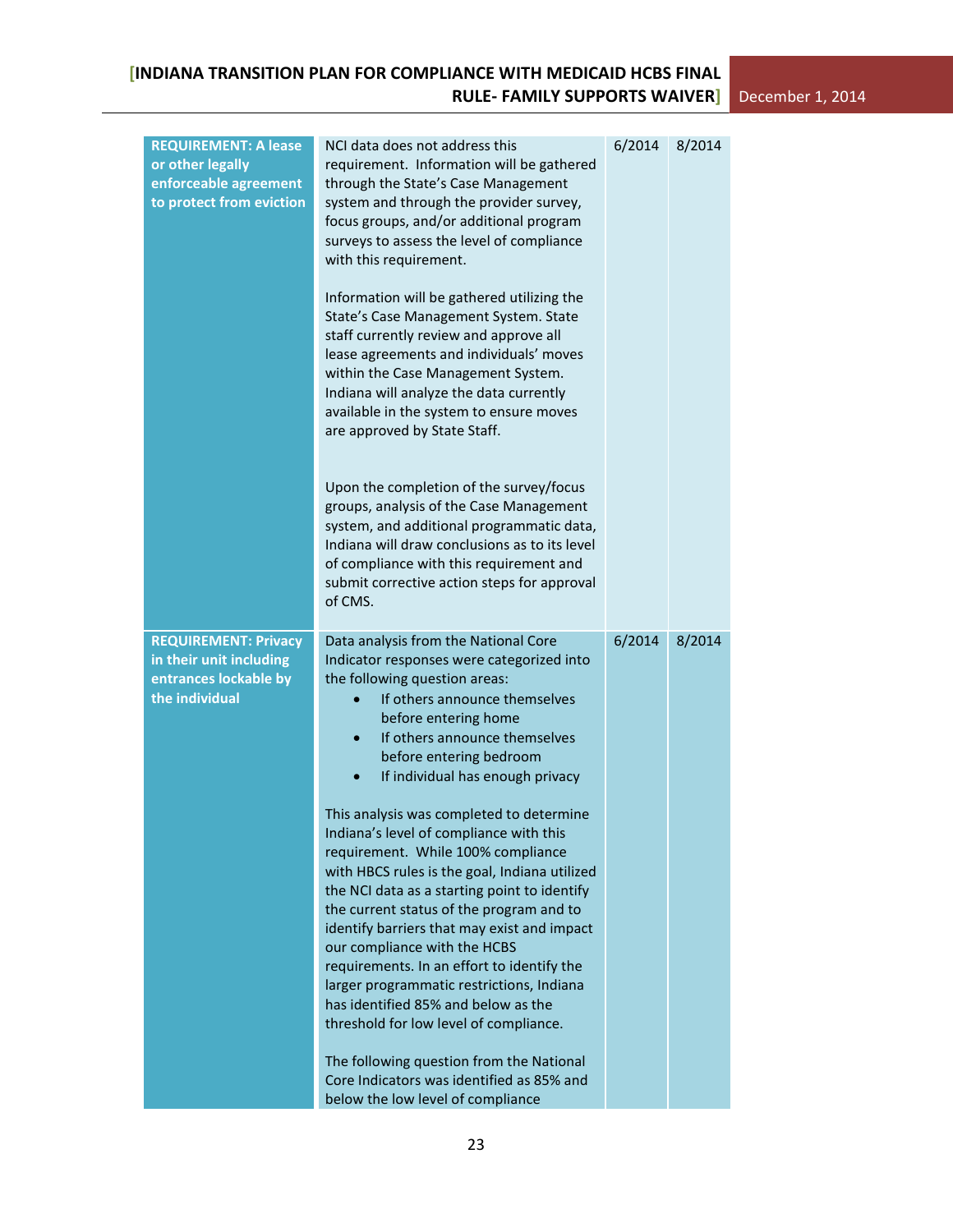| <b>REQUIREMENT: A lease</b><br>or other legally<br>enforceable agreement<br>to protect from eviction | NCI data does not address this<br>requirement. Information will be gathered<br>through the State's Case Management<br>system and through the provider survey,<br>focus groups, and/or additional program<br>surveys to assess the level of compliance<br>with this requirement.<br>Information will be gathered utilizing the<br>State's Case Management System. State<br>staff currently review and approve all<br>lease agreements and individuals' moves<br>within the Case Management System.<br>Indiana will analyze the data currently<br>available in the system to ensure moves<br>are approved by State Staff.<br>Upon the completion of the survey/focus<br>groups, analysis of the Case Management<br>system, and additional programmatic data,<br>Indiana will draw conclusions as to its level<br>of compliance with this requirement and<br>submit corrective action steps for approval<br>of CMS.                                            | 6/2014 | 8/2014 |
|------------------------------------------------------------------------------------------------------|-------------------------------------------------------------------------------------------------------------------------------------------------------------------------------------------------------------------------------------------------------------------------------------------------------------------------------------------------------------------------------------------------------------------------------------------------------------------------------------------------------------------------------------------------------------------------------------------------------------------------------------------------------------------------------------------------------------------------------------------------------------------------------------------------------------------------------------------------------------------------------------------------------------------------------------------------------------|--------|--------|
| <b>REQUIREMENT: Privacy</b><br>in their unit including<br>entrances lockable by<br>the individual    | Data analysis from the National Core<br>Indicator responses were categorized into<br>the following question areas:<br>If others announce themselves<br>before entering home<br>If others announce themselves<br>$\bullet$<br>before entering bedroom<br>If individual has enough privacy<br>This analysis was completed to determine<br>Indiana's level of compliance with this<br>requirement. While 100% compliance<br>with HBCS rules is the goal, Indiana utilized<br>the NCI data as a starting point to identify<br>the current status of the program and to<br>identify barriers that may exist and impact<br>our compliance with the HCBS<br>requirements. In an effort to identify the<br>larger programmatic restrictions, Indiana<br>has identified 85% and below as the<br>threshold for low level of compliance.<br>The following question from the National<br>Core Indicators was identified as 85% and<br>below the low level of compliance | 6/2014 | 8/2014 |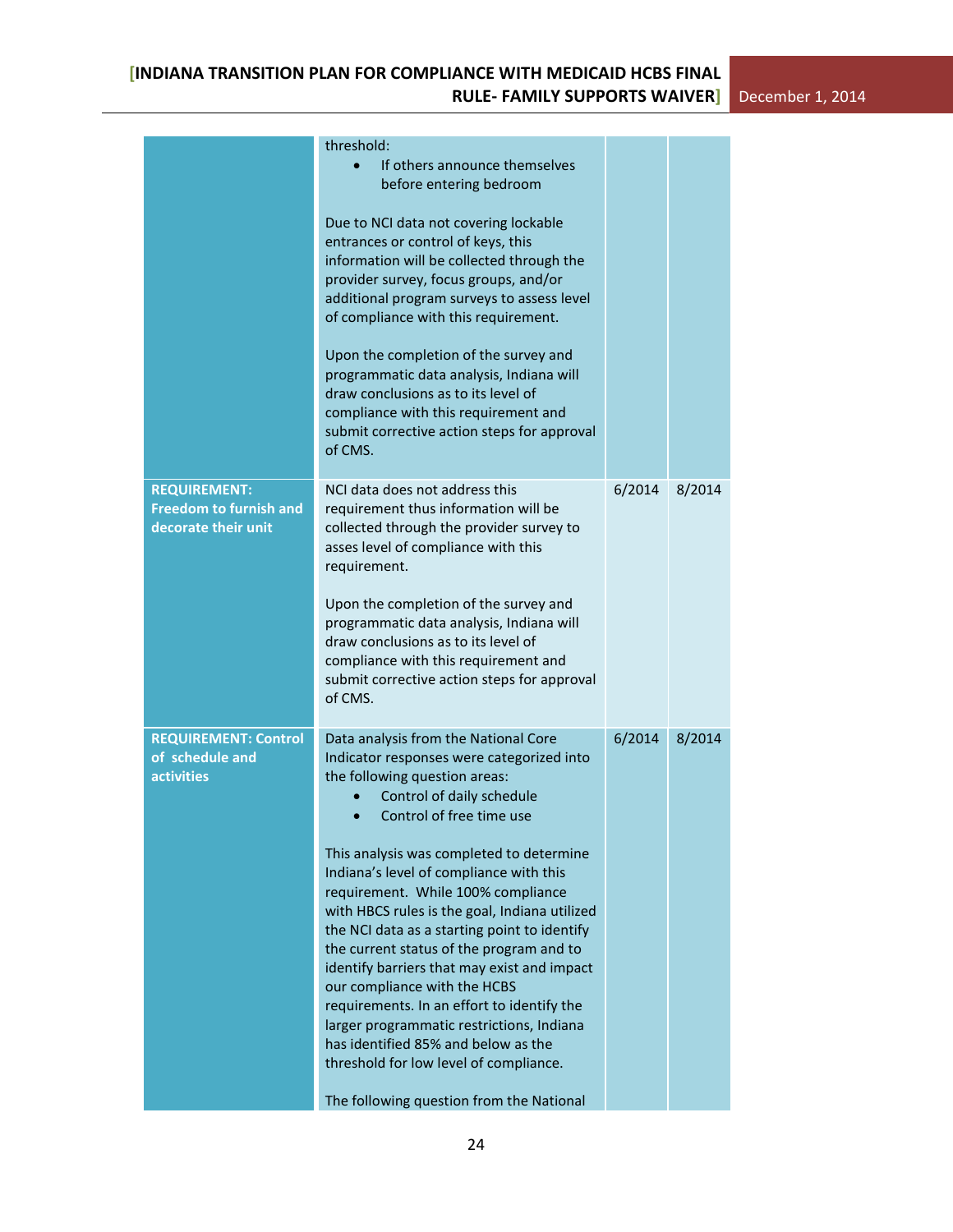|                                                                             | threshold:<br>If others announce themselves<br>before entering bedroom<br>Due to NCI data not covering lockable<br>entrances or control of keys, this<br>information will be collected through the<br>provider survey, focus groups, and/or<br>additional program surveys to assess level<br>of compliance with this requirement.<br>Upon the completion of the survey and<br>programmatic data analysis, Indiana will<br>draw conclusions as to its level of<br>compliance with this requirement and<br>submit corrective action steps for approval<br>of CMS.                                                                                                                                                                                              |        |        |
|-----------------------------------------------------------------------------|--------------------------------------------------------------------------------------------------------------------------------------------------------------------------------------------------------------------------------------------------------------------------------------------------------------------------------------------------------------------------------------------------------------------------------------------------------------------------------------------------------------------------------------------------------------------------------------------------------------------------------------------------------------------------------------------------------------------------------------------------------------|--------|--------|
| <b>REQUIREMENT:</b><br><b>Freedom to furnish and</b><br>decorate their unit | NCI data does not address this<br>requirement thus information will be<br>collected through the provider survey to<br>asses level of compliance with this<br>requirement.<br>Upon the completion of the survey and<br>programmatic data analysis, Indiana will<br>draw conclusions as to its level of<br>compliance with this requirement and<br>submit corrective action steps for approval<br>of CMS.                                                                                                                                                                                                                                                                                                                                                      | 6/2014 | 8/2014 |
| <b>REQUIREMENT: Control</b><br>of schedule and<br><b>activities</b>         | Data analysis from the National Core<br>Indicator responses were categorized into<br>the following question areas:<br>Control of daily schedule<br>Control of free time use<br>This analysis was completed to determine<br>Indiana's level of compliance with this<br>requirement. While 100% compliance<br>with HBCS rules is the goal, Indiana utilized<br>the NCI data as a starting point to identify<br>the current status of the program and to<br>identify barriers that may exist and impact<br>our compliance with the HCBS<br>requirements. In an effort to identify the<br>larger programmatic restrictions, Indiana<br>has identified 85% and below as the<br>threshold for low level of compliance.<br>The following question from the National | 6/2014 | 8/2014 |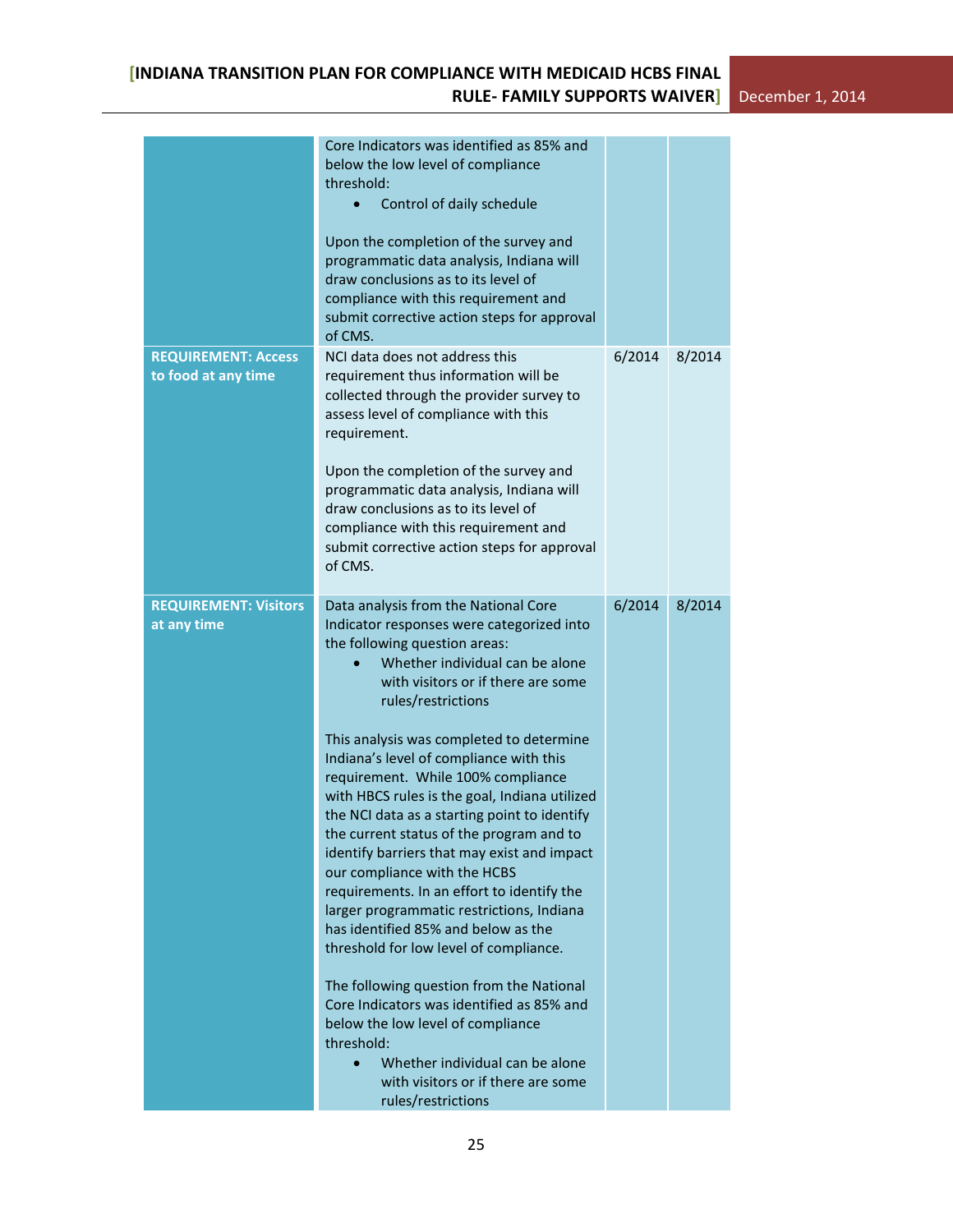|                                                   | Core Indicators was identified as 85% and<br>below the low level of compliance<br>threshold:<br>Control of daily schedule<br>$\bullet$<br>Upon the completion of the survey and<br>programmatic data analysis, Indiana will<br>draw conclusions as to its level of<br>compliance with this requirement and<br>submit corrective action steps for approval<br>of CMS.                                                                                                                                                                                                                                                                                                                                                                                                                                                                                                                                                                                                                                           |        |        |
|---------------------------------------------------|----------------------------------------------------------------------------------------------------------------------------------------------------------------------------------------------------------------------------------------------------------------------------------------------------------------------------------------------------------------------------------------------------------------------------------------------------------------------------------------------------------------------------------------------------------------------------------------------------------------------------------------------------------------------------------------------------------------------------------------------------------------------------------------------------------------------------------------------------------------------------------------------------------------------------------------------------------------------------------------------------------------|--------|--------|
| <b>REQUIREMENT: Access</b><br>to food at any time | NCI data does not address this<br>requirement thus information will be<br>collected through the provider survey to<br>assess level of compliance with this<br>requirement.<br>Upon the completion of the survey and<br>programmatic data analysis, Indiana will<br>draw conclusions as to its level of<br>compliance with this requirement and<br>submit corrective action steps for approval<br>of CMS.                                                                                                                                                                                                                                                                                                                                                                                                                                                                                                                                                                                                       | 6/2014 | 8/2014 |
| <b>REQUIREMENT: Visitors</b><br>at any time       | Data analysis from the National Core<br>Indicator responses were categorized into<br>the following question areas:<br>Whether individual can be alone<br>with visitors or if there are some<br>rules/restrictions<br>This analysis was completed to determine<br>Indiana's level of compliance with this<br>requirement. While 100% compliance<br>with HBCS rules is the goal, Indiana utilized<br>the NCI data as a starting point to identify<br>the current status of the program and to<br>identify barriers that may exist and impact<br>our compliance with the HCBS<br>requirements. In an effort to identify the<br>larger programmatic restrictions, Indiana<br>has identified 85% and below as the<br>threshold for low level of compliance.<br>The following question from the National<br>Core Indicators was identified as 85% and<br>below the low level of compliance<br>threshold:<br>Whether individual can be alone<br>$\bullet$<br>with visitors or if there are some<br>rules/restrictions | 6/2014 | 8/2014 |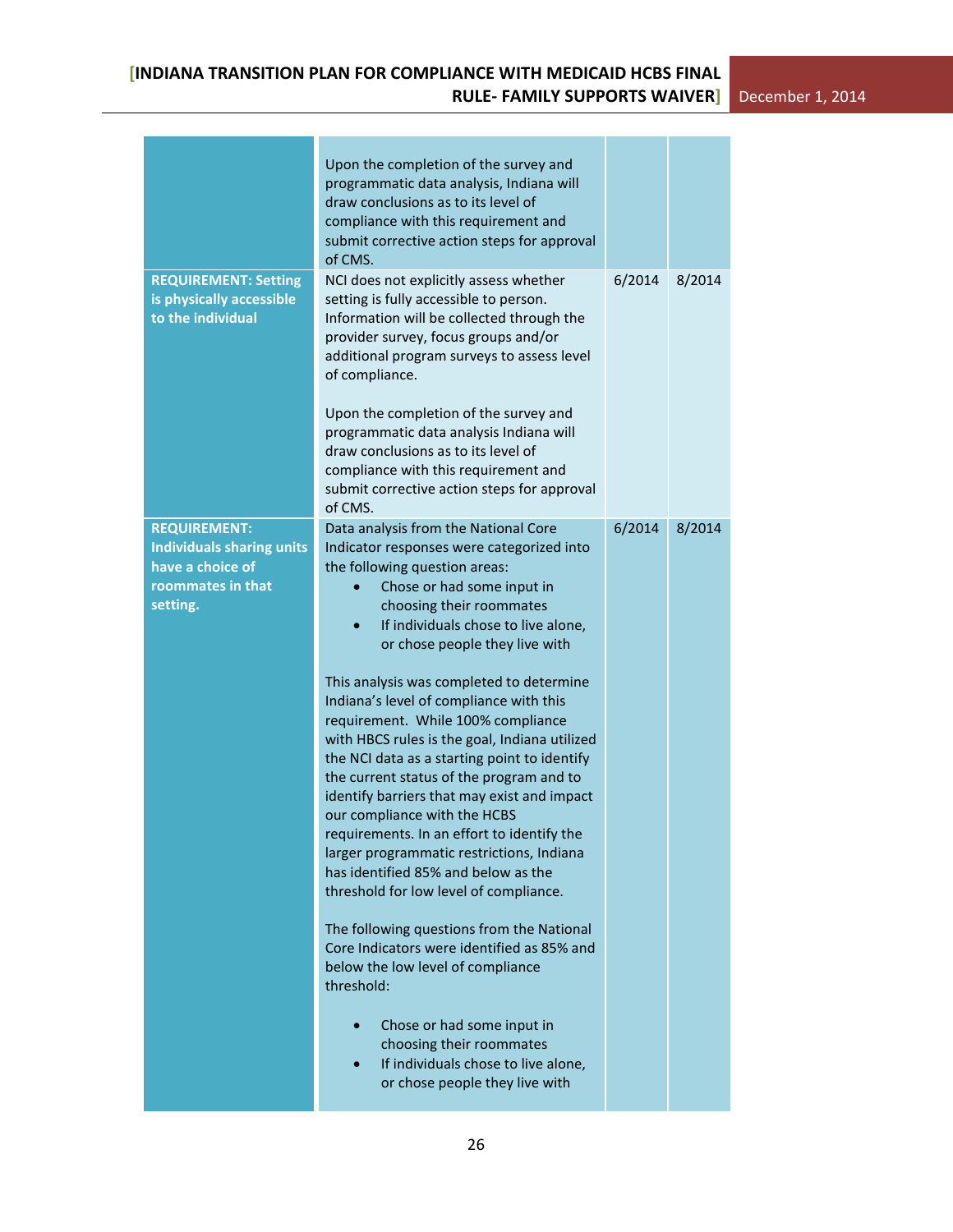|                                                                                                              | Upon the completion of the survey and<br>programmatic data analysis, Indiana will<br>draw conclusions as to its level of<br>compliance with this requirement and<br>submit corrective action steps for approval<br>of CMS.                                                                                                                                                                                                                                                                                                                                                                                                                                                                                                                                                                                                                                                                                                                                                                                                                                                  |        |        |
|--------------------------------------------------------------------------------------------------------------|-----------------------------------------------------------------------------------------------------------------------------------------------------------------------------------------------------------------------------------------------------------------------------------------------------------------------------------------------------------------------------------------------------------------------------------------------------------------------------------------------------------------------------------------------------------------------------------------------------------------------------------------------------------------------------------------------------------------------------------------------------------------------------------------------------------------------------------------------------------------------------------------------------------------------------------------------------------------------------------------------------------------------------------------------------------------------------|--------|--------|
| <b>REQUIREMENT: Setting</b><br>is physically accessible<br>to the individual                                 | NCI does not explicitly assess whether<br>setting is fully accessible to person.<br>Information will be collected through the<br>provider survey, focus groups and/or<br>additional program surveys to assess level<br>of compliance.<br>Upon the completion of the survey and<br>programmatic data analysis Indiana will<br>draw conclusions as to its level of<br>compliance with this requirement and<br>submit corrective action steps for approval<br>of CMS.                                                                                                                                                                                                                                                                                                                                                                                                                                                                                                                                                                                                          | 6/2014 | 8/2014 |
| <b>REQUIREMENT:</b><br><b>Individuals sharing units</b><br>have a choice of<br>roommates in that<br>setting. | Data analysis from the National Core<br>Indicator responses were categorized into<br>the following question areas:<br>Chose or had some input in<br>choosing their roommates<br>If individuals chose to live alone,<br>or chose people they live with<br>This analysis was completed to determine<br>Indiana's level of compliance with this<br>requirement. While 100% compliance<br>with HBCS rules is the goal, Indiana utilized<br>the NCI data as a starting point to identify<br>the current status of the program and to<br>identify barriers that may exist and impact<br>our compliance with the HCBS<br>requirements. In an effort to identify the<br>larger programmatic restrictions, Indiana<br>has identified 85% and below as the<br>threshold for low level of compliance.<br>The following questions from the National<br>Core Indicators were identified as 85% and<br>below the low level of compliance<br>threshold:<br>Chose or had some input in<br>choosing their roommates<br>If individuals chose to live alone,<br>or chose people they live with | 6/2014 | 8/2014 |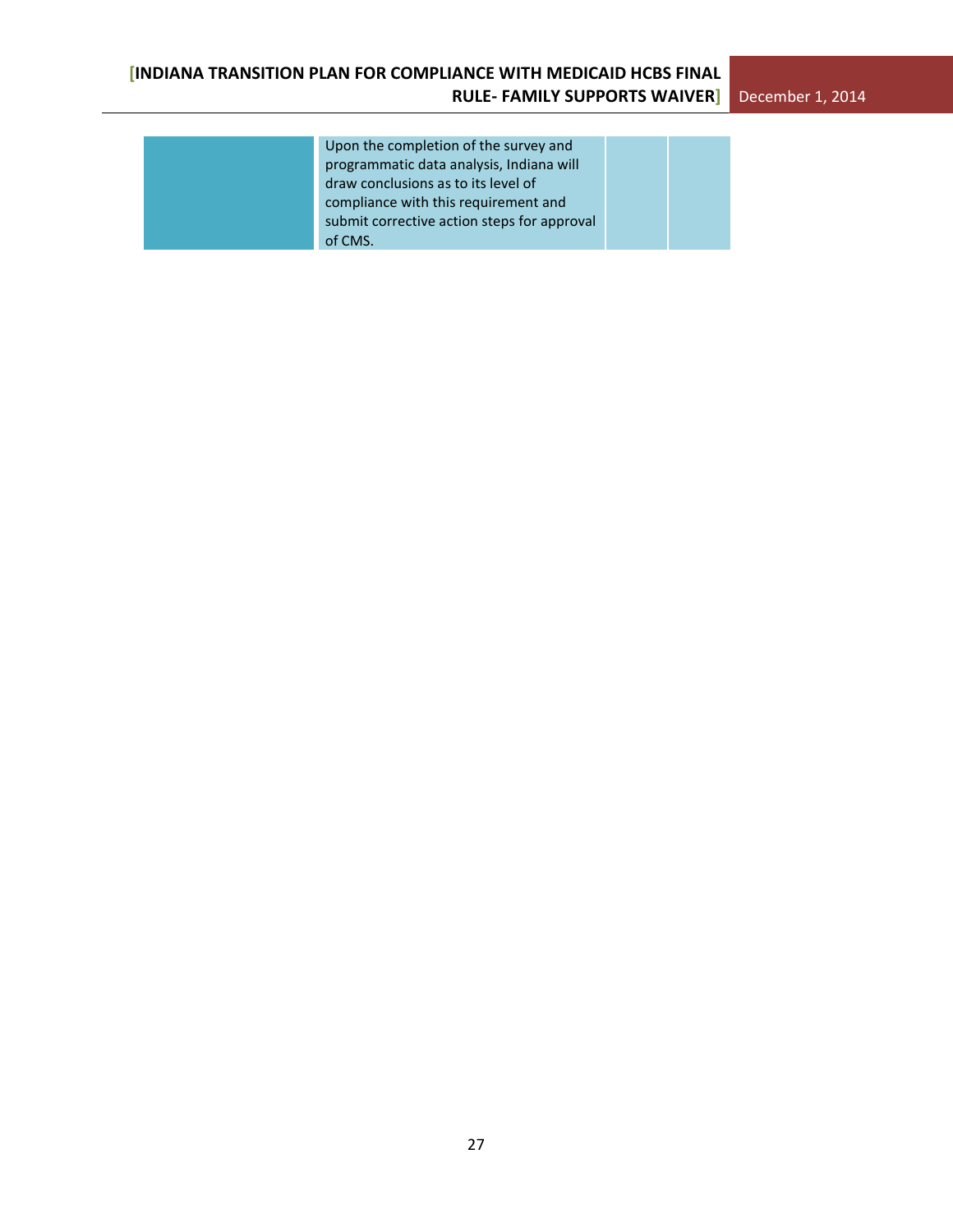| Upon the completion of the survey and       |
|---------------------------------------------|
| programmatic data analysis, Indiana will    |
| draw conclusions as to its level of         |
| compliance with this requirement and        |
| submit corrective action steps for approval |
| of CMS.                                     |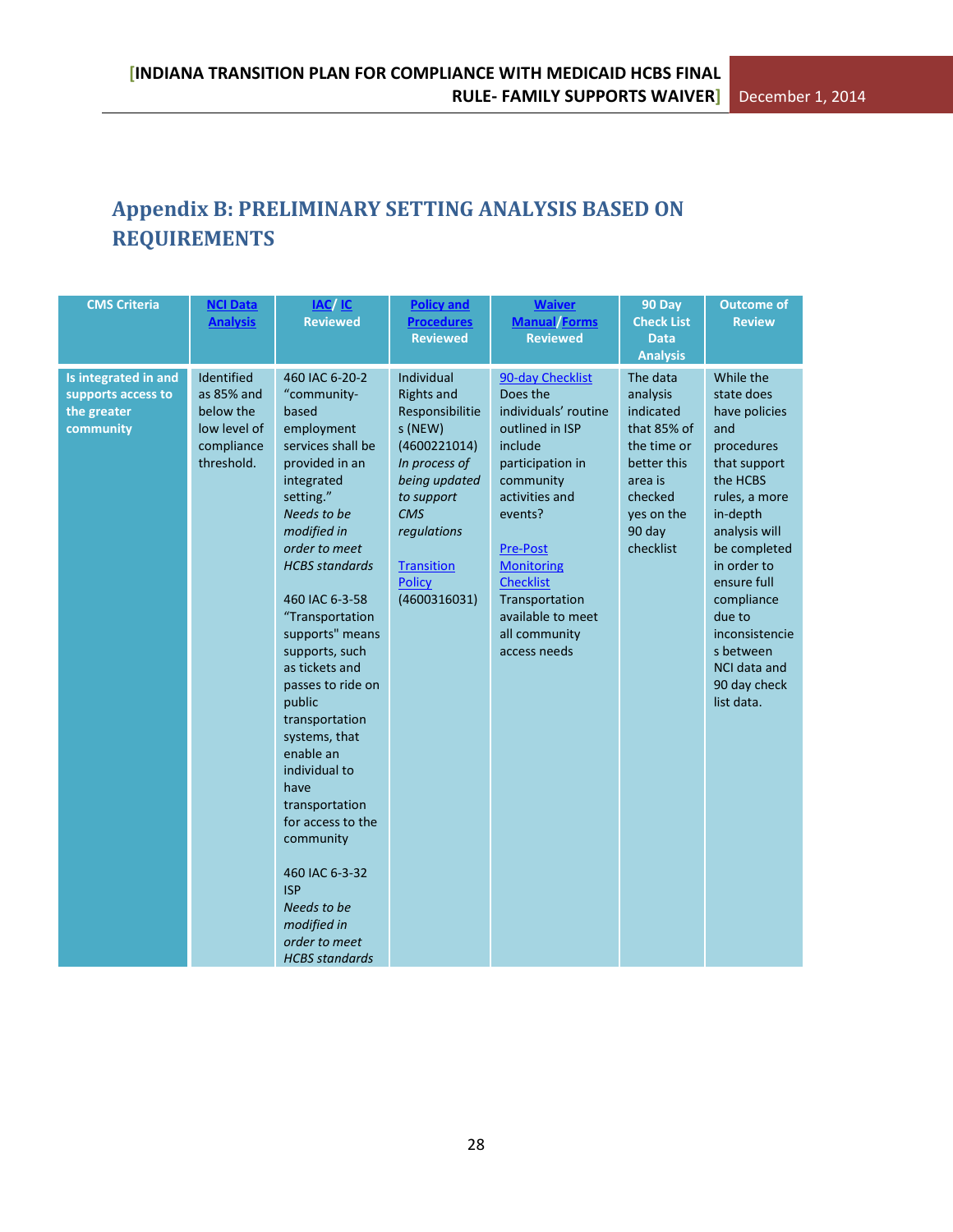# <span id="page-27-0"></span>**Appendix B: PRELIMINARY SETTING ANALYSIS BASED ON REQUIREMENTS**

| <b>Reviewed</b><br><b>Reviewed</b><br><b>Data</b><br><b>Analysis</b>                                                                                                                                                                                                                                                                                                                                                                                                                                                                                                                                                                                                                                                                                                                                                                                                                                                                                                                                                                                                                                                                                                                                                                                                                                                                                                                   |                                                                                                                                                                                                                                                                                            |
|----------------------------------------------------------------------------------------------------------------------------------------------------------------------------------------------------------------------------------------------------------------------------------------------------------------------------------------------------------------------------------------------------------------------------------------------------------------------------------------------------------------------------------------------------------------------------------------------------------------------------------------------------------------------------------------------------------------------------------------------------------------------------------------------------------------------------------------------------------------------------------------------------------------------------------------------------------------------------------------------------------------------------------------------------------------------------------------------------------------------------------------------------------------------------------------------------------------------------------------------------------------------------------------------------------------------------------------------------------------------------------------|--------------------------------------------------------------------------------------------------------------------------------------------------------------------------------------------------------------------------------------------------------------------------------------------|
| Identified<br>460 IAC 6-20-2<br>Individual<br>Is integrated in and<br>90-day Checklist<br>The data<br>Does the<br>as 85% and<br>"community-<br><b>Rights and</b><br>analysis<br>supports access to<br>individuals' routine<br>below the<br>Responsibilitie<br>indicated<br>the greater<br>based<br>s (NEW)<br>outlined in ISP<br>that 85% of<br>community<br>low level of<br>employment<br>services shall be<br>(4600221014)<br>compliance<br>include<br>the time or<br>threshold.<br>provided in an<br>In process of<br>participation in<br>better this<br>being updated<br>community<br>integrated<br>area is<br>setting."<br>activities and<br>checked<br>to support<br><b>CMS</b><br>Needs to be<br>events?<br>yes on the<br>modified in<br>90 day<br>regulations<br>order to meet<br>checklist<br><b>Pre-Post</b><br><b>HCBS</b> standards<br><b>Transition</b><br><b>Monitoring</b><br><b>Checklist</b><br><b>Policy</b><br>460 IAC 6-3-58<br>(4600316031)<br>Transportation<br>"Transportation<br>available to meet<br>supports" means<br>all community<br>supports, such<br>access needs<br>as tickets and<br>passes to ride on<br>public<br>transportation<br>systems, that<br>enable an<br>individual to<br>have<br>transportation<br>for access to the<br>community<br>460 IAC 6-3-32<br><b>ISP</b><br>Needs to be<br>modified in<br>order to meet<br><b>HCBS</b> standards | While the<br>state does<br>have policies<br>and<br>procedures<br>that support<br>the HCBS<br>rules, a more<br>in-depth<br>analysis will<br>be completed<br>in order to<br>ensure full<br>compliance<br>due to<br>inconsistencie<br>s between<br>NCI data and<br>90 day check<br>list data. |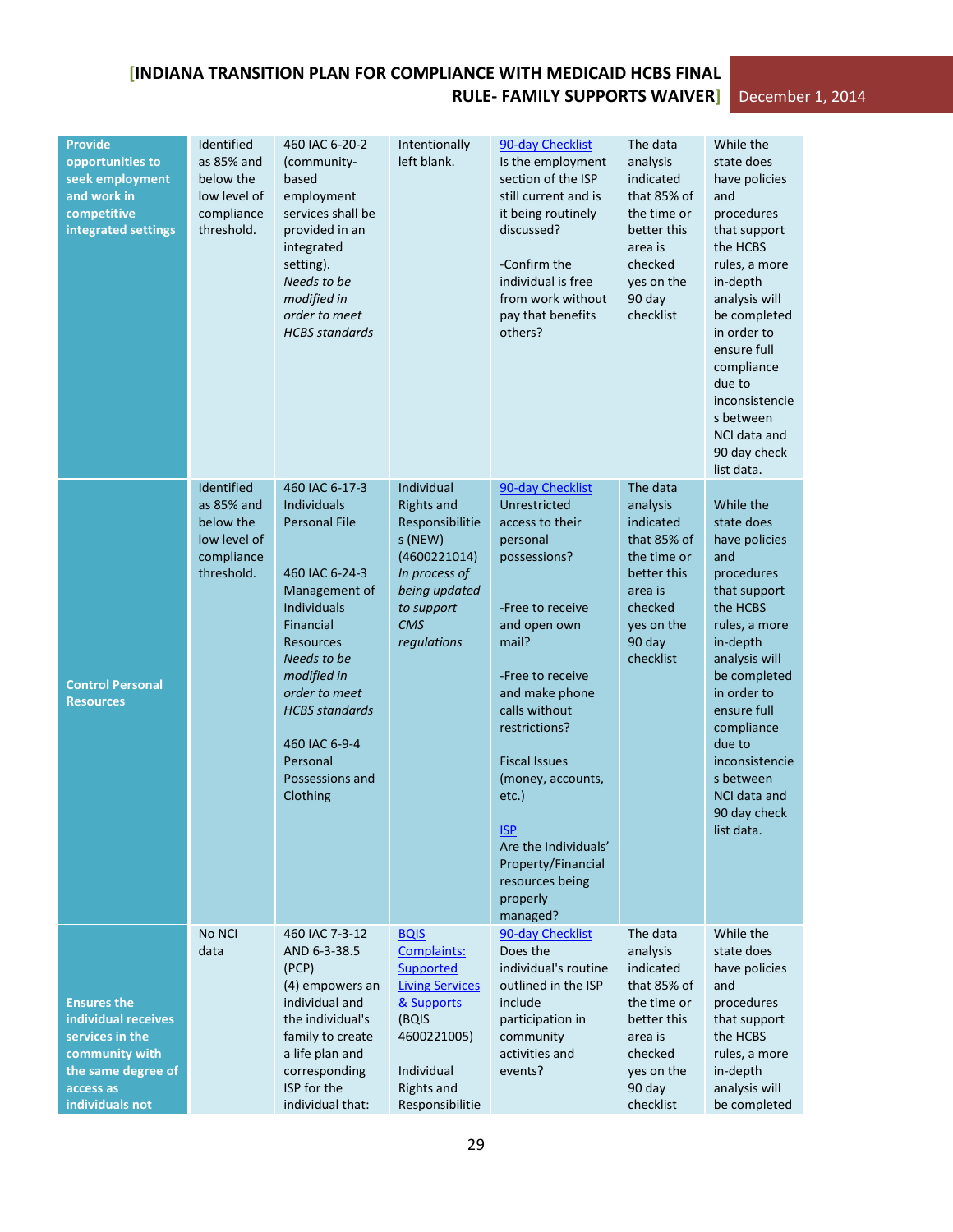| <b>Provide</b><br>opportunities to<br>seek employment<br>and work in<br>competitive<br>integrated settings                           | Identified<br>as 85% and<br>below the<br>low level of<br>compliance<br>threshold. | 460 IAC 6-20-2<br>(community-<br>based<br>employment<br>services shall be<br>provided in an<br>integrated<br>setting).<br>Needs to be<br>modified in<br>order to meet<br><b>HCBS</b> standards                                                                               | Intentionally<br>left blank.                                                                                                                                  | 90-day Checklist<br>Is the employment<br>section of the ISP<br>still current and is<br>it being routinely<br>discussed?<br>-Confirm the<br>individual is free<br>from work without<br>pay that benefits<br>others?                                                                                                                                                | The data<br>analysis<br>indicated<br>that 85% of<br>the time or<br>better this<br>area is<br>checked<br>yes on the<br>90 day<br>checklist | While the<br>state does<br>have policies<br>and<br>procedures<br>that support<br>the HCBS<br>rules, a more<br>in-depth<br>analysis will<br>be completed<br>in order to<br>ensure full<br>compliance<br>due to<br>inconsistencie<br>s between<br>NCI data and<br>90 day check<br>list data. |
|--------------------------------------------------------------------------------------------------------------------------------------|-----------------------------------------------------------------------------------|------------------------------------------------------------------------------------------------------------------------------------------------------------------------------------------------------------------------------------------------------------------------------|---------------------------------------------------------------------------------------------------------------------------------------------------------------|-------------------------------------------------------------------------------------------------------------------------------------------------------------------------------------------------------------------------------------------------------------------------------------------------------------------------------------------------------------------|-------------------------------------------------------------------------------------------------------------------------------------------|--------------------------------------------------------------------------------------------------------------------------------------------------------------------------------------------------------------------------------------------------------------------------------------------|
| <b>Control Personal</b><br><b>Resources</b>                                                                                          | Identified<br>as 85% and<br>below the<br>low level of<br>compliance<br>threshold. | 460 IAC 6-17-3<br>Individuals<br>Personal File<br>460 IAC 6-24-3<br>Management of<br><b>Individuals</b><br>Financial<br><b>Resources</b><br>Needs to be<br>modified in<br>order to meet<br><b>HCBS</b> standards<br>460 IAC 6-9-4<br>Personal<br>Possessions and<br>Clothing | Individual<br><b>Rights and</b><br>Responsibilitie<br>s (NEW)<br>(4600221014)<br>In process of<br>being updated<br>to support<br><b>CMS</b><br>regulations    | 90-day Checklist<br>Unrestricted<br>access to their<br>personal<br>possessions?<br>-Free to receive<br>and open own<br>mail?<br>-Free to receive<br>and make phone<br>calls without<br>restrictions?<br><b>Fiscal Issues</b><br>(money, accounts,<br>etc.)<br><u>ISP</u><br>Are the Individuals'<br>Property/Financial<br>resources being<br>properly<br>managed? | The data<br>analysis<br>indicated<br>that 85% of<br>the time or<br>better this<br>area is<br>checked<br>yes on the<br>90 day<br>checklist | While the<br>state does<br>have policies<br>and<br>procedures<br>that support<br>the HCBS<br>rules, a more<br>in-depth<br>analysis will<br>be completed<br>in order to<br>ensure full<br>compliance<br>due to<br>inconsistencie<br>s between<br>NCI data and<br>90 day check<br>list data. |
| <b>Ensures the</b><br>individual receives<br>services in the<br>community with<br>the same degree of<br>access as<br>individuals not | No NCI<br>data                                                                    | 460 IAC 7-3-12<br>AND 6-3-38.5<br>(PCP)<br>(4) empowers an<br>individual and<br>the individual's<br>family to create<br>a life plan and<br>corresponding<br>ISP for the<br>individual that:                                                                                  | <b>BQIS</b><br>Complaints:<br>Supported<br><b>Living Services</b><br>& Supports<br>(BQIS<br>4600221005)<br>Individual<br><b>Rights and</b><br>Responsibilitie | 90-day Checklist<br>Does the<br>individual's routine<br>outlined in the ISP<br>include<br>participation in<br>community<br>activities and<br>events?                                                                                                                                                                                                              | The data<br>analysis<br>indicated<br>that 85% of<br>the time or<br>better this<br>area is<br>checked<br>yes on the<br>90 day<br>checklist | While the<br>state does<br>have policies<br>and<br>procedures<br>that support<br>the HCBS<br>rules, a more<br>in-depth<br>analysis will<br>be completed                                                                                                                                    |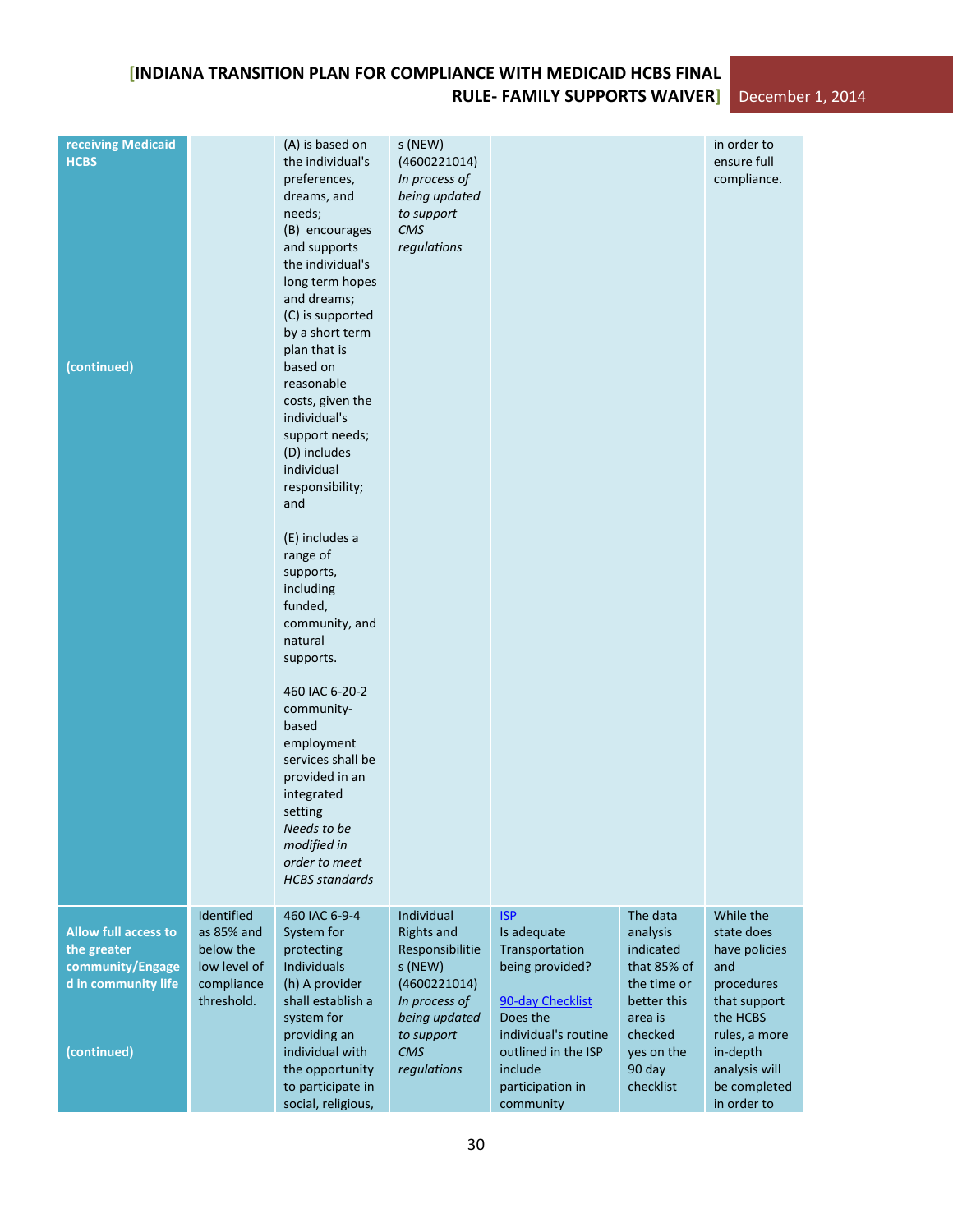| receiving Medicaid<br><b>HCBS</b><br>(continued)                                                     |                                                                                   | (A) is based on<br>the individual's<br>preferences,<br>dreams, and<br>needs;<br>(B) encourages<br>and supports<br>the individual's<br>long term hopes<br>and dreams;<br>(C) is supported<br>by a short term<br>plan that is<br>based on<br>reasonable<br>costs, given the<br>individual's<br>support needs;<br>(D) includes<br>individual<br>responsibility;<br>and<br>(E) includes a<br>range of<br>supports,<br>including<br>funded,<br>community, and<br>natural<br>supports.<br>460 IAC 6-20-2<br>community-<br>based<br>employment<br>services shall be<br>provided in an<br>integrated<br>setting<br>Needs to be<br>modified in<br>order to meet<br><b>HCBS</b> standards | s (NEW)<br>(4600221014)<br>In process of<br>being updated<br>to support<br>CMS<br>regulations                                                              |                                                                                                                                                                                           |                                                                                                                                           | in order to<br>ensure full<br>compliance.                                                                                                                              |  |
|------------------------------------------------------------------------------------------------------|-----------------------------------------------------------------------------------|---------------------------------------------------------------------------------------------------------------------------------------------------------------------------------------------------------------------------------------------------------------------------------------------------------------------------------------------------------------------------------------------------------------------------------------------------------------------------------------------------------------------------------------------------------------------------------------------------------------------------------------------------------------------------------|------------------------------------------------------------------------------------------------------------------------------------------------------------|-------------------------------------------------------------------------------------------------------------------------------------------------------------------------------------------|-------------------------------------------------------------------------------------------------------------------------------------------|------------------------------------------------------------------------------------------------------------------------------------------------------------------------|--|
| <b>Allow full access to</b><br>the greater<br>community/Engage<br>d in community life<br>(continued) | Identified<br>as 85% and<br>below the<br>low level of<br>compliance<br>threshold. | 460 IAC 6-9-4<br>System for<br>protecting<br>Individuals<br>(h) A provider<br>shall establish a<br>system for<br>providing an<br>individual with<br>the opportunity<br>to participate in<br>social, religious,                                                                                                                                                                                                                                                                                                                                                                                                                                                                  | Individual<br><b>Rights and</b><br>Responsibilitie<br>s (NEW)<br>(4600221014)<br>In process of<br>being updated<br>to support<br><b>CMS</b><br>regulations | <b>ISP</b><br>Is adequate<br>Transportation<br>being provided?<br>90-day Checklist<br>Does the<br>individual's routine<br>outlined in the ISP<br>include<br>participation in<br>community | The data<br>analysis<br>indicated<br>that 85% of<br>the time or<br>better this<br>area is<br>checked<br>yes on the<br>90 day<br>checklist | While the<br>state does<br>have policies<br>and<br>procedures<br>that support<br>the HCBS<br>rules, a more<br>in-depth<br>analysis will<br>be completed<br>in order to |  |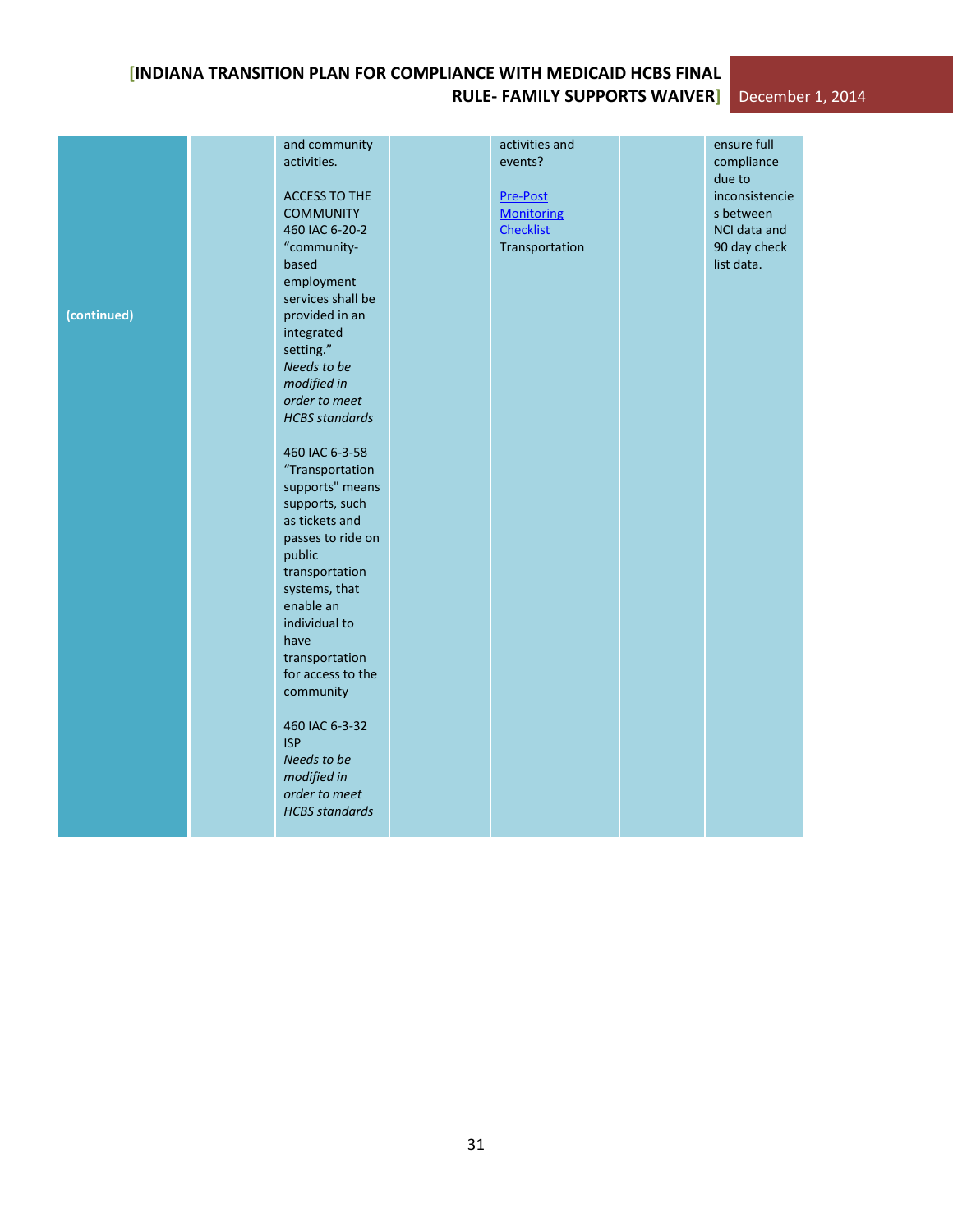# **[INDIANA TRANSITION PLAN FOR COMPLIANCE WITH MEDICAID HCBS FINAL RULE- FAMILY SUPPORTS WAIVER]** December 1, 2014

|             | and community         | activities and    | ensure full    |  |
|-------------|-----------------------|-------------------|----------------|--|
|             | activities.           | events?           | compliance     |  |
|             |                       |                   | due to         |  |
|             | <b>ACCESS TO THE</b>  | Pre-Post          | inconsistencie |  |
|             | <b>COMMUNITY</b>      | <b>Monitoring</b> | s between      |  |
|             | 460 IAC 6-20-2        | <b>Checklist</b>  | NCI data and   |  |
|             | "community-           | Transportation    | 90 day check   |  |
|             | based                 |                   | list data.     |  |
|             | employment            |                   |                |  |
|             | services shall be     |                   |                |  |
|             |                       |                   |                |  |
| (continued) | provided in an        |                   |                |  |
|             | integrated            |                   |                |  |
|             | setting."             |                   |                |  |
|             | Needs to be           |                   |                |  |
|             | modified in           |                   |                |  |
|             | order to meet         |                   |                |  |
|             | <b>HCBS</b> standards |                   |                |  |
|             |                       |                   |                |  |
|             | 460 IAC 6-3-58        |                   |                |  |
|             | "Transportation       |                   |                |  |
|             | supports" means       |                   |                |  |
|             | supports, such        |                   |                |  |
|             | as tickets and        |                   |                |  |
|             | passes to ride on     |                   |                |  |
|             | public                |                   |                |  |
|             | transportation        |                   |                |  |
|             | systems, that         |                   |                |  |
|             | enable an             |                   |                |  |
|             | individual to         |                   |                |  |
|             | have                  |                   |                |  |
|             | transportation        |                   |                |  |
|             | for access to the     |                   |                |  |
|             | community             |                   |                |  |
|             |                       |                   |                |  |
|             | 460 IAC 6-3-32        |                   |                |  |
|             | <b>ISP</b>            |                   |                |  |
|             | Needs to be           |                   |                |  |
|             | modified in           |                   |                |  |
|             | order to meet         |                   |                |  |
|             | <b>HCBS</b> standards |                   |                |  |
|             |                       |                   |                |  |
|             |                       |                   |                |  |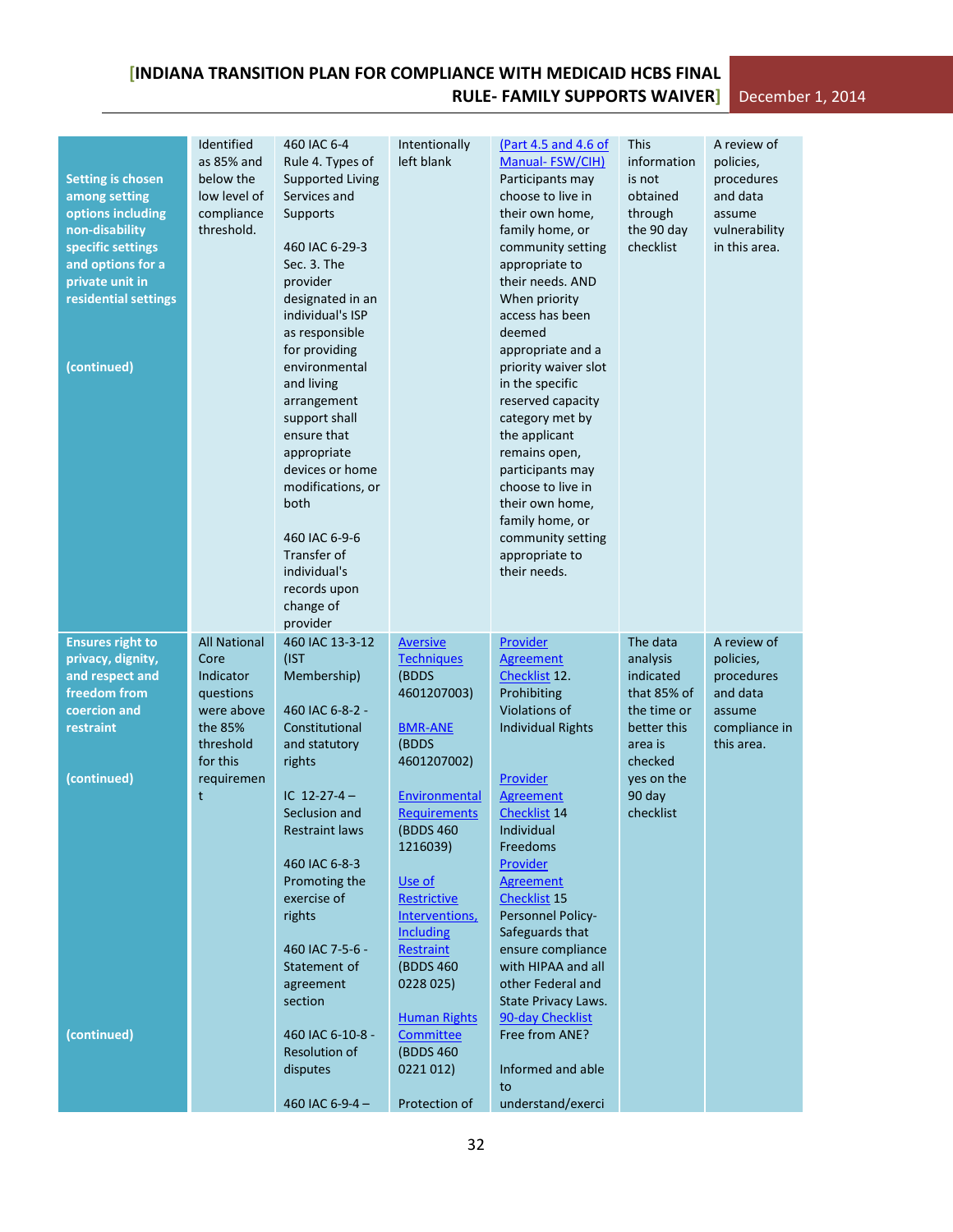| <b>Setting is chosen</b><br>among setting<br>options including<br>non-disability<br>specific settings<br>and options for a<br>private unit in<br>residential settings<br>(continued) | Identified<br>as 85% and<br>below the<br>low level of<br>compliance<br>threshold. | 460 IAC 6-4<br>Rule 4. Types of<br><b>Supported Living</b><br>Services and<br>Supports<br>460 IAC 6-29-3<br>Sec. 3. The<br>provider<br>designated in an<br>individual's ISP<br>as responsible<br>for providing<br>environmental<br>and living<br>arrangement<br>support shall<br>ensure that<br>appropriate<br>devices or home<br>modifications, or<br>both<br>460 IAC 6-9-6<br>Transfer of<br>individual's<br>records upon<br>change of<br>provider | Intentionally<br>left blank      | (Part 4.5 and 4.6 of<br>Manual-FSW/CIH)<br>Participants may<br>choose to live in<br>their own home,<br>family home, or<br>community setting<br>appropriate to<br>their needs. AND<br>When priority<br>access has been<br>deemed<br>appropriate and a<br>priority waiver slot<br>in the specific<br>reserved capacity<br>category met by<br>the applicant<br>remains open,<br>participants may<br>choose to live in<br>their own home,<br>family home, or<br>community setting<br>appropriate to<br>their needs. | <b>This</b><br>information<br>is not<br>obtained<br>through<br>the 90 day<br>checklist | A review of<br>policies,<br>procedures<br>and data<br>assume<br>vulnerability<br>in this area. |
|--------------------------------------------------------------------------------------------------------------------------------------------------------------------------------------|-----------------------------------------------------------------------------------|------------------------------------------------------------------------------------------------------------------------------------------------------------------------------------------------------------------------------------------------------------------------------------------------------------------------------------------------------------------------------------------------------------------------------------------------------|----------------------------------|-----------------------------------------------------------------------------------------------------------------------------------------------------------------------------------------------------------------------------------------------------------------------------------------------------------------------------------------------------------------------------------------------------------------------------------------------------------------------------------------------------------------|----------------------------------------------------------------------------------------|------------------------------------------------------------------------------------------------|
| <b>Ensures right to</b>                                                                                                                                                              | <b>All National</b>                                                               | 460 IAC 13-3-12                                                                                                                                                                                                                                                                                                                                                                                                                                      | <b>Aversive</b>                  | Provider                                                                                                                                                                                                                                                                                                                                                                                                                                                                                                        | The data                                                                               | A review of                                                                                    |
| privacy, dignity,                                                                                                                                                                    | Core                                                                              | (IST                                                                                                                                                                                                                                                                                                                                                                                                                                                 | <b>Techniques</b>                | <b>Agreement</b>                                                                                                                                                                                                                                                                                                                                                                                                                                                                                                | analysis                                                                               | policies,                                                                                      |
| and respect and                                                                                                                                                                      | Indicator                                                                         | Membership)                                                                                                                                                                                                                                                                                                                                                                                                                                          | (BDDS                            | Checklist 12.                                                                                                                                                                                                                                                                                                                                                                                                                                                                                                   | indicated                                                                              | procedures                                                                                     |
| freedom from                                                                                                                                                                         | questions                                                                         |                                                                                                                                                                                                                                                                                                                                                                                                                                                      | 4601207003)                      | Prohibiting                                                                                                                                                                                                                                                                                                                                                                                                                                                                                                     | that 85% of                                                                            | and data                                                                                       |
| coercion and                                                                                                                                                                         | were above                                                                        | 460 IAC 6-8-2 -                                                                                                                                                                                                                                                                                                                                                                                                                                      |                                  | Violations of                                                                                                                                                                                                                                                                                                                                                                                                                                                                                                   | the time or                                                                            | assume                                                                                         |
| restraint                                                                                                                                                                            | the 85%<br>threshold                                                              | Constitutional                                                                                                                                                                                                                                                                                                                                                                                                                                       | <b>BMR-ANE</b><br>(BDDS          | <b>Individual Rights</b>                                                                                                                                                                                                                                                                                                                                                                                                                                                                                        | better this<br>area is                                                                 | compliance in<br>this area.                                                                    |
|                                                                                                                                                                                      | for this                                                                          | and statutory<br>rights                                                                                                                                                                                                                                                                                                                                                                                                                              | 4601207002)                      |                                                                                                                                                                                                                                                                                                                                                                                                                                                                                                                 | checked                                                                                |                                                                                                |
| (continued)                                                                                                                                                                          | requiremen                                                                        |                                                                                                                                                                                                                                                                                                                                                                                                                                                      |                                  | Provider                                                                                                                                                                                                                                                                                                                                                                                                                                                                                                        | yes on the                                                                             |                                                                                                |
|                                                                                                                                                                                      | t                                                                                 | IC $12-27-4-$                                                                                                                                                                                                                                                                                                                                                                                                                                        | Environmental                    | <b>Agreement</b>                                                                                                                                                                                                                                                                                                                                                                                                                                                                                                | 90 day                                                                                 |                                                                                                |
|                                                                                                                                                                                      |                                                                                   | Seclusion and                                                                                                                                                                                                                                                                                                                                                                                                                                        | <b>Requirements</b>              | Checklist <sub>14</sub>                                                                                                                                                                                                                                                                                                                                                                                                                                                                                         | checklist                                                                              |                                                                                                |
|                                                                                                                                                                                      |                                                                                   | <b>Restraint laws</b>                                                                                                                                                                                                                                                                                                                                                                                                                                | (BDDS 460)                       | Individual                                                                                                                                                                                                                                                                                                                                                                                                                                                                                                      |                                                                                        |                                                                                                |
|                                                                                                                                                                                      |                                                                                   |                                                                                                                                                                                                                                                                                                                                                                                                                                                      | 1216039)                         | Freedoms                                                                                                                                                                                                                                                                                                                                                                                                                                                                                                        |                                                                                        |                                                                                                |
|                                                                                                                                                                                      |                                                                                   | 460 IAC 6-8-3                                                                                                                                                                                                                                                                                                                                                                                                                                        |                                  | Provider                                                                                                                                                                                                                                                                                                                                                                                                                                                                                                        |                                                                                        |                                                                                                |
|                                                                                                                                                                                      |                                                                                   | Promoting the<br>exercise of                                                                                                                                                                                                                                                                                                                                                                                                                         | Use of<br>Restrictive            | <b>Agreement</b><br>Checklist <sub>15</sub>                                                                                                                                                                                                                                                                                                                                                                                                                                                                     |                                                                                        |                                                                                                |
|                                                                                                                                                                                      |                                                                                   | rights                                                                                                                                                                                                                                                                                                                                                                                                                                               | Interventions,                   | Personnel Policy-                                                                                                                                                                                                                                                                                                                                                                                                                                                                                               |                                                                                        |                                                                                                |
|                                                                                                                                                                                      |                                                                                   |                                                                                                                                                                                                                                                                                                                                                                                                                                                      | <b>Including</b>                 | Safeguards that                                                                                                                                                                                                                                                                                                                                                                                                                                                                                                 |                                                                                        |                                                                                                |
|                                                                                                                                                                                      |                                                                                   | 460 IAC 7-5-6 -                                                                                                                                                                                                                                                                                                                                                                                                                                      | <b>Restraint</b>                 | ensure compliance                                                                                                                                                                                                                                                                                                                                                                                                                                                                                               |                                                                                        |                                                                                                |
|                                                                                                                                                                                      |                                                                                   | Statement of                                                                                                                                                                                                                                                                                                                                                                                                                                         | (BDDS 460)                       | with HIPAA and all                                                                                                                                                                                                                                                                                                                                                                                                                                                                                              |                                                                                        |                                                                                                |
|                                                                                                                                                                                      |                                                                                   | agreement                                                                                                                                                                                                                                                                                                                                                                                                                                            | 0228 025)                        | other Federal and                                                                                                                                                                                                                                                                                                                                                                                                                                                                                               |                                                                                        |                                                                                                |
|                                                                                                                                                                                      |                                                                                   | section                                                                                                                                                                                                                                                                                                                                                                                                                                              |                                  | State Privacy Laws.                                                                                                                                                                                                                                                                                                                                                                                                                                                                                             |                                                                                        |                                                                                                |
| (continued)                                                                                                                                                                          |                                                                                   | 460 IAC 6-10-8 -                                                                                                                                                                                                                                                                                                                                                                                                                                     | <b>Human Rights</b><br>Committee | 90-day Checklist<br>Free from ANE?                                                                                                                                                                                                                                                                                                                                                                                                                                                                              |                                                                                        |                                                                                                |
|                                                                                                                                                                                      |                                                                                   | Resolution of                                                                                                                                                                                                                                                                                                                                                                                                                                        | (BDDS 460)                       |                                                                                                                                                                                                                                                                                                                                                                                                                                                                                                                 |                                                                                        |                                                                                                |
|                                                                                                                                                                                      |                                                                                   | disputes                                                                                                                                                                                                                                                                                                                                                                                                                                             | 0221 012)                        | Informed and able                                                                                                                                                                                                                                                                                                                                                                                                                                                                                               |                                                                                        |                                                                                                |
|                                                                                                                                                                                      |                                                                                   |                                                                                                                                                                                                                                                                                                                                                                                                                                                      |                                  | to                                                                                                                                                                                                                                                                                                                                                                                                                                                                                                              |                                                                                        |                                                                                                |
|                                                                                                                                                                                      |                                                                                   | 460 IAC 6-9-4-                                                                                                                                                                                                                                                                                                                                                                                                                                       | Protection of                    | understand/exerci                                                                                                                                                                                                                                                                                                                                                                                                                                                                                               |                                                                                        |                                                                                                |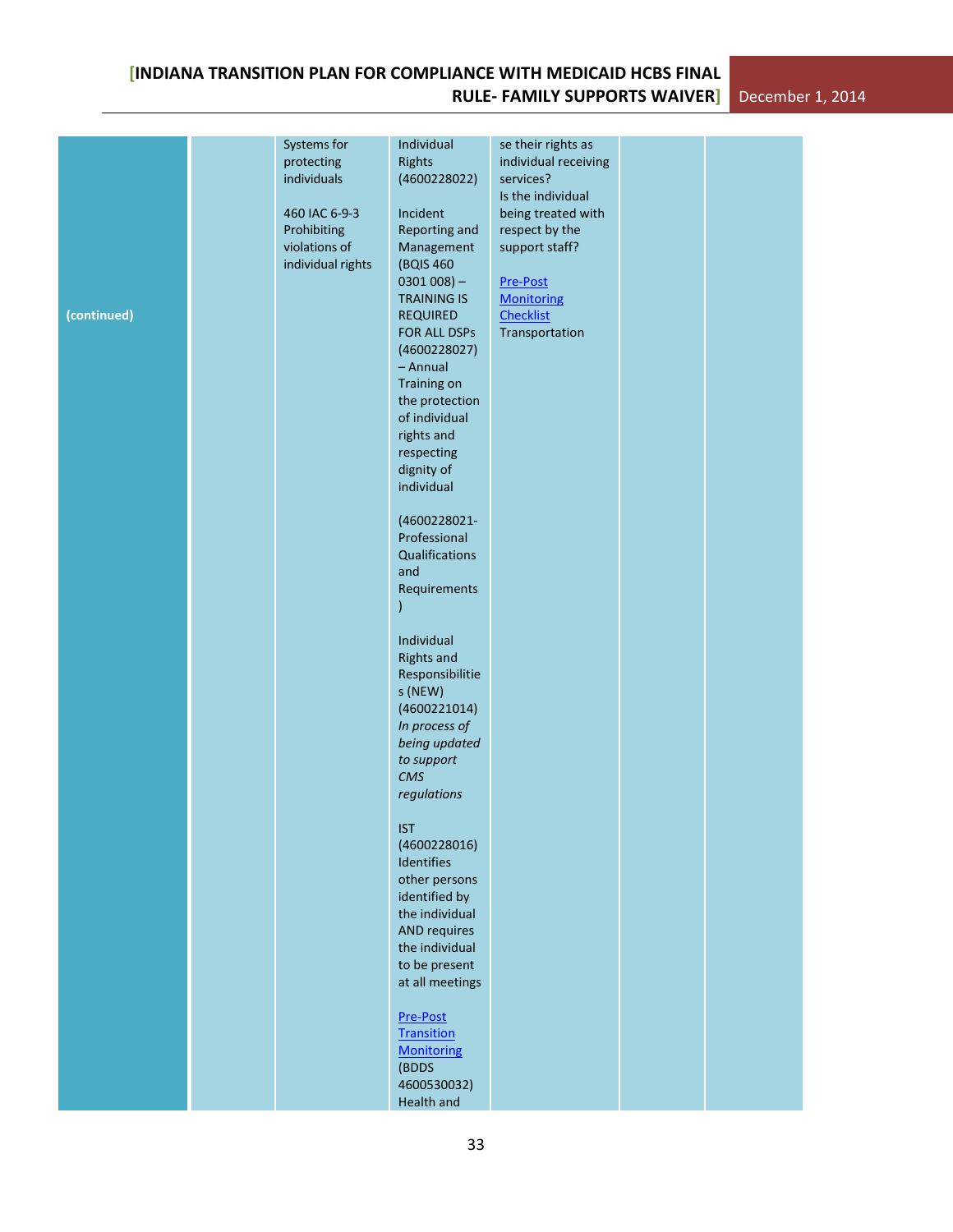| (continued) | Systems for<br>protecting<br>individuals<br>460 IAC 6-9-3<br>Prohibiting<br>violations of<br>individual rights | Individual<br>Rights<br>(4600228022)<br>Incident<br>Reporting and<br>Management<br>(BQIS 460<br>$0301008$ ) –<br><b>TRAINING IS</b><br><b>REQUIRED</b><br>FOR ALL DSPs<br>(4600228027)<br>- Annual<br>Training on<br>the protection<br>of individual<br>rights and<br>respecting<br>dignity of<br>individual<br>(4600228021-<br>Professional<br>Qualifications<br>and<br>Requirements<br>Individual<br><b>Rights and</b><br>Responsibilitie<br>s (NEW)<br>(4600221014)<br>In process of<br>being updated<br>to support<br><b>CMS</b><br>regulations<br><b>IST</b><br>(4600228016)<br>Identifies<br>other persons<br>identified by<br>the individual<br><b>AND requires</b><br>the individual<br>to be present<br>at all meetings | se their rights as<br>individual receiving<br>services?<br>Is the individual<br>being treated with<br>respect by the<br>support staff?<br>Pre-Post<br><b>Monitoring</b><br><b>Checklist</b><br>Transportation |  |  |
|-------------|----------------------------------------------------------------------------------------------------------------|----------------------------------------------------------------------------------------------------------------------------------------------------------------------------------------------------------------------------------------------------------------------------------------------------------------------------------------------------------------------------------------------------------------------------------------------------------------------------------------------------------------------------------------------------------------------------------------------------------------------------------------------------------------------------------------------------------------------------------|---------------------------------------------------------------------------------------------------------------------------------------------------------------------------------------------------------------|--|--|
|             |                                                                                                                | Pre-Post<br><b>Transition</b><br><b>Monitoring</b><br>(BDDS<br>4600530032)<br>Health and                                                                                                                                                                                                                                                                                                                                                                                                                                                                                                                                                                                                                                         |                                                                                                                                                                                                               |  |  |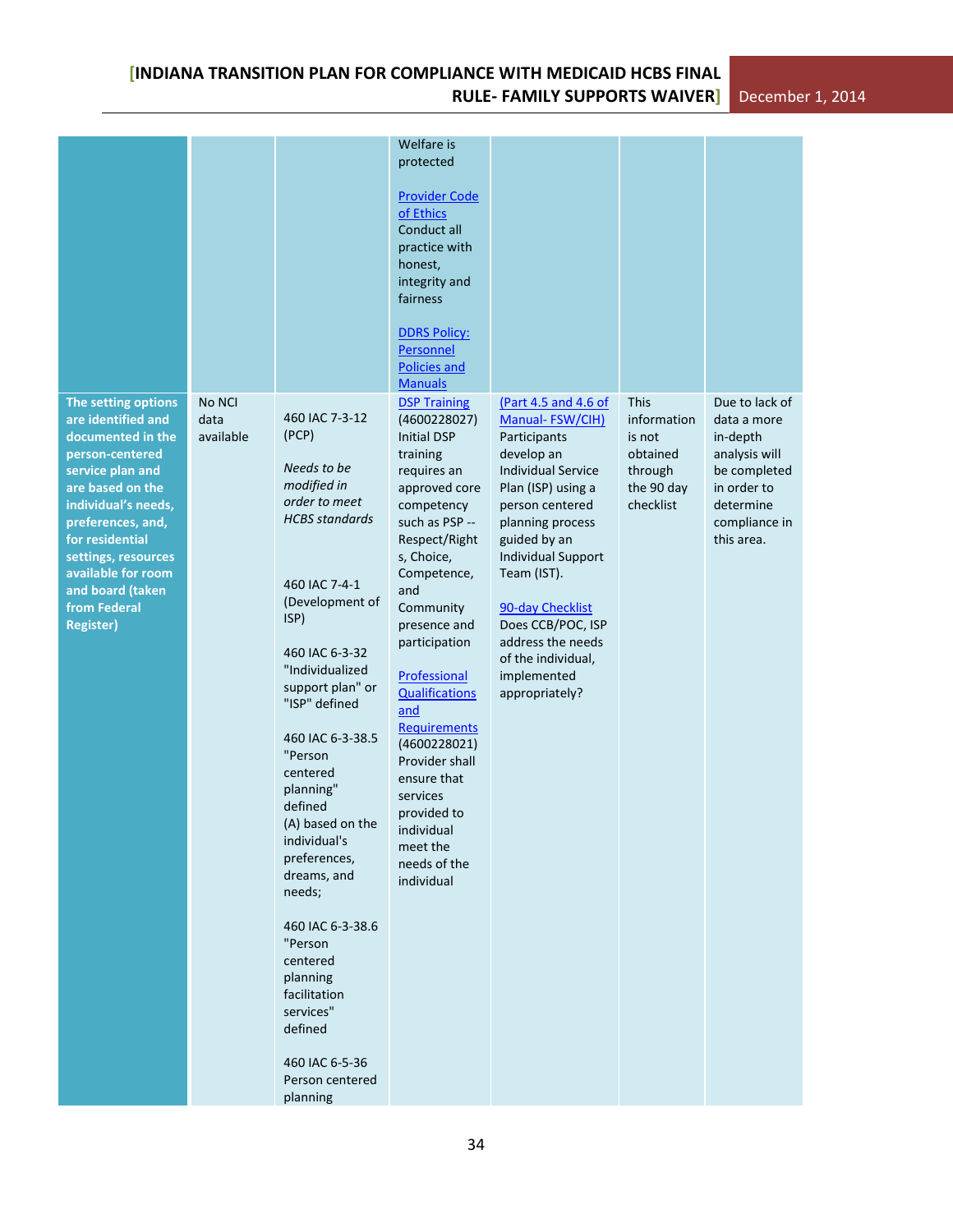|                                                                                                                                                                                                                                                                                               |                             |                                                                                                                                                                                                                                                                                                                                                                                                                                                                                                                       | Welfare is<br>protected<br><b>Provider Code</b><br>of Ethics<br>Conduct all<br>practice with<br>honest,<br>integrity and<br>fairness<br><b>DDRS Policy:</b><br>Personnel<br><b>Policies and</b><br><b>Manuals</b>                                                                                                                                                                                                                                   |                                                                                                                                                                                                                                                                                                                                                  |                                                                                 |                                                                                                                                       |
|-----------------------------------------------------------------------------------------------------------------------------------------------------------------------------------------------------------------------------------------------------------------------------------------------|-----------------------------|-----------------------------------------------------------------------------------------------------------------------------------------------------------------------------------------------------------------------------------------------------------------------------------------------------------------------------------------------------------------------------------------------------------------------------------------------------------------------------------------------------------------------|-----------------------------------------------------------------------------------------------------------------------------------------------------------------------------------------------------------------------------------------------------------------------------------------------------------------------------------------------------------------------------------------------------------------------------------------------------|--------------------------------------------------------------------------------------------------------------------------------------------------------------------------------------------------------------------------------------------------------------------------------------------------------------------------------------------------|---------------------------------------------------------------------------------|---------------------------------------------------------------------------------------------------------------------------------------|
| The setting options<br>are identified and<br>documented in the<br>person-centered<br>service plan and<br>are based on the<br>individual's needs,<br>preferences, and,<br>for residential<br>settings, resources<br>available for room<br>and board (taken<br>from Federal<br><b>Register)</b> | No NCI<br>data<br>available | 460 IAC 7-3-12<br>(PCP)<br>Needs to be<br>modified in<br>order to meet<br><b>HCBS</b> standards<br>460 IAC 7-4-1<br>(Development of<br>ISP)<br>460 IAC 6-3-32<br>"Individualized<br>support plan" or<br>"ISP" defined<br>460 IAC 6-3-38.5<br>"Person<br>centered<br>planning"<br>defined<br>(A) based on the<br>individual's<br>preferences,<br>dreams, and<br>needs;<br>460 IAC 6-3-38.6<br>"Person<br>centered<br>planning<br>facilitation<br>services"<br>defined<br>460 IAC 6-5-36<br>Person centered<br>planning | <b>DSP Training</b><br>(4600228027)<br><b>Initial DSP</b><br>training<br>requires an<br>approved core<br>competency<br>such as PSP --<br>Respect/Right<br>s, Choice,<br>Competence,<br>and<br>Community<br>presence and<br>participation<br>Professional<br><b>Qualifications</b><br>and<br><b>Requirements</b><br>(4600228021)<br>Provider shall<br>ensure that<br>services<br>provided to<br>individual<br>meet the<br>needs of the<br>individual | (Part 4.5 and 4.6 of<br>Manual-FSW/CIH)<br>Participants<br>develop an<br><b>Individual Service</b><br>Plan (ISP) using a<br>person centered<br>planning process<br>guided by an<br><b>Individual Support</b><br>Team (IST).<br>90-day Checklist<br>Does CCB/POC, ISP<br>address the needs<br>of the individual,<br>implemented<br>appropriately? | This<br>information<br>is not<br>obtained<br>through<br>the 90 day<br>checklist | Due to lack of<br>data a more<br>in-depth<br>analysis will<br>be completed<br>in order to<br>determine<br>compliance in<br>this area. |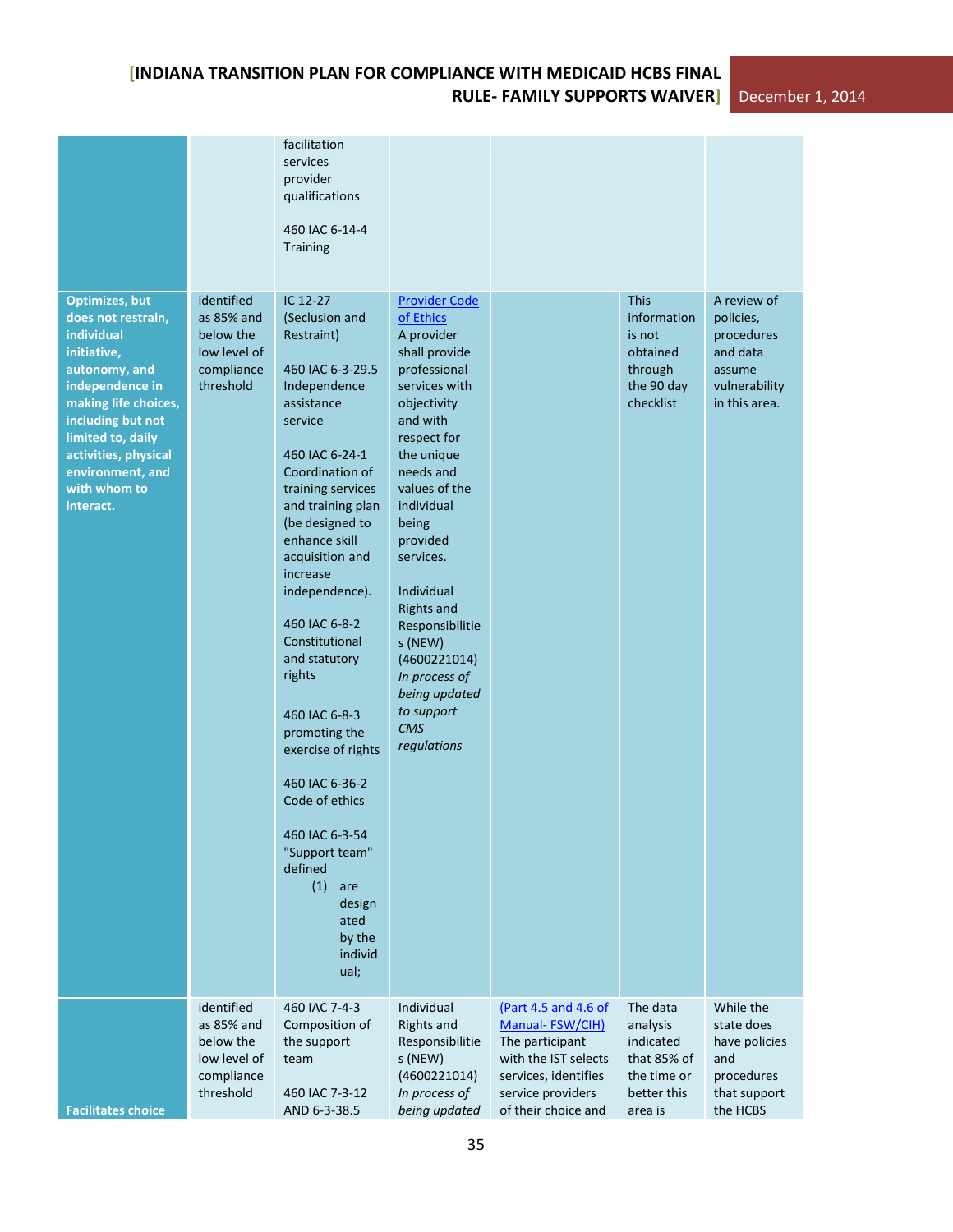|                                                                                                                                                                                                                                                         |                                                                                  | facilitation<br>services<br>provider<br>qualifications<br>460 IAC 6-14-4<br><b>Training</b>                                                                                                                                                                                                                                                                                                                                                                                                                                                     |                                                                                                                                                                                                                                                                                                                                                                                                       |                                                                                                                                                        |                                                                                           |                                                                                                |
|---------------------------------------------------------------------------------------------------------------------------------------------------------------------------------------------------------------------------------------------------------|----------------------------------------------------------------------------------|-------------------------------------------------------------------------------------------------------------------------------------------------------------------------------------------------------------------------------------------------------------------------------------------------------------------------------------------------------------------------------------------------------------------------------------------------------------------------------------------------------------------------------------------------|-------------------------------------------------------------------------------------------------------------------------------------------------------------------------------------------------------------------------------------------------------------------------------------------------------------------------------------------------------------------------------------------------------|--------------------------------------------------------------------------------------------------------------------------------------------------------|-------------------------------------------------------------------------------------------|------------------------------------------------------------------------------------------------|
| <b>Optimizes, but</b><br>does not restrain,<br>individual<br>initiative,<br>autonomy, and<br>independence in<br>making life choices,<br>including but not<br>limited to, daily<br>activities, physical<br>environment, and<br>with whom to<br>interact. | identified<br>as 85% and<br>below the<br>low level of<br>compliance<br>threshold | IC 12-27<br>(Seclusion and<br>Restraint)<br>460 IAC 6-3-29.5<br>Independence<br>assistance<br>service<br>460 IAC 6-24-1<br>Coordination of<br>training services<br>and training plan<br>(be designed to<br>enhance skill<br>acquisition and<br>increase<br>independence).<br>460 IAC 6-8-2<br>Constitutional<br>and statutory<br>rights<br>460 IAC 6-8-3<br>promoting the<br>exercise of rights<br>460 IAC 6-36-2<br>Code of ethics<br>460 IAC 6-3-54<br>"Support team"<br>defined<br>(1)<br>are<br>design<br>ated<br>by the<br>individ<br>ual; | <b>Provider Code</b><br>of Ethics<br>A provider<br>shall provide<br>professional<br>services with<br>objectivity<br>and with<br>respect for<br>the unique<br>needs and<br>values of the<br>individual<br>being<br>provided<br>services.<br>Individual<br><b>Rights and</b><br>Responsibilitie<br>s (NEW)<br>(4600221014)<br>In process of<br>being updated<br>to support<br><b>CMS</b><br>regulations |                                                                                                                                                        | <b>This</b><br>information<br>is not<br>obtained<br>through<br>the 90 day<br>checklist    | A review of<br>policies,<br>procedures<br>and data<br>assume<br>vulnerability<br>in this area. |
| <b>Facilitates choice</b>                                                                                                                                                                                                                               | identified<br>as 85% and<br>below the<br>low level of<br>compliance<br>threshold | 460 IAC 7-4-3<br>Composition of<br>the support<br>team<br>460 IAC 7-3-12<br>AND 6-3-38.5                                                                                                                                                                                                                                                                                                                                                                                                                                                        | Individual<br><b>Rights and</b><br>Responsibilitie<br>s (NEW)<br>(4600221014)<br>In process of<br>being updated                                                                                                                                                                                                                                                                                       | (Part 4.5 and 4.6 of<br>Manual-FSW/CIH)<br>The participant<br>with the IST selects<br>services, identifies<br>service providers<br>of their choice and | The data<br>analysis<br>indicated<br>that 85% of<br>the time or<br>better this<br>area is | While the<br>state does<br>have policies<br>and<br>procedures<br>that support<br>the HCBS      |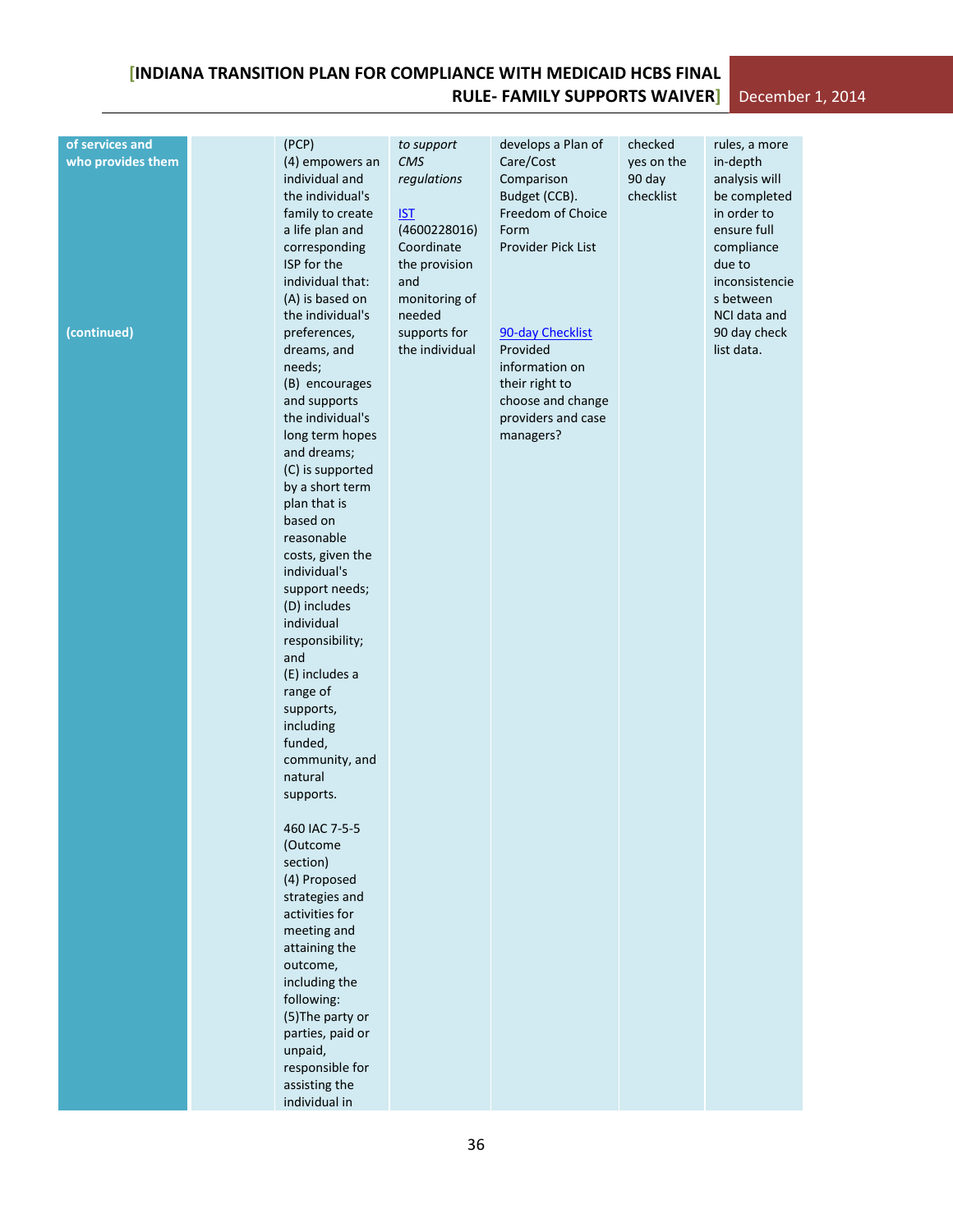# **[INDIANA TRANSITION PLAN FOR COMPLIANCE WITH MEDICAID HCBS FINAL RULE- FAMILY SUPPORTS WAIVER]** December 1, 2014

| (4) empowers an<br>individual and<br>regulations<br>Comparison<br>90 day<br>analysis will<br>the individual's<br>Budget (CCB).<br>checklist<br>be completed<br>Freedom of Choice<br>in order to<br>family to create<br><b>IST</b><br>ensure full<br>a life plan and<br>(4600228016)<br>Form<br>Coordinate<br>Provider Pick List<br>corresponding<br>compliance<br>ISP for the<br>the provision<br>due to<br>individual that:<br>and<br>inconsistencie<br>(A) is based on<br>monitoring of<br>s between<br>the individual's<br>needed<br>NCI data and<br>(continued)<br>preferences,<br>supports for<br>90-day Checklist<br>90 day check<br>the individual<br>Provided<br>dreams, and<br>list data.<br>information on<br>needs;<br>(B) encourages<br>their right to<br>choose and change<br>and supports<br>the individual's<br>providers and case<br>long term hopes<br>managers?<br>and dreams;<br>(C) is supported<br>by a short term<br>plan that is<br>based on<br>reasonable<br>costs, given the<br>individual's<br>support needs;<br>(D) includes<br>individual<br>responsibility;<br>and<br>(E) includes a<br>range of<br>supports,<br>including<br>funded,<br>community, and<br>natural<br>supports.<br>460 IAC 7-5-5<br>(Outcome<br>section)<br>(4) Proposed<br>strategies and<br>activities for<br>meeting and<br>attaining the<br>outcome,<br>including the<br>following:<br>(5) The party or<br>parties, paid or<br>unpaid, | of services and   | (PCP)           | to support | develops a Plan of | checked    | rules, a more |
|-----------------------------------------------------------------------------------------------------------------------------------------------------------------------------------------------------------------------------------------------------------------------------------------------------------------------------------------------------------------------------------------------------------------------------------------------------------------------------------------------------------------------------------------------------------------------------------------------------------------------------------------------------------------------------------------------------------------------------------------------------------------------------------------------------------------------------------------------------------------------------------------------------------------------------------------------------------------------------------------------------------------------------------------------------------------------------------------------------------------------------------------------------------------------------------------------------------------------------------------------------------------------------------------------------------------------------------------------------------------------------------------------------------------------------------------|-------------------|-----------------|------------|--------------------|------------|---------------|
|                                                                                                                                                                                                                                                                                                                                                                                                                                                                                                                                                                                                                                                                                                                                                                                                                                                                                                                                                                                                                                                                                                                                                                                                                                                                                                                                                                                                                                         | who provides them |                 | CMS        | Care/Cost          | yes on the | in-depth      |
|                                                                                                                                                                                                                                                                                                                                                                                                                                                                                                                                                                                                                                                                                                                                                                                                                                                                                                                                                                                                                                                                                                                                                                                                                                                                                                                                                                                                                                         |                   | responsible for |            |                    |            |               |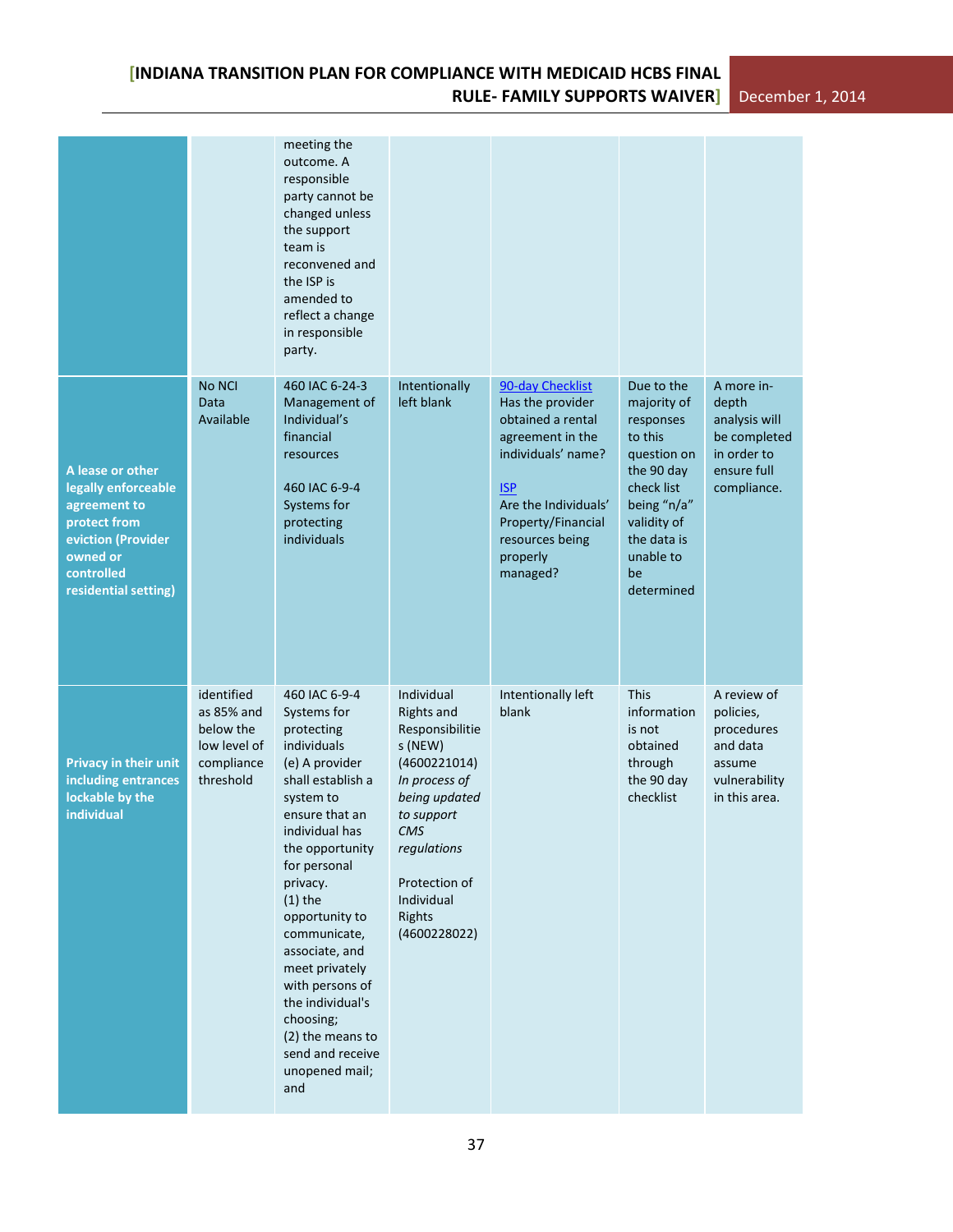|                                                                                                                                                 |                                                                                  | meeting the<br>outcome. A<br>responsible<br>party cannot be<br>changed unless<br>the support<br>team is<br>reconvened and<br>the ISP is<br>amended to<br>reflect a change<br>in responsible<br>party.                                                                                                                                                                                                    |                                                                                                                                                                                                                     |                                                                                                                                                                                                            |                                                                                                                                                                            |                                                                                                   |
|-------------------------------------------------------------------------------------------------------------------------------------------------|----------------------------------------------------------------------------------|----------------------------------------------------------------------------------------------------------------------------------------------------------------------------------------------------------------------------------------------------------------------------------------------------------------------------------------------------------------------------------------------------------|---------------------------------------------------------------------------------------------------------------------------------------------------------------------------------------------------------------------|------------------------------------------------------------------------------------------------------------------------------------------------------------------------------------------------------------|----------------------------------------------------------------------------------------------------------------------------------------------------------------------------|---------------------------------------------------------------------------------------------------|
| A lease or other<br>legally enforceable<br>agreement to<br>protect from<br>eviction (Provider<br>owned or<br>controlled<br>residential setting) | No NCI<br>Data<br>Available                                                      | 460 IAC 6-24-3<br>Management of<br>Individual's<br>financial<br>resources<br>460 IAC 6-9-4<br>Systems for<br>protecting<br>individuals                                                                                                                                                                                                                                                                   | Intentionally<br>left blank                                                                                                                                                                                         | 90-day Checklist<br>Has the provider<br>obtained a rental<br>agreement in the<br>individuals' name?<br><b>ISP</b><br>Are the Individuals'<br>Property/Financial<br>resources being<br>properly<br>managed? | Due to the<br>majority of<br>responses<br>to this<br>question on<br>the 90 day<br>check list<br>being "n/a"<br>validity of<br>the data is<br>unable to<br>be<br>determined | A more in-<br>depth<br>analysis will<br>be completed<br>in order to<br>ensure full<br>compliance. |
| <b>Privacy in their unit</b><br>including entrances<br>lockable by the<br>individual                                                            | identified<br>as 85% and<br>below the<br>low level of<br>compliance<br>threshold | 460 IAC 6-9-4<br>Systems for<br>protecting<br>individuals<br>(e) A provider<br>shall establish a<br>system to<br>ensure that an<br>individual has<br>the opportunity<br>for personal<br>privacy.<br>$(1)$ the<br>opportunity to<br>communicate,<br>associate, and<br>meet privately<br>with persons of<br>the individual's<br>choosing;<br>(2) the means to<br>send and receive<br>unopened mail;<br>and | Individual<br><b>Rights and</b><br>Responsibilitie<br>s (NEW)<br>(4600221014)<br>In process of<br>being updated<br>to support<br>CMS<br>regulations<br>Protection of<br>Individual<br><b>Rights</b><br>(4600228022) | Intentionally left<br>blank                                                                                                                                                                                | <b>This</b><br>information<br>is not<br>obtained<br>through<br>the 90 day<br>checklist                                                                                     | A review of<br>policies,<br>procedures<br>and data<br>assume<br>vulnerability<br>in this area.    |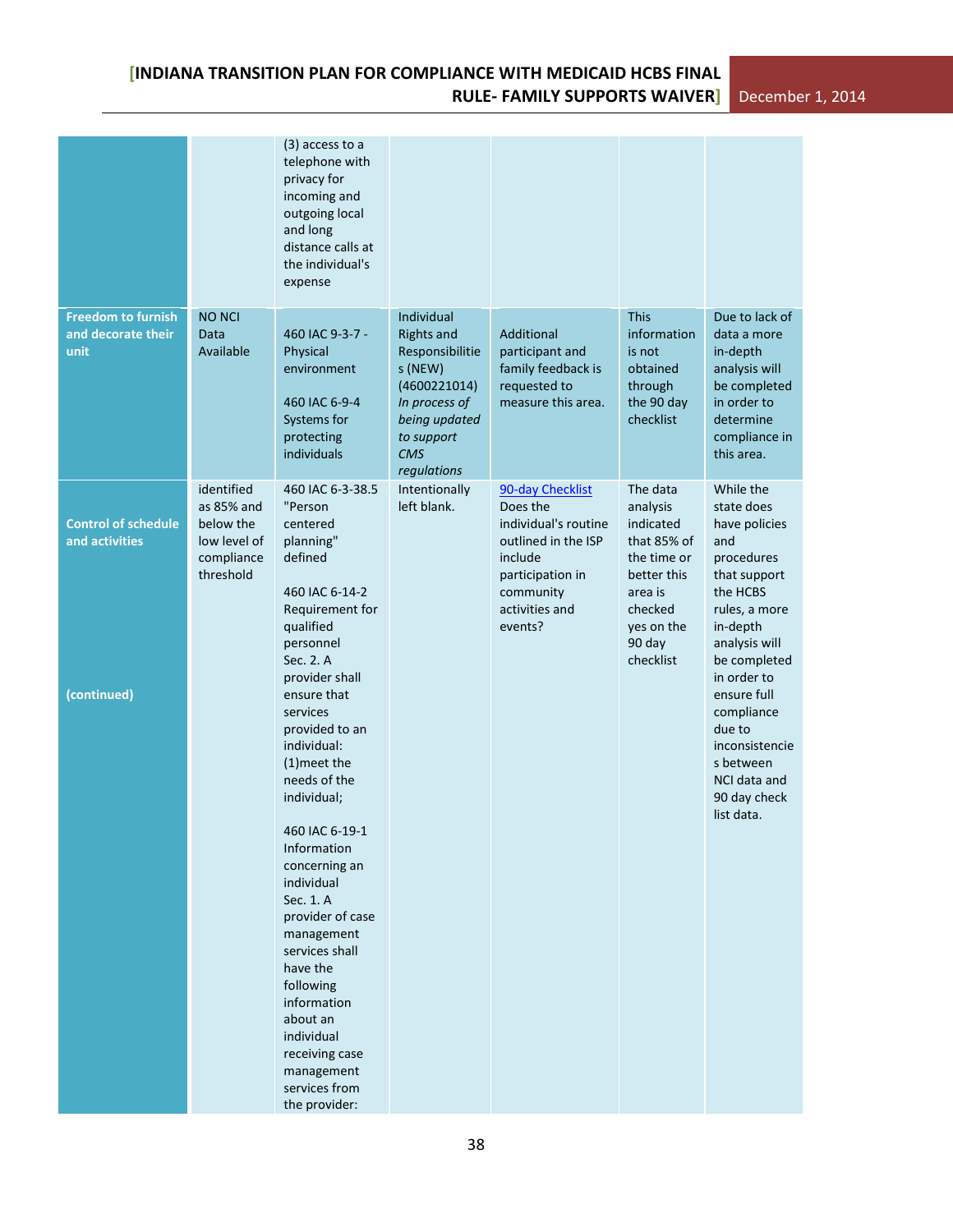|                                              |                                                                                  | $(3)$ access to a<br>telephone with<br>privacy for<br>incoming and<br>outgoing local<br>and long<br>distance calls at<br>the individual's<br>expense                                                                                                                                                                                                                         |                                                                                                                                              |                                                                                                                                                      |                                                                                                                                           |                                                                                                                                                                        |
|----------------------------------------------|----------------------------------------------------------------------------------|------------------------------------------------------------------------------------------------------------------------------------------------------------------------------------------------------------------------------------------------------------------------------------------------------------------------------------------------------------------------------|----------------------------------------------------------------------------------------------------------------------------------------------|------------------------------------------------------------------------------------------------------------------------------------------------------|-------------------------------------------------------------------------------------------------------------------------------------------|------------------------------------------------------------------------------------------------------------------------------------------------------------------------|
| <b>Freedom to furnish</b>                    | <b>NO NCI</b>                                                                    |                                                                                                                                                                                                                                                                                                                                                                              | Individual                                                                                                                                   |                                                                                                                                                      | <b>This</b>                                                                                                                               | Due to lack of                                                                                                                                                         |
| and decorate their<br>unit                   | Data<br>Available                                                                | 460 IAC 9-3-7 -<br>Physical<br>environment<br>460 IAC 6-9-4<br>Systems for<br>protecting<br>individuals                                                                                                                                                                                                                                                                      | <b>Rights and</b><br>Responsibilitie<br>s (NEW)<br>(4600221014)<br>In process of<br>being updated<br>to support<br><b>CMS</b><br>regulations | Additional<br>participant and<br>family feedback is<br>requested to<br>measure this area.                                                            | information<br>is not<br>obtained<br>through<br>the 90 day<br>checklist                                                                   | data a more<br>in-depth<br>analysis will<br>be completed<br>in order to<br>determine<br>compliance in<br>this area.                                                    |
| <b>Control of schedule</b><br>and activities | identified<br>as 85% and<br>below the<br>low level of<br>compliance<br>threshold | 460 IAC 6-3-38.5<br>"Person<br>centered<br>planning"<br>defined<br>460 IAC 6-14-2<br>Requirement for<br>qualified<br>personnel<br>Sec. 2. A<br>provider shall                                                                                                                                                                                                                | Intentionally<br>left blank.                                                                                                                 | 90-day Checklist<br>Does the<br>individual's routine<br>outlined in the ISP<br>include<br>participation in<br>community<br>activities and<br>events? | The data<br>analysis<br>indicated<br>that 85% of<br>the time or<br>better this<br>area is<br>checked<br>yes on the<br>90 day<br>checklist | While the<br>state does<br>have policies<br>and<br>procedures<br>that support<br>the HCBS<br>rules, a more<br>in-depth<br>analysis will<br>be completed<br>in order to |
| (continued)                                  |                                                                                  | ensure that<br>services<br>provided to an<br>individual:<br>(1) meet the<br>needs of the<br>individual;<br>460 IAC 6-19-1<br>Information<br>concerning an<br>individual<br>Sec. 1. A<br>provider of case<br>management<br>services shall<br>have the<br>following<br>information<br>about an<br>individual<br>receiving case<br>management<br>services from<br>the provider: |                                                                                                                                              |                                                                                                                                                      |                                                                                                                                           | ensure full<br>compliance<br>due to<br>inconsistencie<br>s between<br>NCI data and<br>90 day check<br>list data.                                                       |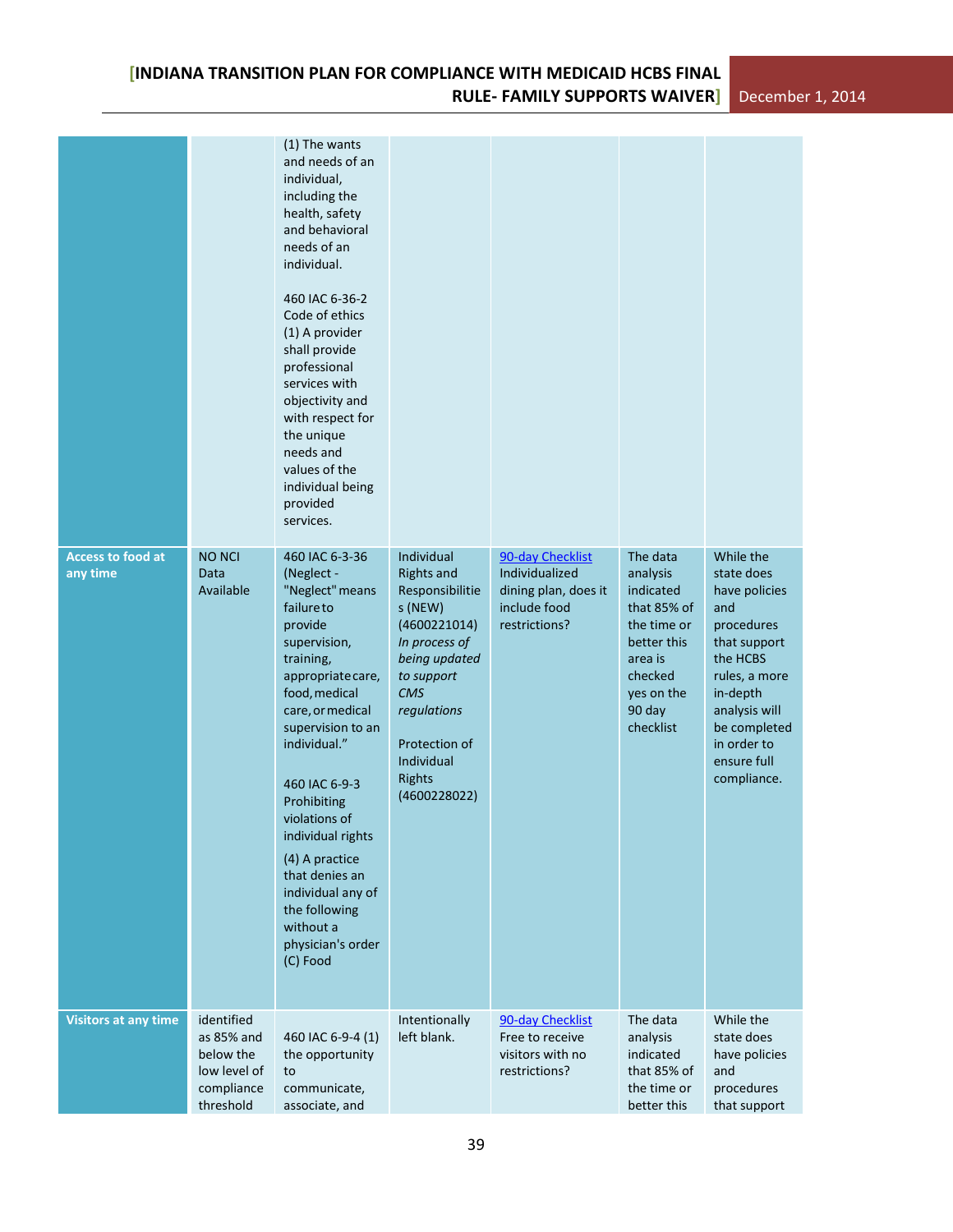|                                      |                                                                                  | (1) The wants<br>and needs of an<br>individual,<br>including the<br>health, safety<br>and behavioral<br>needs of an<br>individual.<br>460 IAC 6-36-2<br>Code of ethics<br>(1) A provider<br>shall provide<br>professional<br>services with<br>objectivity and<br>with respect for<br>the unique<br>needs and<br>values of the<br>individual being<br>provided<br>services.                        |                                                                                                                                                                                                                     |                                                                                             |                                                                                                                                           |                                                                                                                                                                                                      |
|--------------------------------------|----------------------------------------------------------------------------------|---------------------------------------------------------------------------------------------------------------------------------------------------------------------------------------------------------------------------------------------------------------------------------------------------------------------------------------------------------------------------------------------------|---------------------------------------------------------------------------------------------------------------------------------------------------------------------------------------------------------------------|---------------------------------------------------------------------------------------------|-------------------------------------------------------------------------------------------------------------------------------------------|------------------------------------------------------------------------------------------------------------------------------------------------------------------------------------------------------|
| <b>Access to food at</b><br>any time | <b>NO NCI</b><br>Data<br>Available                                               | 460 IAC 6-3-36<br>(Neglect -<br>"Neglect" means<br>failureto<br>provide<br>supervision,<br>training,<br>appropriate care,<br>food, medical<br>care, or medical<br>supervision to an<br>individual."<br>460 IAC 6-9-3<br>Prohibiting<br>violations of<br>individual rights<br>(4) A practice<br>that denies an<br>individual any of<br>the following<br>without a<br>physician's order<br>(C) Food | Individual<br><b>Rights and</b><br>Responsibilitie<br>s (NEW)<br>(4600221014)<br>In process of<br>being updated<br>to support<br><b>CMS</b><br>regulations<br>Protection of<br>Individual<br>Rights<br>(4600228022) | 90-day Checklist<br>Individualized<br>dining plan, does it<br>include food<br>restrictions? | The data<br>analysis<br>indicated<br>that 85% of<br>the time or<br>better this<br>area is<br>checked<br>yes on the<br>90 day<br>checklist | While the<br>state does<br>have policies<br>and<br>procedures<br>that support<br>the HCBS<br>rules, a more<br>in-depth<br>analysis will<br>be completed<br>in order to<br>ensure full<br>compliance. |
| <b>Visitors at any time</b>          | identified<br>as 85% and<br>below the<br>low level of<br>compliance<br>threshold | 460 IAC 6-9-4 (1)<br>the opportunity<br>to<br>communicate,<br>associate, and                                                                                                                                                                                                                                                                                                                      | Intentionally<br>left blank.                                                                                                                                                                                        | 90-day Checklist<br>Free to receive<br>visitors with no<br>restrictions?                    | The data<br>analysis<br>indicated<br>that 85% of<br>the time or<br>better this                                                            | While the<br>state does<br>have policies<br>and<br>procedures<br>that support                                                                                                                        |